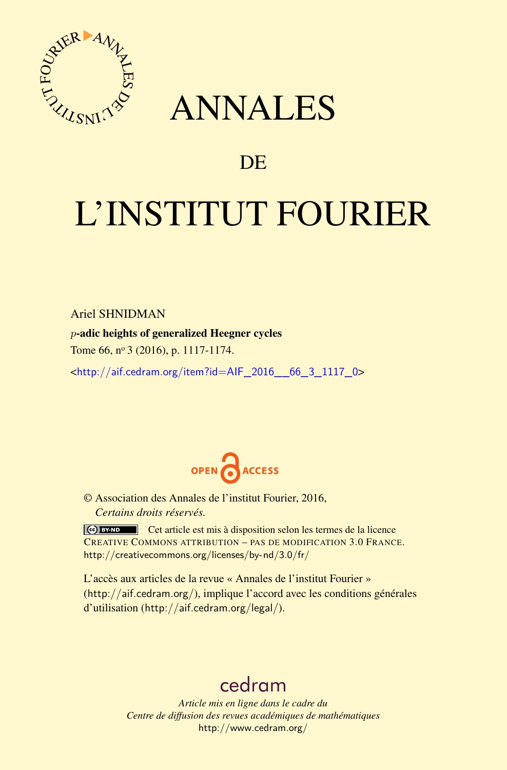

## ANNALES

### **DE**

# L'INSTITUT FOURIER

#### Ariel SHNIDMAN

#### *p*-adic heights of generalized Heegner cycles

Tome 66, nº 3 (2016), p. 1117-1174.

<[http://aif.cedram.org/item?id=AIF\\_2016\\_\\_66\\_3\\_1117\\_0](http://aif.cedram.org/item?id=AIF_2016__66_3_1117_0)>



© Association des Annales de l'institut Fourier, 2016, *Certains droits réservés.*

Cet article est mis à disposition selon les termes de la licence CREATIVE COMMONS ATTRIBUTION – PAS DE MODIFICATION 3.0 FRANCE. <http://creativecommons.org/licenses/by-nd/3.0/fr/>

L'accès aux articles de la revue « Annales de l'institut Fourier » (<http://aif.cedram.org/>), implique l'accord avec les conditions générales d'utilisation (<http://aif.cedram.org/legal/>).

## [cedram](http://www.cedram.org/)

*Article mis en ligne dans le cadre du Centre de diffusion des revues académiques de mathématiques* <http://www.cedram.org/>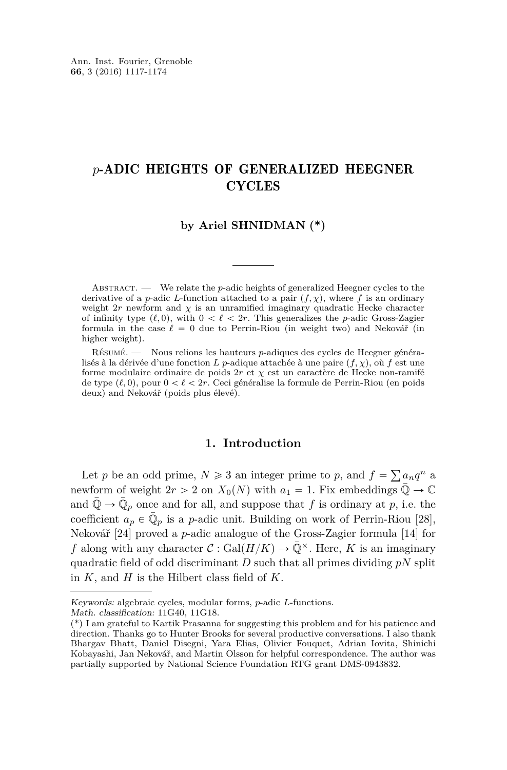#### *p*-ADIC HEIGHTS OF GENERALIZED HEEGNER **CYCLES**

#### **by Ariel SHNIDMAN (\*)**

ABSTRACT. — We relate the *p*-adic heights of generalized Heegner cycles to the derivative of a *p*-adic *L*-function attached to a pair  $(f, \chi)$ , where *f* is an ordinary weight  $2r$  newform and  $\chi$  is an unramified imaginary quadratic Hecke character of infinity type  $(\ell, 0)$ , with  $0 < \ell < 2r$ . This generalizes the *p*-adic Gross-Zagier formula in the case  $\ell = 0$  due to Perrin-Riou (in weight two) and Nekovář (in higher weight).

Résumé. — Nous relions les hauteurs *p*-adiques des cycles de Heegner généralisés à la dérivée d'une fonction *L p*-adique attachée à une paire  $(f, \chi)$ , où *f* est une forme modulaire ordinaire de poids 2*r* et *χ* est un caractère de Hecke non-ramifé de type  $(\ell, 0)$ , pour  $0 < \ell < 2r$ . Ceci généralise la formule de Perrin-Riou (en poids deux) and Nekovář (poids plus élevé).

#### **1. Introduction**

Let *p* be an odd prime,  $N \ge 3$  an integer prime to *p*, and  $f = \sum a_n q^n$  a newform of weight  $2r > 2$  on  $X_0(N)$  with  $a_1 = 1$ . Fix embeddings  $\mathbb{Q} \to \mathbb{C}$ and  $\overline{\mathbb{Q}} \to \overline{\mathbb{Q}}_p$  once and for all, and suppose that *f* is ordinary at *p*, i.e. the coefficient  $a_p \in \overline{\mathbb{Q}}_p$  is a *p*-adic unit. Building on work of Perrin-Riou [\[28\]](#page-58-0), Nekovář [\[24\]](#page-58-1) proved a *p*-adic analogue of the Gross-Zagier formula [\[14\]](#page-57-0) for *f* along with any character  $C : \text{Gal}(H/K) \to \overline{\mathbb{Q}}^{\times}$ . Here, *K* is an imaginary quadratic field of odd discriminant *D* such that all primes dividing *pN* split in *K*, and *H* is the Hilbert class field of *K*.

Keywords: algebraic cycles, modular forms, *p*-adic *L*-functions.

Math. classification: 11G40, 11G18.

<sup>(\*)</sup> I am grateful to Kartik Prasanna for suggesting this problem and for his patience and direction. Thanks go to Hunter Brooks for several productive conversations. I also thank Bhargav Bhatt, Daniel Disegni, Yara Elias, Olivier Fouquet, Adrian Iovita, Shinichi Kobayashi, Jan Nekovář, and Martin Olsson for helpful correspondence. The author was partially supported by National Science Foundation RTG grant DMS-0943832.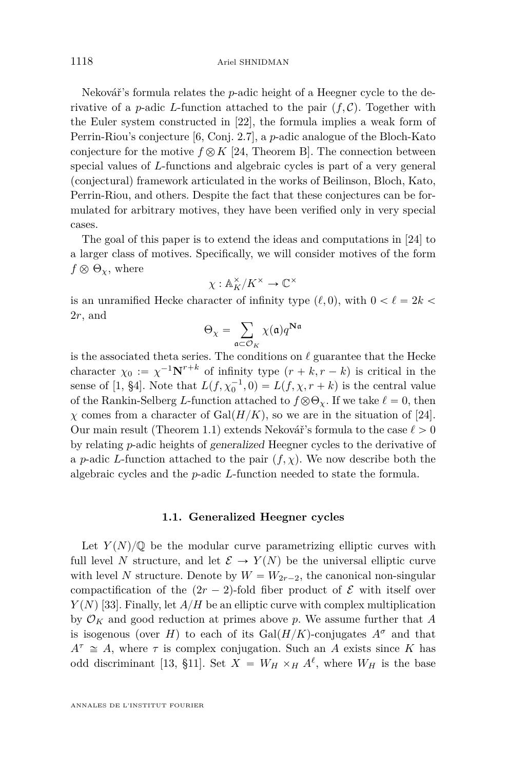Nekovář's formula relates the *p*-adic height of a Heegner cycle to the derivative of a *p*-adic *L*-function attached to the pair  $(f, C)$ . Together with the Euler system constructed in [\[22\]](#page-57-1), the formula implies a weak form of Perrin-Riou's conjecture [\[6,](#page-57-2) Conj. 2.7], a *p*-adic analogue of the Bloch-Kato conjecture for the motive  $f \otimes K$  [\[24,](#page-58-1) Theorem B]. The connection between special values of *L*-functions and algebraic cycles is part of a very general (conjectural) framework articulated in the works of Beilinson, Bloch, Kato, Perrin-Riou, and others. Despite the fact that these conjectures can be formulated for arbitrary motives, they have been verified only in very special cases.

The goal of this paper is to extend the ideas and computations in [\[24\]](#page-58-1) to a larger class of motives. Specifically, we will consider motives of the form  $f \otimes \Theta_{\chi}$ , where

$$
\chi: \mathbb{A}_K^\times/K^\times \to \mathbb{C}^\times
$$

is an unramified Hecke character of infinity type  $(\ell, 0)$ , with  $0 < \ell = 2k$ 2*r*, and

$$
\Theta_{\chi} = \sum_{\mathfrak{a} \subset \mathcal{O}_K} \chi(\mathfrak{a}) q^{\mathbf{N}\mathfrak{a}}
$$

is the associated theta series. The conditions on  $\ell$  guarantee that the Hecke character  $\chi_0 := \chi^{-1} \mathbf{N}^{r+k}$  of infinity type  $(r+k, r-k)$  is critical in the sense of [\[1,](#page-57-3) §4]. Note that  $L(f, \chi_0^{-1}, 0) = L(f, \chi, r + k)$  is the central value of the Rankin-Selberg *L*-function attached to  $f \otimes \Theta_{\gamma}$ . If we take  $\ell = 0$ , then *χ* comes from a character of  $Gal(H/K)$ , so we are in the situation of [\[24\]](#page-58-1). Our main result (Theorem [1.1\)](#page-5-0) extends Nekovář's formula to the case  $\ell > 0$ by relating *p*-adic heights of generalized Heegner cycles to the derivative of a *p*-adic *L*-function attached to the pair  $(f, \chi)$ . We now describe both the algebraic cycles and the *p*-adic *L*-function needed to state the formula.

#### **1.1. Generalized Heegner cycles**

Let  $Y(N)/\mathbb{Q}$  be the modular curve parametrizing elliptic curves with full level *N* structure, and let  $\mathcal{E} \to Y(N)$  be the universal elliptic curve with level *N* structure. Denote by  $W = W_{2r-2}$ , the canonical non-singular compactification of the  $(2r - 2)$ -fold fiber product of E with itself over  $Y(N)$  [\[33\]](#page-58-2). Finally, let  $A/H$  be an elliptic curve with complex multiplication by  $\mathcal{O}_K$  and good reduction at primes above p. We assume further that A is isogenous (over *H*) to each of its Gal $(H/K)$ -conjugates  $A^{\sigma}$  and that  $A^{\tau} \cong A$ , where  $\tau$  is complex conjugation. Such an *A* exists since *K* has odd discriminant [\[13,](#page-57-4) §11]. Set  $X = W_H \times_H A^{\ell}$ , where  $W_H$  is the base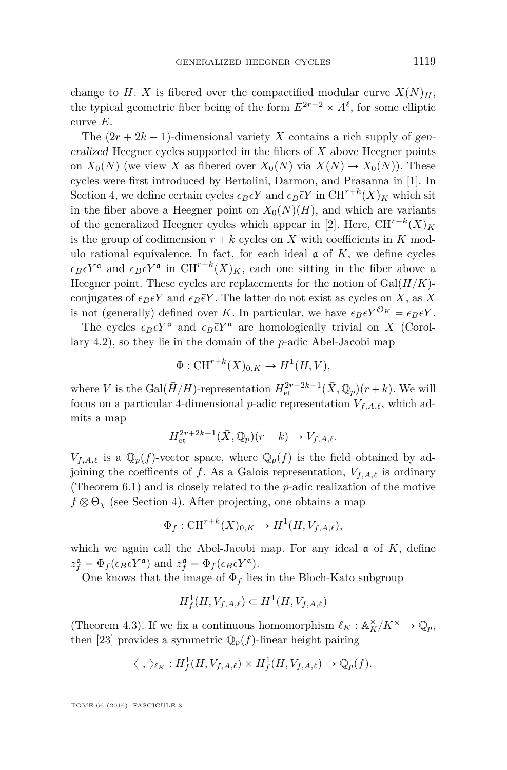change to *H*. *X* is fibered over the compactified modular curve  $X(N)_H$ , the typical geometric fiber being of the form  $E^{2r-2} \times A^{\ell}$ , for some elliptic curve *E*.

The  $(2r + 2k - 1)$ -dimensional variety *X* contains a rich supply of generalized Heegner cycles supported in the fibers of *X* above Heegner points on  $X_0(N)$  (we view *X* as fibered over  $X_0(N)$  via  $X(N) \rightarrow X_0(N)$ ). These cycles were first introduced by Bertolini, Darmon, and Prasanna in [\[1\]](#page-57-3). In Section [4,](#page-19-0) we define certain cycles  $\epsilon_B \epsilon Y$  and  $\epsilon_B \bar{\epsilon} Y$  in  $\mathrm{CH}^{r+k}(X)_K$  which sit in the fiber above a Heegner point on  $X_0(N)(H)$ , and which are variants of the generalized Heegner cycles which appear in [\[2\]](#page-57-5). Here,  $\text{CH}^{r+k}(X)_K$ is the group of codimension  $r + k$  cycles on *X* with coefficients in *K* modulo rational equivalence. In fact, for each ideal  $\alpha$  of  $K$ , we define cycles  $\epsilon_B \epsilon Y^{\mathfrak{a}}$  and  $\epsilon_B \bar{\epsilon} Y^{\mathfrak{a}}$  in CH<sup>r+k</sup>(X)<sub>K</sub>, each one sitting in the fiber above a Heegner point. These cycles are replacements for the notion of  $Gal(H/K)$ conjugates of  $\epsilon_B \epsilon Y$  and  $\epsilon_B \bar{\epsilon} Y$ . The latter do not exist as cycles on *X*, as *X* is not (generally) defined over *K*. In particular, we have  $\epsilon_B \epsilon Y^{\mathcal{O}_K} = \epsilon_B \epsilon Y$ .

The cycles  $\epsilon_B \epsilon Y^{\mathfrak{a}}$  and  $\epsilon_B \bar{\epsilon} Y^{\mathfrak{a}}$  are homologically trivial on *X* (Corollary [4.2\)](#page-23-0), so they lie in the domain of the *p*-adic Abel-Jacobi map

$$
\Phi: \mathrm{CH}^{r+k}(X)_{0,K} \to H^1(H, V),
$$

where *V* is the  $Gal(\bar{H}/H)$ -representation  $H<sub>et</sub><sup>2r+2k-1</sup>(\bar{X}, \mathbb{Q}_p)(r+k)$ . We will focus on a particular 4-dimensional *p*-adic representation  $V_{f,A,\ell}$ , which admits a map

$$
H^{2r+2k-1}_{\text{\rm et}}(\bar X, \mathbb{Q}_p)(r+k) \to V_{f,A,\ell}.
$$

 $V_{f,A,\ell}$  is a  $\mathbb{Q}_p(f)$ -vector space, where  $\mathbb{Q}_p(f)$  is the field obtained by adjoining the coefficents of *f*. As a Galois representation,  $V_{f,A,\ell}$  is ordinary (Theorem [6.1\)](#page-40-0) and is closely related to the *p*-adic realization of the motive  $f \otimes \Theta_\chi$  (see Section [4\)](#page-19-0). After projecting, one obtains a map

$$
\Phi_f: \mathrm{CH}^{r+k}(X)_{0,K} \to H^1(H, V_{f,A,\ell}),
$$

which we again call the Abel-Jacobi map. For any ideal  $\alpha$  of  $K$ , define  $z_f^{\mathfrak{a}} = \Phi_f(\epsilon_B \epsilon Y^{\mathfrak{a}})$  and  $\bar{z}_f^{\mathfrak{a}} = \Phi_f(\epsilon_B \bar{\epsilon} Y^{\mathfrak{a}})$ .

One knows that the image of  $\Phi_f$  lies in the Bloch-Kato subgroup

$$
H^1_f(H, V_{f,A,\ell}) \subset H^1(H, V_{f,A,\ell})
$$

(Theorem [4.3\)](#page-24-0). If we fix a continuous homomorphism  $\ell_K : \mathbb{A}^\times_K/K^\times \to \mathbb{Q}_p,$ then [\[23\]](#page-57-6) provides a symmetric  $\mathbb{Q}_p(f)$ -linear height pairing

$$
\langle , \rangle_{\ell_K} : H^1_f(H, V_{f, A, \ell}) \times H^1_f(H, V_{f, A, \ell}) \to \mathbb{Q}_p(f).
$$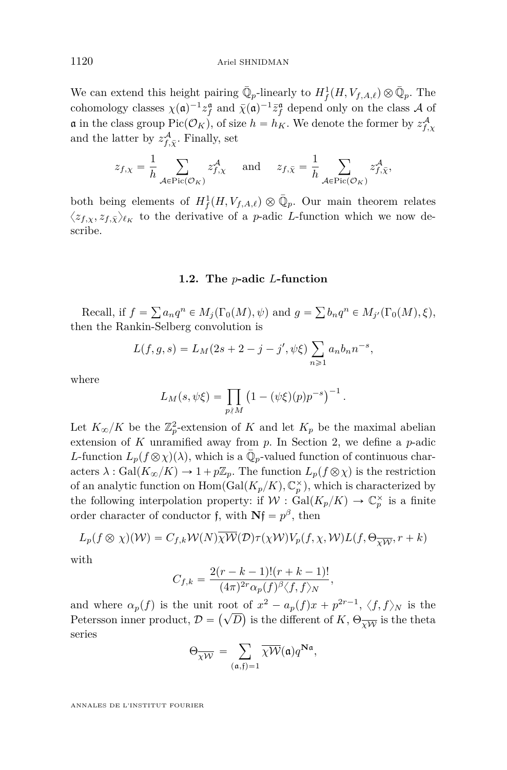We can extend this height pairing  $\bar{\mathbb{Q}}_p$ -linearly to  $H^1_f(H, V_{f,A,\ell}) \otimes \bar{\mathbb{Q}}_p$ . The cohomology classes  $\chi(\mathfrak{a})^{-1} z_f^{\mathfrak{a}}$  and  $\bar{\chi}(\mathfrak{a})^{-1} \bar{z}_f^{\mathfrak{a}}$  depend only on the class A of **a** in the class group Pic $(\mathcal{O}_K)$ , of size  $h = h_K$ . We denote the former by  $z_{f,\chi}^{\mathcal{A}}$ and the latter by  $z_{f,\bar{\chi}}^{\mathcal{A}}$ . Finally, set

$$
z_{f,\chi} = \frac{1}{h} \sum_{\mathcal{A} \in \text{Pic}(\mathcal{O}_K)} z_{f,\chi}^{\mathcal{A}} \quad \text{and} \quad z_{f,\bar{\chi}} = \frac{1}{h} \sum_{\mathcal{A} \in \text{Pic}(\mathcal{O}_K)} z_{f,\bar{\chi}}^{\mathcal{A}},
$$

both being elements of  $H^1_f(H, V_{f,A,\ell}) \otimes \overline{\mathbb{Q}}_p$ . Our main theorem relates  $\langle z_{f,x}, z_{f,\bar{X}} \rangle_{\ell_K}$  to the derivative of a *p*-adic *L*-function which we now describe.

#### **1.2. The** *p***-adic** *L***-function**

Recall, if  $f =$ ř  $a_n q^n \in M_j(\Gamma_0(M), \psi)$  and  $g =$ ř  $b_n q^n \in M_{j'}(\Gamma_0(M), \xi),$ then the Rankin-Selberg convolution is

$$
L(f, g, s) = L_M(2s + 2 - j - j', \psi\xi) \sum_{n \ge 1} a_n b_n n^{-s},
$$

where

$$
L_M(s, \psi \xi) = \prod_{p \nmid M} (1 - (\psi \xi)(p) p^{-s})^{-1}.
$$

Let  $K_{\infty}/K$  be the  $\mathbb{Z}_p^2$ -extension of *K* and let  $K_p$  be the maximal abelian extension of *K* unramified away from *p*. In Section 2, we define a *p*-adic *L*-function  $L_p(f \otimes \chi)(\lambda)$ , which is a  $\overline{\mathbb{Q}}_p$ -valued function of continuous characters  $\lambda$ : Gal $(K_{\infty}/K) \to 1 + p\mathbb{Z}_p$ . The function  $L_p(f \otimes \chi)$  is the restriction of an analytic function on  $\text{Hom}(\text{Gal}(K_p/K), \mathbb{C}_p^{\times})$ , which is characterized by the following interpolation property: if  $W : \text{Gal}(K_p/K) \to \mathbb{C}_p^{\times}$  is a finite order character of conductor f, with  $Nf = p^{\beta}$ , then

$$
L_p(f \otimes \chi)(\mathcal{W}) = C_{f,k} \mathcal{W}(N) \overline{\chi \mathcal{W}}(\mathcal{D}) \tau(\chi \mathcal{W}) V_p(f, \chi, \mathcal{W}) L(f, \Theta_{\overline{\chi \mathcal{W}}}, r+k)
$$

with

$$
C_{f,k} = \frac{2(r-k-1)!(r+k-1)!}{(4\pi)^{2r}\alpha_p(f)^{\beta}\langle f,f\rangle_N},
$$

and where  $\alpha_p(f)$  is the unit root of  $x^2 - a_p(f)x + p^{2r-1}, \langle f, f \rangle_N$  is the Petersson inner product,  $\mathcal{D} = (\sqrt{D})$  is the different of  $K$ ,  $\Theta_{\overline{\chi \mathcal{W}}}$  is the theta series

$$
\Theta_{\overline{\chi\mathcal{W}}} = \sum_{(\mathfrak{a}, \mathfrak{f})=1} \overline{\chi\mathcal{W}}(\mathfrak{a}) q^{\mathbf{N}\mathfrak{a}},
$$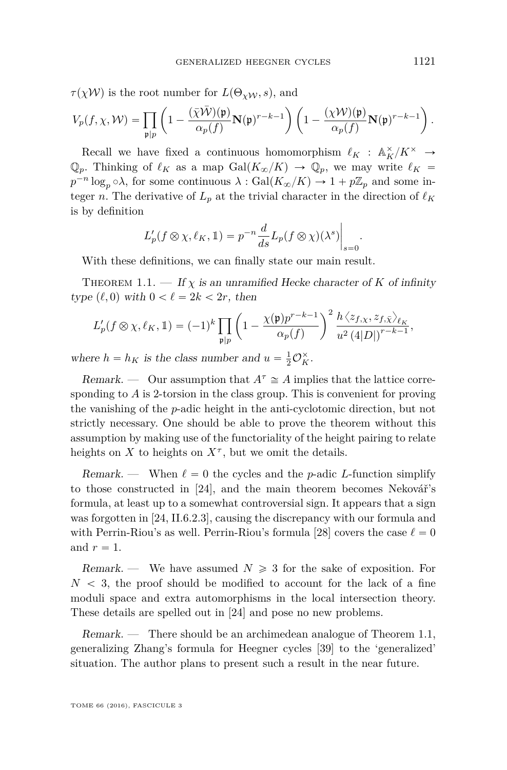*τ*(*χW*) is the root number for  $L(\Theta_{\chi W}, s)$ , and

$$
V_p(f, \chi, \mathcal{W}) = \prod_{\mathfrak{p} \mid p} \left( 1 - \frac{(\bar{\chi} \bar{\mathcal{W}})(\mathfrak{p})}{\alpha_p(f)} \mathbf{N}(\mathfrak{p})^{r-k-1} \right) \left( 1 - \frac{(\chi \mathcal{W})(\mathfrak{p})}{\alpha_p(f)} \mathbf{N}(\mathfrak{p})^{r-k-1} \right).
$$

Recall we have fixed a continuous homomorphism  $\ell_K$  :  $\mathbb{A}_K^{\times}/K^{\times} \rightarrow$  $\mathbb{Q}_p$ . Thinking of  $\ell_K$  as a map  $Gal(K_{\infty}/K) \to \mathbb{Q}_p$ , we may write  $\ell_K =$  $p^{-n} \log_p \circ \lambda$ , for some continuous  $\lambda : \text{Gal}(K_\infty/K) \to 1 + p\mathbb{Z}_p$  and some integer *n*. The derivative of  $L_p$  at the trivial character in the direction of  $\ell_K$ is by definition ˇ

$$
L'_p(f \otimes \chi, \ell_K, 1) = p^{-n} \frac{d}{ds} L_p(f \otimes \chi)(\lambda^s) \Big|_{s=0}
$$

With these definitions, we can finally state our main result.

<span id="page-5-0"></span>THEOREM 1.1. — If  $\chi$  is an unramified Hecke character of K of infinity type  $(\ell, 0)$  with  $0 < \ell = 2k < 2r$ , then

$$
L'_p(f \otimes \chi, \ell_K, \mathbb{1}) = (-1)^k \prod_{\mathfrak{p} \mid p} \left(1 - \frac{\chi(\mathfrak{p})p^{r-k-1}}{\alpha_p(f)}\right)^2 \frac{h \langle z_{f,\chi}, z_{f,\bar{\chi}} \rangle_{\ell_K}}{u^2 (4|D|)^{r-k-1}},
$$

where  $h = h_K$  is the class number and  $u = \frac{1}{2}O_K^{\times}$ .

Remark. — Our assumption that  $A^{\tau} \cong A$  implies that the lattice corresponding to *A* is 2-torsion in the class group. This is convenient for proving the vanishing of the *p*-adic height in the anti-cyclotomic direction, but not strictly necessary. One should be able to prove the theorem without this assumption by making use of the functoriality of the height pairing to relate heights on  $X$  to heights on  $X^{\tau}$ , but we omit the details.

Remark. — When  $\ell = 0$  the cycles and the *p*-adic *L*-function simplify to those constructed in [\[24\]](#page-58-1), and the main theorem becomes Nekovář's formula, at least up to a somewhat controversial sign. It appears that a sign was forgotten in [\[24,](#page-58-1) II.6.2.3], causing the discrepancy with our formula and with Perrin-Riou's as well. Perrin-Riou's formula [\[28\]](#page-58-0) covers the case  $\ell = 0$ and  $r = 1$ .

Remark. — We have assumed  $N \geq 3$  for the sake of exposition. For  $N < 3$ , the proof should be modified to account for the lack of a fine moduli space and extra automorphisms in the local intersection theory. These details are spelled out in [\[24\]](#page-58-1) and pose no new problems.

Remark. — There should be an archimedean analogue of Theorem [1.1,](#page-5-0) generalizing Zhang's formula for Heegner cycles [\[39\]](#page-58-3) to the 'generalized' situation. The author plans to present such a result in the near future.

TOME 66 (2016), FASCICULE 3

*.*

 $\overline{a}$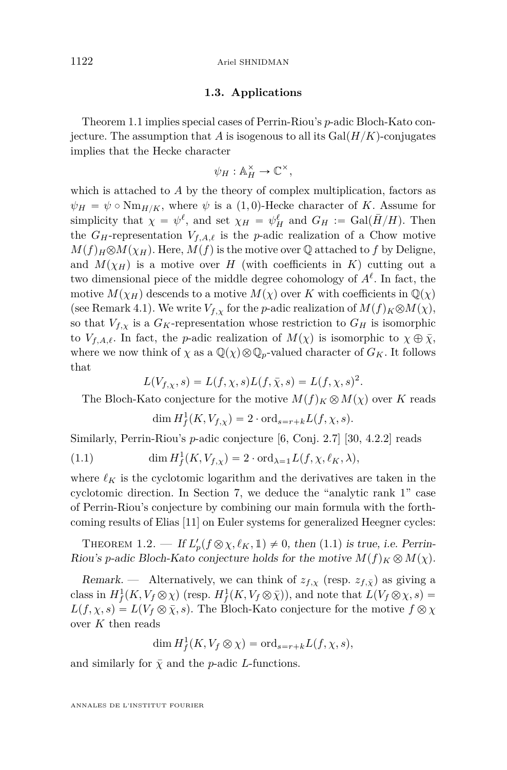#### <span id="page-6-1"></span>1122 Ariel SHNIDMAN

#### **1.3. Applications**

Theorem [1.1](#page-5-0) implies special cases of Perrin-Riou's *p*-adic Bloch-Kato conjecture. The assumption that *A* is isogenous to all its  $Gal(H/K)$ -conjugates implies that the Hecke character

$$
\psi_H : \mathbb{A}_H^{\times} \to \mathbb{C}^{\times},
$$

which is attached to *A* by the theory of complex multiplication, factors as  $\psi_H = \psi \circ \text{Nm}_{H/K}$ , where  $\psi$  is a (1,0)-Hecke character of *K*. Assume for simplicity that  $\chi = \psi^{\ell}$ , and set  $\chi_H = \psi_H^{\ell}$  and  $G_H := \text{Gal}(\overline{H}/H)$ . Then the  $G_H$ -representation  $V_{f,A,\ell}$  is the *p*-adic realization of a Chow motive  $M(f)$ <sub>*H*</sub> $\otimes$ *M*( $\chi$ <sub>*H*</sub>). Here, *M*(*f*) is the motive over Q attached to *f* by Deligne, and  $M(\chi_H)$  is a motive over *H* (with coefficients in *K*) cutting out a two dimensional piece of the middle degree cohomology of  $A^{\ell}$ . In fact, the motive  $M(\chi_H)$  descends to a motive  $M(\chi)$  over *K* with coefficients in  $\mathbb{Q}(\chi)$ (see Remark [4.1\)](#page-21-0). We write  $V_{f,x}$  for the *p*-adic realization of  $M(f)_K \otimes M(\chi)$ , so that  $V_{f,x}$  is a  $G_K$ -representation whose restriction to  $G_H$  is isomorphic to  $V_{f,A,\ell}$ . In fact, the *p*-adic realization of  $M(\chi)$  is isomorphic to  $\chi \oplus \overline{\chi}$ , where we now think of  $\chi$  as a  $\mathbb{Q}(\chi)\otimes\mathbb{Q}_p$ -valued character of  $G_K$ . It follows that

$$
L(V_{f,\chi},s) = L(f,\chi,s)L(f,\bar{\chi},s) = L(f,\chi,s)^{2}.
$$

The Bloch-Kato conjecture for the motive  $M(f)_K \otimes M(\chi)$  over *K* reads

<span id="page-6-0"></span>
$$
\dim H^1_f(K, V_{f,\chi}) = 2 \cdot \text{ord}_{s=r+k} L(f, \chi, s).
$$

Similarly, Perrin-Riou's *p*-adic conjecture [\[6,](#page-57-2) Conj. 2.7] [\[30,](#page-58-4) 4.2.2] reads

(1.1) 
$$
\dim H^1_f(K, V_{f,\chi}) = 2 \cdot \text{ord}_{\lambda=1} L(f, \chi, \ell_K, \lambda),
$$

where  $\ell_K$  is the cyclotomic logarithm and the derivatives are taken in the cyclotomic direction. In Section [7,](#page-42-0) we deduce the "analytic rank 1" case of Perrin-Riou's conjecture by combining our main formula with the forthcoming results of Elias [\[11\]](#page-57-7) on Euler systems for generalized Heegner cycles:

<span id="page-6-2"></span>THEOREM 1.2. — If  $L'_p(f \otimes \chi, \ell_K, 1) \neq 0$ , then [\(1.1\)](#page-6-0) is true, i.e. Perrin-Riou's *p*-adic Bloch-Kato conjecture holds for the motive  $M(f)_K \otimes M(\chi)$ .

Remark. — Alternatively, we can think of  $z_{f,x}$  (resp.  $z_{f,\bar{x}}$ ) as giving a class in  $H^1_f(K, V_f \otimes \chi)$  (resp.  $H^1_f(K, V_f \otimes \bar{\chi})$ ), and note that  $L(V_f \otimes \chi, s)$  $L(f, \chi, s) = L(V_f \otimes \bar{\chi}, s)$ . The Bloch-Kato conjecture for the motive  $f \otimes \chi$ over *K* then reads

$$
\dim H^1_f(K, V_f \otimes \chi) = \text{ord}_{s=r+k} L(f, \chi, s),
$$

and similarly for  $\bar{\chi}$  and the *p*-adic *L*-functions.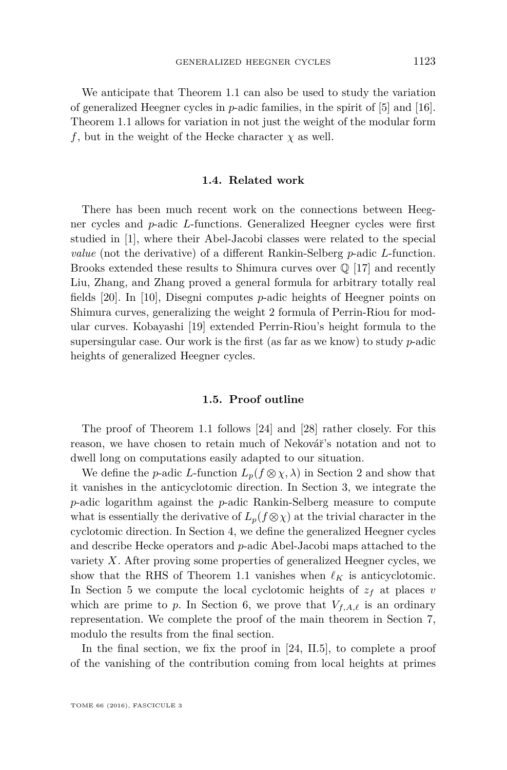We anticipate that Theorem [1.1](#page-5-0) can also be used to study the variation of generalized Heegner cycles in *p*-adic families, in the spirit of [\[5\]](#page-57-8) and [\[16\]](#page-57-9). Theorem [1.1](#page-5-0) allows for variation in not just the weight of the modular form *f*, but in the weight of the Hecke character  $\chi$  as well.

#### **1.4. Related work**

There has been much recent work on the connections between Heegner cycles and *p*-adic *L*-functions. Generalized Heegner cycles were first studied in [\[1\]](#page-57-3), where their Abel-Jacobi classes were related to the special *value* (not the derivative) of a different Rankin-Selberg *p*-adic *L*-function. Brooks extended these results to Shimura curves over  $\mathbb Q$  [\[17\]](#page-57-10) and recently Liu, Zhang, and Zhang proved a general formula for arbitrary totally real fields [\[20\]](#page-57-11). In [\[10\]](#page-57-12), Disegni computes *p*-adic heights of Heegner points on Shimura curves, generalizing the weight 2 formula of Perrin-Riou for modular curves. Kobayashi [\[19\]](#page-57-13) extended Perrin-Riou's height formula to the supersingular case. Our work is the first (as far as we know) to study *p*-adic heights of generalized Heegner cycles.

#### **1.5. Proof outline**

The proof of Theorem [1.1](#page-5-0) follows [\[24\]](#page-58-1) and [\[28\]](#page-58-0) rather closely. For this reason, we have chosen to retain much of Nekovář's notation and not to dwell long on computations easily adapted to our situation.

We define the *p*-adic *L*-function  $L_p(f \otimes \chi, \lambda)$  in Section [2](#page-8-0) and show that it vanishes in the anticyclotomic direction. In Section [3,](#page-14-0) we integrate the *p*-adic logarithm against the *p*-adic Rankin-Selberg measure to compute what is essentially the derivative of  $L_p(f \otimes \chi)$  at the trivial character in the cyclotomic direction. In Section [4,](#page-19-0) we define the generalized Heegner cycles and describe Hecke operators and *p*-adic Abel-Jacobi maps attached to the variety *X*. After proving some properties of generalized Heegner cycles, we show that the RHS of Theorem [1.1](#page-5-0) vanishes when  $\ell_K$  is anticyclotomic. In Section [5](#page-32-0) we compute the local cyclotomic heights of  $z_f$  at places *v* which are prime to p. In Section [6,](#page-39-0) we prove that  $V_{f,A,\ell}$  is an ordinary representation. We complete the proof of the main theorem in Section [7,](#page-42-0) modulo the results from the final section.

In the final section, we fix the proof in [\[24,](#page-58-1) II.5], to complete a proof of the vanishing of the contribution coming from local heights at primes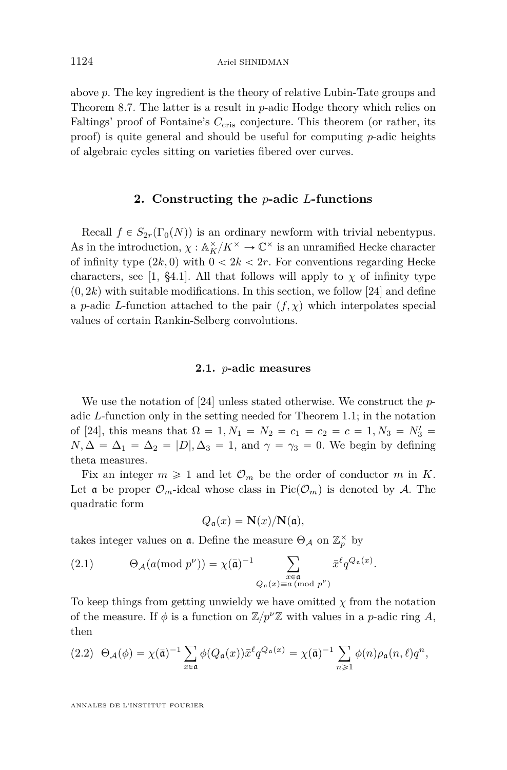above *p*. The key ingredient is the theory of relative Lubin-Tate groups and Theorem [8.7.](#page-53-0) The latter is a result in *p*-adic Hodge theory which relies on Faltings' proof of Fontaine's C<sub>cris</sub> conjecture. This theorem (or rather, its proof) is quite general and should be useful for computing *p*-adic heights of algebraic cycles sitting on varieties fibered over curves.

#### **2. Constructing the** *p***-adic** *L***-functions**

<span id="page-8-0"></span>Recall  $f \in S_{2r}(\Gamma_0(N))$  is an ordinary newform with trivial nebentypus. As in the introduction,  $\chi : \mathbb{A}_K^\times/K^\times \to \mathbb{C}^\times$  is an unramified Hecke character of infinity type  $(2k, 0)$  with  $0 < 2k < 2r$ . For conventions regarding Hecke characters, see [\[1,](#page-57-3) §4.1]. All that follows will apply to  $\chi$  of infinity type  $(0, 2k)$  with suitable modifications. In this section, we follow [\[24\]](#page-58-1) and define a *p*-adic *L*-function attached to the pair  $(f, \chi)$  which interpolates special values of certain Rankin-Selberg convolutions.

#### **2.1.** *p***-adic measures**

We use the notation of [\[24\]](#page-58-1) unless stated otherwise. We construct the *p*adic *L*-function only in the setting needed for Theorem [1.1;](#page-5-0) in the notation of [\[24\]](#page-58-1), this means that  $\Omega = 1, N_1 = N_2 = c_1 = c_2 = c = 1, N_3 = N'_3 =$  $N, \Delta = \Delta_1 = \Delta_2 = |D|, \Delta_3 = 1, \text{ and } \gamma = \gamma_3 = 0.$  We begin by defining theta measures.

Fix an integer  $m \geq 1$  and let  $\mathcal{O}_m$  be the order of conductor *m* in *K*. Let a be proper  $\mathcal{O}_m$ -ideal whose class in Pic $(\mathcal{O}_m)$  is denoted by A. The quadratic form

$$
Q_{\mathfrak{a}}(x) = \mathbf{N}(x)/\mathbf{N}(\mathfrak{a}),
$$

*.*

takes integer values on **a**. Define the measure  $\Theta_{\mathcal{A}}$  on  $\mathbb{Z}_p^{\times}$  by

(2.1) 
$$
\Theta_{\mathcal{A}}(a(\text{mod } p^{\nu})) = \chi(\bar{\mathfrak{a}})^{-1} \sum_{\substack{x \in \mathfrak{a} \\ Q_{\mathfrak{a}}(x) \equiv a \pmod{p^{\nu}}} } \bar{x}^{\ell} q^{Q_{\mathfrak{a}}(x)}
$$

To keep things from getting unwieldy we have omitted  $\chi$  from the notation of the measure. If  $\phi$  is a function on  $\mathbb{Z}/p^{\nu}\mathbb{Z}$  with values in a *p*-adic ring *A*, then

(2.2) 
$$
\Theta_{\mathcal{A}}(\phi) = \chi(\bar{\mathfrak{a}})^{-1} \sum_{x \in \mathfrak{a}} \phi(Q_{\mathfrak{a}}(x)) \bar{x}^{\ell} q^{Q_{\mathfrak{a}}(x)} = \chi(\bar{\mathfrak{a}})^{-1} \sum_{n \geq 1} \phi(n) \rho_{\mathfrak{a}}(n, \ell) q^n,
$$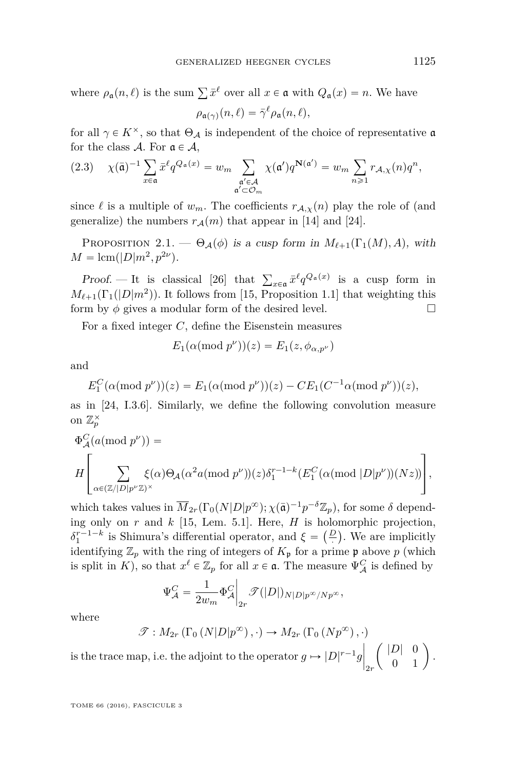where  $\rho_{\mathfrak{a}}(n,\ell)$  is the sum  $\sum \bar{x}^{\ell}$  over all  $x \in \mathfrak{a}$  with  $Q_{\mathfrak{a}}(x) = n$ . We have  $\rho_{\mathfrak{a}(\gamma)}(n,\ell) = \bar{\gamma}^{\ell} \rho_{\mathfrak{a}}(n,\ell),$ 

for all  $\gamma \in K^{\times}$ , so that  $\Theta_{\mathcal{A}}$  is independent of the choice of representative  $\mathfrak{a}$ 

for the class 
$$
\mathcal{A}
$$
. For  $\mathfrak{a} \in \mathcal{A}$ ,  
\n(2.3)  $\chi(\bar{\mathfrak{a}})^{-1} \sum_{x \in \mathfrak{a}} \bar{x}^{\ell} q^{Q_{\mathfrak{a}}(x)} = w_m \sum_{\substack{\mathfrak{a}' \in \mathcal{A} \\ \mathfrak{a}' \subset \mathcal{O}_m}} \chi(\mathfrak{a}') q^{\mathbf{N}(\mathfrak{a}')} = w_m \sum_{n \geq 1} r_{\mathcal{A},\chi}(n) q^n$ ,

since  $\ell$  is a multiple of  $w_m$ . The coefficients  $r_{\mathcal{A},\chi}(n)$  play the role of (and generalize) the numbers  $r_A(m)$  that appear in [\[14\]](#page-57-0) and [\[24\]](#page-58-1).

PROPOSITION 2.1. —  $\Theta_{\mathcal{A}}(\phi)$  is a cusp form in  $M_{\ell+1}(\Gamma_1(M), A)$ , with  $M = \text{lcm}(|D|m^2, p^{2\nu}).$ 

Proof. — It is classical [\[26\]](#page-58-5) that  $\sum_{x \in \mathfrak{a}} \bar{x}^{\ell} q^{Q_{\mathfrak{a}}(x)}$  is a cusp form in  $M_{\ell+1}(\Gamma_1(|D|m^2))$ . It follows from [\[15,](#page-57-14) Proposition 1.1] that weighting this form by  $\phi$  gives a modular form of the desired level.  $\Box$ 

For a fixed integer *C*, define the Eisenstein measures

$$
E_1(\alpha(\text{mod }p^{\nu}))(z) = E_1(z, \phi_{\alpha, p^{\nu}})
$$

and

 $E_1^C(\alpha(\text{mod } p^{\nu}))(z) = E_1(\alpha(\text{mod } p^{\nu}))(z) - CE_1(C^{-1}\alpha(\text{mod } p^{\nu}))(z),$ as in [\[24,](#page-58-1) I.3.6]. Similarly, we define the following convolution measure on  $\mathbb{Z}_p^{\times}$ 

$$
\Phi_{\mathcal{A}}^{C}(a(\text{mod } p^{\nu})) =
$$
\n
$$
H\left[\sum_{\alpha\in(\mathbb{Z}/|D|p^{\nu}\mathbb{Z})^{\times}}\xi(\alpha)\Theta_{\mathcal{A}}(\alpha^{2}a(\text{mod } p^{\nu}))(z)\delta_{1}^{r-1-k}(E_{1}^{C}(\alpha(\text{mod }|D|p^{\nu}))(Nz))\right],
$$

which takes values in  $\overline{M}_{2r}(\Gamma_0(N|D|p^{\infty}); \chi(\overline{\mathfrak{a}})^{-1}p^{-\delta}\mathbb{Z}_p)$ , for some  $\delta$  depending only on  $r$  and  $k$  [\[15,](#page-57-14) Lem. 5.1]. Here,  $H$  is holomorphic projection, ing only on *r* and *k* [15, Lem. 5.1]. Here, *H* is holomorphic projection,<br>  $\delta_1^{r-1-k}$  is Shimura's differential operator, and  $\xi = \left(\frac{D}{r}\right)$ . We are implicitly identifying  $\mathbb{Z}_p$  with the ring of integers of  $K_{\mathfrak{p}}$  for a prime  $\mathfrak{p}$  above p (which is split in *K*), so that  $x^{\ell} \in \mathbb{Z}_p$  for all  $x \in \mathfrak{a}$ . The measure  $\Psi_{\mathcal{A}}^C$  is defined by

$$
\Psi^C_{\mathcal{A}} = \frac{1}{2w_m} \Phi^C_{\mathcal{A}} \bigg|_{2r} \mathcal{F}(|D|)_{N|D|p^{\infty}/Np^{\infty}},
$$

where

$$
\mathcal{T}: M_{2r}(\Gamma_0(N|D|p^{\infty}), \cdot) \to M_{2r}(\Gamma_0(Np^{\infty}), \cdot)
$$
  
ace map, i.e. the adjoint to the operator  $g \mapsto |D|^{r-1}g \begin{pmatrix} |D| & 0 \\ 0 & 1 \end{pmatrix}$ 

is the trace map, i.e. the adjoint to the operator  $g \mapsto |D|$  $r-1g$ 2*r*  $\begin{bmatrix} D & 0 \\ 0 & 1 \end{bmatrix}$ .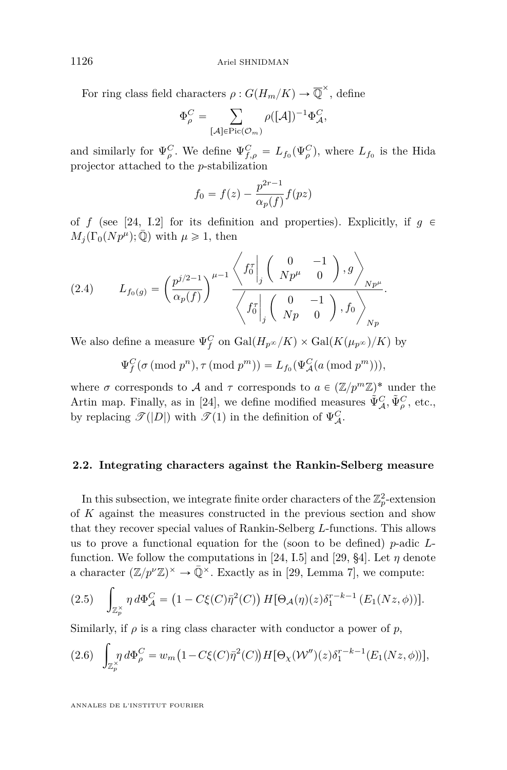For ring class field characters  $\rho: G(H_m/K) \to \overline{\mathbb{Q}}^{\times}$ , define

$$
\Phi_{\rho}^C = \sum_{[\mathcal{A}] \in \text{Pic}(\mathcal{O}_m)} \rho([\mathcal{A}])^{-1} \Phi_{\mathcal{A}}^C,
$$

and similarly for  $\Psi_{\rho}^C$ . We define  $\Psi_{f,\rho}^C = L_{f_0}(\Psi_{\rho}^C)$ , where  $L_{f_0}$  is the Hida projector attached to the *p*-stabilization

$$
f_0 = f(z) - \frac{p^{2r-1}}{\alpha_p(f)} f(pz)
$$

of *f* (see [\[24,](#page-58-1) I.2] for its definition and properties). Explicitly, if  $g \in$  $M_j(\Gamma_0(Np^{\mu}); \overline{\mathbb{Q}})$  with  $\mu \geq 1$ , then

(2.4) 
$$
L_{f_0(g)} = \left(\frac{p^{j/2-1}}{\alpha_p(f)}\right)^{\mu-1} \frac{\left\langle f_0^{\pi} \middle|_j \left( \begin{array}{cc} 0 & -1 \\ Np^{\mu} & 0 \end{array} \right), g \right\rangle_{Np^{\mu}}}{\left\langle f_0^{\pi} \middle|_j \left( \begin{array}{cc} 0 & -1 \\ Np & 0 \end{array} \right), f_0 \right\rangle_{Np}}.
$$

We also define a measure  $\Psi_f^C$  on  $Gal(H_{p^{\infty}}/K) \times Gal(K(\mu_{p^{\infty}})/K)$  by

$$
\Psi_f^C(\sigma \, (\text{mod } p^n), \tau \, (\text{mod } p^m)) = L_{f_0}(\Psi_{\mathcal{A}}^C(a \, (\text{mod } p^m))),
$$

where  $\sigma$  corresponds to  $\mathcal A$  and  $\tau$  corresponds to  $a \in (\mathbb Z/p^m\mathbb Z)^*$  under the Artin map. Finally, as in [\[24\]](#page-58-1), we define modified measures  $\tilde{\Psi}^C_{\mathcal{A}}, \tilde{\Psi}^C_{\rho}$ , etc., by replacing  $\mathscr{T}(|D|)$  with  $\mathscr{T}(1)$  in the definition of  $\Psi_{\mathcal{A}}^C$ .

#### **2.2. Integrating characters against the Rankin-Selberg measure**

In this subsection, we integrate finite order characters of the  $\mathbb{Z}_p^2$ -extension of *K* against the measures constructed in the previous section and show that they recover special values of Rankin-Selberg *L*-functions. This allows us to prove a functional equation for the (soon to be defined) *p*-adic *L*-function. We follow the computations in [\[24,](#page-58-1) I.5] and [\[29,](#page-58-6) §4]. Let  $\eta$  denote a character  $(\mathbb{Z}/p^{\nu}\mathbb{Z})^{\times} \to \bar{\mathbb{Q}}^{\times}$ . Exactly as in [\[29,](#page-58-6) Lemma 7], we compute:

(2.5) 
$$
\int_{\mathbb{Z}_p^{\times}} \eta \, d\Phi_{\mathcal{A}}^C = (1 - C\xi(C)\bar{\eta}^2(C)) H[\Theta_{\mathcal{A}}(\eta)(z)\delta_1^{r-k-1} (E_1(Nz,\phi))].
$$

Similarly, if  $\rho$  is a ring class character with conductor a power of  $p$ ,

(2.6) 
$$
\int_{\mathbb{Z}_p^{\times}} \eta \, d\Phi_{\rho}^C = w_m \big( 1 - C \xi(C) \overline{\eta}^2(C) \big) H[\Theta_{\chi}(\mathcal{W}'')(z) \delta_1^{r-k-1}(E_1(Nz,\phi))],
$$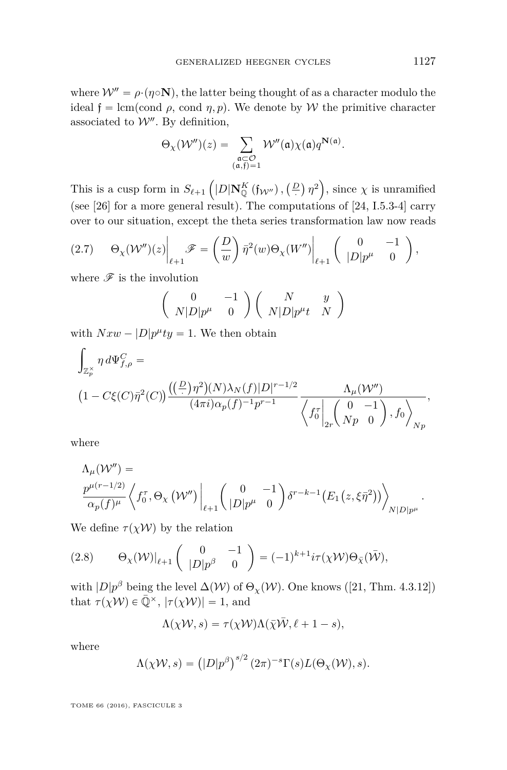where  $W'' = \rho \cdot (\eta \circ \mathbf{N})$ , the latter being thought of as a character modulo the ideal  $f = \text{lcm}(\text{cond } \rho, \text{ cond } \eta, p)$ . We denote by W the primitive character associated to  $\mathcal{W}''$ . By definition,

$$
\Theta_{\chi}(\mathcal{W}'')(z) = \sum_{\substack{\mathfrak{a} \subset \mathcal{O} \\ (\mathfrak{a}, \mathfrak{f}) = 1}} \mathcal{W}''(\mathfrak{a}) \chi(\mathfrak{a}) q^{\mathbf{N}(\mathfrak{a})}.
$$

This is a cusp form in  $S_{\ell+1}$  $|D|\mathbf{N}_{\mathbb{Q}}^{K}(\mathfrak{f}_{\mathcal{W}''})$  ,  $\left(\frac{D}{D}\right)$ *η* 2 , since  $\chi$  is unramified (see [\[26\]](#page-58-5) for a more general result). The computations of [\[24,](#page-58-1) I.5.3-4] carry over to our situation, except the theta series transformation law now reads

$$
(2.7) \qquad \Theta_{\chi}(\mathcal{W}'')(z)\bigg|_{\ell+1} \mathscr{F} = \left(\frac{D}{w}\right)\bar{\eta}^{2}(w)\Theta_{\chi}(W'')\bigg|_{\ell+1}\left(\begin{array}{cc} 0 & -1\\ |D|p^{\mu} & 0 \end{array}\right),
$$

where  $\mathscr F$  is the involution

$$
\begin{pmatrix}\n0 & -1 \\
N|D|p^{\mu} & 0\n\end{pmatrix}\n\begin{pmatrix}\nN & y \\
N|D|p^{\mu}t & N\n\end{pmatrix}
$$

with  $Nxw - |D|p^{\mu}ty = 1$ . We then obtain

$$
\int_{\mathbb{Z}_p^{\times}} \eta \, d\Psi_{f,\rho}^C =
$$
\n
$$
\left(1 - C\xi(C)\bar{\eta}^2(C)\right) \frac{\left((\frac{D}{r})\eta^2\right)(N)\lambda_N(f)|D|^{r-1/2}}{(4\pi i)\alpha_p(f)^{-1}p^{r-1}} \frac{\Lambda_\mu(\mathcal{W}'')}{\left\langle f_0^{\tau} \bigg|_{2r} \begin{pmatrix} 0 & -1 \\ Np & 0 \end{pmatrix}, f_0 \right\rangle_{Np}},
$$

where

$$
\Lambda_{\mu}(\mathcal{W}'') =
$$
\n
$$
\frac{p^{\mu(r-1/2)}}{\alpha_p(f)^{\mu}} \left\langle f_0^{\tau}, \Theta_{\chi}(\mathcal{W}'') \Big|_{\ell+1} \left( \begin{array}{cc} 0 & -1 \\ |D|p^{\mu} & 0 \end{array} \right) \delta^{r-k-1} (E_1(z, \xi \bar{\eta}^2)) \right\rangle_{N|D|p^{\mu}}.
$$

We define  $\tau(\chi\mathcal{W})$  by the relation

(2.8) 
$$
\Theta_{\chi}(\mathcal{W})|_{\ell+1} \begin{pmatrix} 0 & -1 \\ |D|p^{\beta} & 0 \end{pmatrix} = (-1)^{k+1} i\tau(\chi \mathcal{W}) \Theta_{\bar{\chi}}(\bar{\mathcal{W}}),
$$

with  $|D|p^{\beta}$  being the level  $\Delta(W)$  of  $\Theta_{\chi}(W)$ . One knows ([\[21,](#page-57-15) Thm. 4.3.12]) that  $\tau(\chi W) \in \bar{\mathbb{Q}}^\times$ ,  $|\tau(\chi W)| = 1$ , and

$$
\Lambda(\chi W, s) = \tau(\chi W) \Lambda(\bar{\chi} \bar{W}, \ell + 1 - s),
$$

where

$$
\Lambda(\chi\mathcal{W},s) = (|D|p^{\beta})^{s/2} (2\pi)^{-s} \Gamma(s) L(\Theta_{\chi}(\mathcal{W}),s).
$$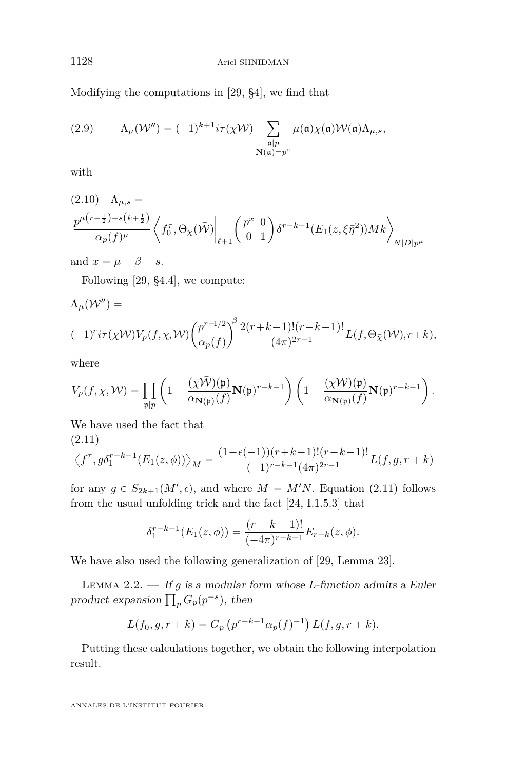Modifying the computations in [\[29,](#page-58-6) §4], we find that

(2.9) 
$$
\Lambda_{\mu}(\mathcal{W}'') = (-1)^{k+1} i \tau(\chi \mathcal{W}) \sum_{\substack{\mathfrak{a} \mid p \\ \mathbf{N}(\mathfrak{a}) = p^s}} \mu(\mathfrak{a}) \chi(\mathfrak{a}) \mathcal{W}(\mathfrak{a}) \Lambda_{\mu,s},
$$

with

$$
(2.10) \quad \Lambda_{\mu,s} = \frac{p^{\mu(r-\frac{1}{2}) - s(k+\frac{1}{2})}}{\alpha_p(f)^{\mu}} \left\langle f_0^{\tau}, \Theta_{\bar{\chi}}(\bar{W}) \Big|_{\ell+1} \begin{pmatrix} p^x & 0\\ 0 & 1 \end{pmatrix} \delta^{r-k-1}(E_1(z,\xi\bar{\eta}^2))Mk \right\rangle_{N|D|p^{\mu}}
$$

and  $x = \mu - \beta - s$ .

Following [\[29,](#page-58-6) §4.4], we compute:

$$
\Lambda_{\mu}(\mathcal{W}'') =
$$
\n
$$
(-1)^{r} i\tau(\chi \mathcal{W}) V_{p}(f, \chi, \mathcal{W}) \left(\frac{p^{r-1/2}}{\alpha_{p}(f)}\right)^{\beta} \frac{2(r+k-1)!(r-k-1)!}{(4\pi)^{2r-1}} L(f, \Theta_{\bar{\chi}}(\bar{\mathcal{W}}), r+k),
$$

where

$$
V_p(f,\chi,\mathcal{W})=\prod_{\mathfrak{p}\mid p}\left(1-\frac{(\bar{\chi}\bar{\mathcal{W}})(\mathfrak{p})}{\alpha_{\mathbf{N}(\mathfrak{p})}(f)}\mathbf{N}(\mathfrak{p})^{r-k-1}\right)\left(1-\frac{(\chi\mathcal{W})(\mathfrak{p})}{\alpha_{\mathbf{N}(\mathfrak{p})}(f)}\mathbf{N}(\mathfrak{p})^{r-k-1}\right).
$$

We have used the fact that

<span id="page-12-0"></span>
$$
(2.11)
$$
  

$$
\langle f^{\tau}, g \delta_1^{r-k-1}(E_1(z, \phi)) \rangle_M = \frac{(1 - \epsilon(-1))(r+k-1)!(r-k-1)!}{(-1)^{r-k-1}(4\pi)^{2r-1}} L(f, g, r+k)
$$

for any  $g \in S_{2k+1}(M', \epsilon)$ , and where  $M = M'N$ . Equation [\(2.11\)](#page-12-0) follows from the usual unfolding trick and the fact [\[24,](#page-58-1) I.1.5.3] that

$$
\delta_1^{r-k-1}(E_1(z,\phi)) = \frac{(r-k-1)!}{(-4\pi)^{r-k-1}} E_{r-k}(z,\phi).
$$

We have also used the following generalization of [\[29,](#page-58-6) Lemma 23].

Lemma 2.2. — If *g* is a modular form whose *L*-function admits a Euler  $p$  LEMMA 2.2.  $\longrightarrow$  *If g is a modular i* product expansion  $\prod_p G_p(p^{-s})$ , then

$$
L(f_0, g, r + k) = G_p \left( p^{r-k-1} \alpha_p(f)^{-1} \right) L(f, g, r + k).
$$

Putting these calculations together, we obtain the following interpolation result.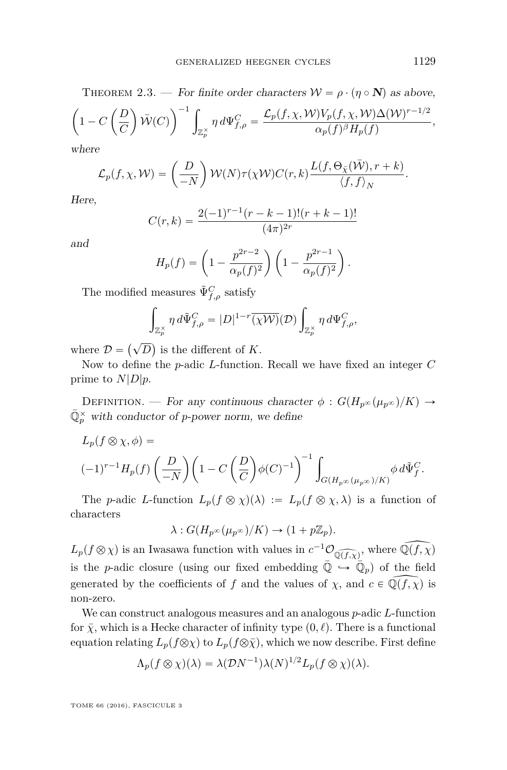where

$$
\mathcal{L}_p(f, \chi, \mathcal{W}) = \left(\frac{D}{-N}\right) \mathcal{W}(N)\tau(\chi \mathcal{W})C(r, k)\frac{L(f, \Theta_{\bar{\chi}}(\bar{\mathcal{W}}), r+k)}{\langle f, f \rangle_N}
$$

Here,

$$
C(r,k) = \frac{2(-1)^{r-1}(r-k-1)!(r+k-1)!}{(4\pi)^{2r}}
$$

and

$$
H_p(f) = \left(1 - \frac{p^{2r-2}}{\alpha_p(f)^2}\right) \left(1 - \frac{p^{2r-1}}{\alpha_p(f)^2}\right).
$$

The modified measures  $\tilde{\Psi}^C_{f,\rho}$  satisfy

$$
\int_{\mathbb{Z}_p^\times} \eta \, d\tilde{\Psi}_{f,\rho}^C = |D|^{1-r} \overline{(\chi \mathcal{W})}(\mathcal{D}) \int_{\mathbb{Z}_p^\times} \eta \, d\Psi_{f,\rho}^C,
$$

where  $\mathcal{D} =$  $(\sqrt{D}$ is the different of *K*.

Now to define the *p*-adic *L*-function. Recall we have fixed an integer *C* prime to  $N|D|p$ .

DEFINITION. — For any continuous character  $\phi : G(H_{p^{\infty}}(\mu_{p^{\infty}})/K) \rightarrow$  $\bar{\mathbb{Q}}_p^{\times}$  with conductor of *p*-power norm, we define

$$
L_p(f \otimes \chi, \phi) =
$$
  

$$
(-1)^{r-1} H_p(f) \left( \frac{D}{-N} \right) \left( 1 - C \left( \frac{D}{C} \right) \phi(C)^{-1} \right)^{-1} \int_{G(H_{p^{\infty}}(\mu_{p^{\infty}})/K)} \phi \, d\tilde{\Psi}_f^C.
$$

The *p*-adic *L*-function  $L_p(f \otimes \chi)(\lambda) := L_p(f \otimes \chi, \lambda)$  is a function of characters

$$
\lambda: G(H_{p^{\infty}}(\mu_{p^{\infty}})/K) \to (1+p\mathbb{Z}_p).
$$

 $L_p(f \otimes \chi)$  is an Iwasawa function with values in  $c^{-1}\mathcal{O}_{\widehat{\mathbb{Q}(f,\chi)}}$ , where  $\widehat{\mathbb{Q}(f,\chi)}$ is the *p*-adic closure (using our fixed embedding  $\overline{Q} \hookrightarrow \overline{Q}_p$ ) of the field generated by the coefficients of *f* and the values of  $\chi$ , and  $c \in \mathbb{Q}(f, \chi)$  is non-zero.

We can construct analogous measures and an analogous *p*-adic *L*-function for  $\bar{\chi}$ , which is a Hecke character of infinity type  $(0, \ell)$ . There is a functional equation relating  $L_p(f \otimes \chi)$  to  $L_p(f \otimes \overline{\chi})$ , which we now describe. First define

$$
\Lambda_p(f \otimes \chi)(\lambda) = \lambda(\mathcal{D}N^{-1})\lambda(N)^{1/2}L_p(f \otimes \chi)(\lambda).
$$

TOME 66 (2016), FASCICULE 3

*.*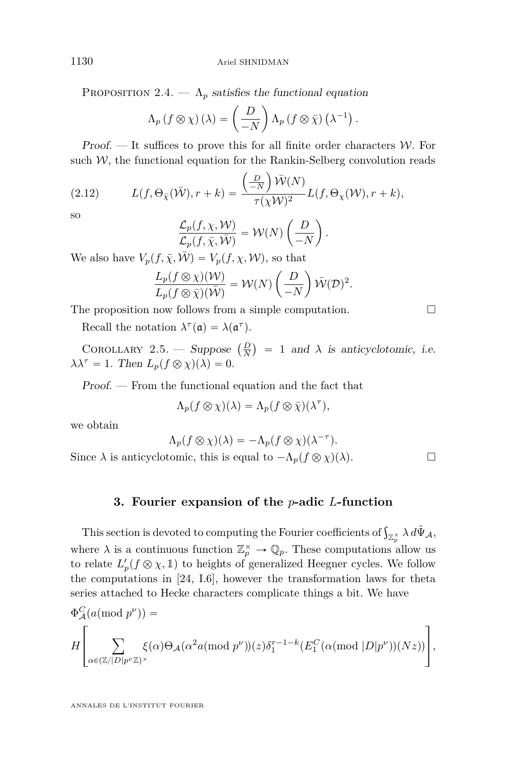PROPOSITION 2.4.  $-\Lambda_p$  satisfies the functional equation

$$
\Lambda_p(f \otimes \chi)(\lambda) = \left(\frac{D}{-N}\right) \Lambda_p(f \otimes \bar{\chi})(\lambda^{-1}).
$$

Proof. — It suffices to prove this for all finite order characters  $W$ . For such  $W$ , the functional equation for the Rankin-Selberg convolution reads

(2.12) 
$$
L(f, \Theta_{\bar{\chi}}(\bar{\mathcal{W}}), r + k) = \frac{\left(\frac{D}{-N}\right)\bar{\mathcal{W}}(N)}{\tau(\chi \mathcal{W})^2}L(f, \Theta_{\chi}(\mathcal{W}), r + k),
$$

so

$$
\frac{\mathcal{L}_p(f,\chi,\mathcal{W})}{\mathcal{L}_p(f,\bar{\chi},\bar{\mathcal{W}})} = \mathcal{W}(N)\left(\frac{D}{-N}\right).
$$

We also have  $V_p(f, \bar{\chi}, \bar{\mathcal{W}}) = V_p(f, \chi, \mathcal{W})$ , so that

$$
\frac{L_p(f \otimes \chi)(\mathcal{W})}{L_p(f \otimes \bar{\chi})(\bar{\mathcal{W}})} = \mathcal{W}(N) \left(\frac{D}{-N}\right) \bar{\mathcal{W}}(\mathcal{D})^2.
$$

The proposition now follows from a simple computation.  $\Box$ 

Recall the notation  $\lambda^{\tau}(\mathfrak{a}) = \lambda(\mathfrak{a}^{\tau}).$ 

<span id="page-14-1"></span>COROLLARY 2.5. — Suppose  $\left(\frac{D}{N}\right)$ Ï.  $= 1$  and  $\lambda$  is anticyclotomic, i.e.  $\lambda \lambda^{\tau} = 1$ . Then  $L_p(f \otimes \chi)(\lambda) = 0$ .

Proof. — From the functional equation and the fact that

$$
\Lambda_p(f \otimes \chi)(\lambda) = \Lambda_p(f \otimes \bar{\chi})(\lambda^{\tau}),
$$

we obtain

$$
\Lambda_p(f \otimes \chi)(\lambda) = -\Lambda_p(f \otimes \chi)(\lambda^{-\tau}).
$$

Since  $\lambda$  is anticyclotomic, this is equal to  $-\Lambda_p(f \otimes \chi)(\lambda)$ .

#### **3. Fourier expansion of the** *p***-adic** *L***-function**

<span id="page-14-0"></span>This section is devoted to computing the Fourier coefficients of  $\int_{\mathbb{Z}_p^{\times}} \lambda \, d\tilde{\Psi}_A$ , where  $\lambda$  is a continuous function  $\mathbb{Z}_p^{\times} \to \mathbb{Q}_p$ . These computations allow us to relate  $L'_p(f \otimes \chi, 1)$  to heights of generalized Heegner cycles. We follow the computations in [\[24,](#page-58-1) I.6], however the transformation laws for theta series attached to Hecke characters complicate things a bit. We have

$$
\Phi_{\mathcal{A}}^{C}(a(\text{mod } p^{\nu})) =
$$
\n
$$
H\left[\sum_{\alpha\in(\mathbb{Z}/|D|p^{\nu}\mathbb{Z})^{\times}}\xi(\alpha)\Theta_{\mathcal{A}}(\alpha^{2}a(\text{mod } p^{\nu}))(z)\delta_{1}^{r-1-k}(E_{1}^{C}(\alpha(\text{mod }|D|p^{\nu}))(Nz))\right],
$$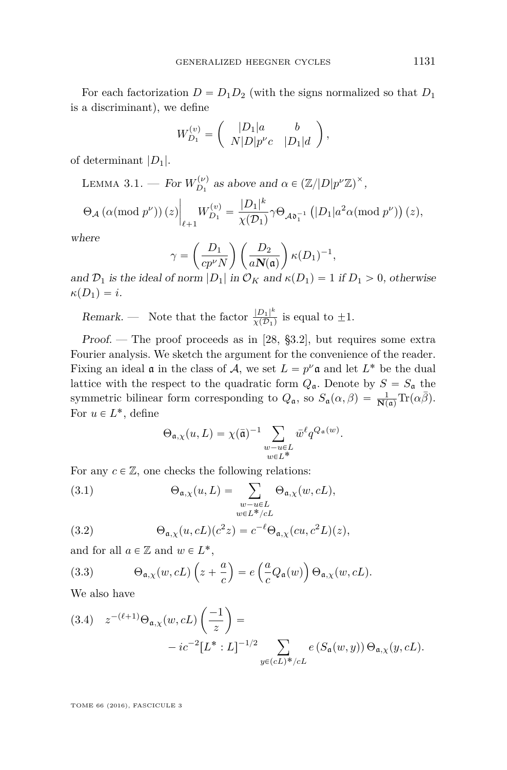For each factorization  $D = D_1 D_2$  (with the signs normalized so that  $D_1$ is a discriminant), we define ˆ ˙

$$
W_{D_1}^{(v)} = \left(\begin{array}{cc} |D_1|a & b \\ N|D|p^{\nu}c & |D_1|d \end{array}\right),\,
$$

of determinant |*D*1|.

<span id="page-15-0"></span>LEMMA 3.1. — For  $W_{D_1}^{(\nu)}$  $D_1^{(\nu)}$  as above and  $\alpha \in (\mathbb{Z}/|D|p^{\nu}\mathbb{Z})^{\times}$ ,

$$
\Theta_{\mathcal{A}}\left(\alpha(\text{mod }p^{\nu})\right)(z)\bigg|_{\ell+1}W_{D_1}^{(v)}=\frac{|D_1|^k}{\chi(\mathcal{D}_1)}\gamma\Theta_{\mathcal{A}\mathfrak{d}_1^{-1}}\left(|D_1|a^2\alpha(\text{mod }p^{\nu})\right)(z),
$$

where

$$
\gamma = \left(\frac{D_1}{cp^{\nu}N}\right)\left(\frac{D_2}{a\mathbf{N}(\mathfrak{a})}\right)\kappa(D_1)^{-1},
$$

and  $\mathcal{D}_1$  is the ideal of norm  $|D_1|$  in  $\mathcal{O}_K$  and  $\kappa(D_1)=1$  if  $D_1>0$ , otherwise  $\kappa(D_1) = i.$ 

Remark. — Note that the factor  $\frac{|D_1|^k}{\sqrt{D_1}}$  $\frac{|D_1|}{\chi(D_1)}$  is equal to  $\pm 1$ .

Proof. — The proof proceeds as in [\[28,](#page-58-0)  $\S 3.2$ ], but requires some extra Fourier analysis. We sketch the argument for the convenience of the reader. Fixing an ideal  $\mathfrak a$  in the class of  $\mathcal A$ , we set  $L = p^{\nu} \mathfrak a$  and let  $L^*$  be the dual lattice with the respect to the quadratic form  $Q_{\mathfrak{a}}$ . Denote by  $S = S_{\mathfrak{a}}$  the symmetric bilinear form corresponding to  $Q_{\mathfrak{a}}$ , so  $S_{\mathfrak{a}}(\alpha,\beta) = \frac{1}{N(\mathfrak{a})}\text{Tr}(\alpha\overline{\beta})$ . For  $u \in L^*$ , define

$$
\Theta_{\mathfrak{a},\chi}(u,L) = \chi(\bar{\mathfrak{a}})^{-1} \sum_{\substack{w-u \in L \\ w \in L^*}} \bar{w}^{\ell} q^{Q_{\mathfrak{a}}(w)}.
$$

For any  $c \in \mathbb{Z}$ , one checks the following relations:

(3.1) 
$$
\Theta_{\mathfrak{a},\chi}(u,L) = \sum_{\substack{w-u \in L \\ w \in L^*/cL}} \Theta_{\mathfrak{a},\chi}(w, cL),
$$

(3.2) 
$$
\Theta_{\mathfrak{a},\chi}(u,cL)(c^2z) = c^{-\ell} \Theta_{\mathfrak{a},\chi}(cu,c^2L)(z),
$$

and for all  $a \in \mathbb{Z}$  and  $w \in L^*$ ,

(3.3) 
$$
\Theta_{\mathfrak{a},\chi}(w, cL) \left(z + \frac{a}{c}\right) = e\left(\frac{a}{c}Q_{\mathfrak{a}}(w)\right) \Theta_{\mathfrak{a},\chi}(w, cL).
$$

We also have

(3.4) 
$$
z^{-(\ell+1)}\Theta_{\mathfrak{a},\chi}(w, cL) \left(\frac{-1}{z}\right) =
$$
  
-  $ic^{-2}[L^*:L]^{-1/2} \sum_{y \in (cL)^*/cL} e(S_{\mathfrak{a}}(w, y)) \Theta_{\mathfrak{a},\chi}(y, cL).$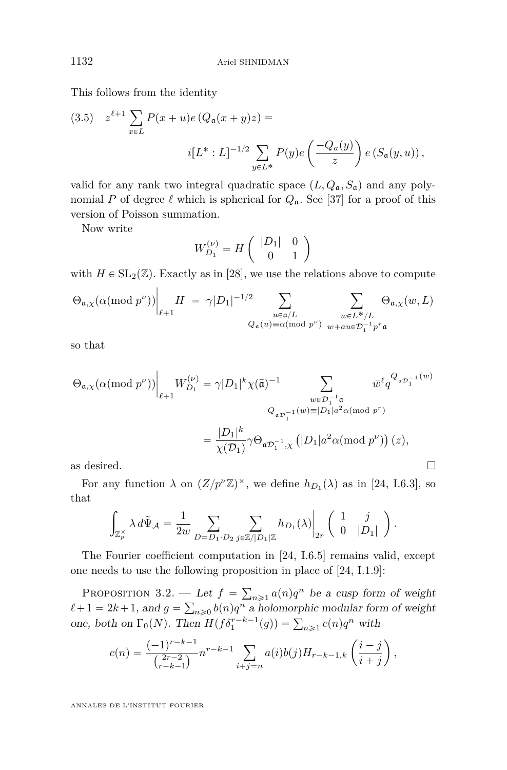This follows from the identity

(3.5) 
$$
z^{\ell+1} \sum_{x \in L} P(x+u) e (Q_a(x+y)z) =
$$
  
 $i[L^*:L]^{-1/2} \sum_{y \in L^*} P(y) e\left(\frac{-Q_a(y)}{z}\right) e (S_a(y,u)),$ 

valid for any rank two integral quadratic space  $(L, Q_a, S_a)$  and any polynomial *P* of degree  $\ell$  which is spherical for  $Q_a$ . See [\[37\]](#page-58-7) for a proof of this version of Poisson summation.

Now write

$$
W_{D_1}^{(\nu)} = H \left( \begin{array}{cc} |D_1| & 0 \\ 0 & 1 \end{array} \right)
$$

with  $H \in SL_2(\mathbb{Z})$ . Exactly as in [\[28\]](#page-58-0), we use the relations above to compute

$$
\Theta_{\mathfrak{a}, \chi}(\alpha (\text{mod } p^{\nu})) \bigg|_{\ell + 1} H \ = \ \gamma |D_1|^{-1/2} \sum_{\substack{u \in \mathfrak{a}/L \\ Q_{\mathfrak{a}}(u) \equiv \alpha (\text{mod } p^{\nu})}} \ \sum_{\substack{w \in L^{\ast}/L \\ w + au \in \mathcal{D}_1^{-1} p^r \mathfrak{a}}} \Theta_{\mathfrak{a}, \chi}(w, L)
$$

so that

$$
\Theta_{\mathfrak{a},\chi}(\alpha (\textrm{mod } p^{\nu}))\Big|_{\ell+1}W_{D_1}^{(\nu)} = \gamma |D_1|^k \chi(\bar{\mathfrak{a}})^{-1} \sum_{\substack{w \in \mathcal{D}_1^{-1}\mathfrak{a} \\ Q_{\mathfrak{a}\mathcal{D}_1^{-1}}(w) \equiv |D_1|a^2\alpha (\textrm{mod } p^r) \\ = \frac{|D_1|^k}{\chi(\mathcal{D}_1)}\gamma \Theta_{\mathfrak{a}\mathcal{D}_1^{-1},\chi} \left(|D_1|a^2\alpha (\textrm{mod } p^{\nu})\right)(z),
$$
as desired.

For any function  $\lambda$  on  $(Z/p^{\nu}\mathbb{Z})^{\times}$ , we define  $h_{D_1}(\lambda)$  as in [\[24,](#page-58-1) I.6.3], so that za za politika za politika za politika za politika za politika za politika za politika za politika za politika<br>Za politika za politika za politika za politika za politika za politika za politika za politika za politika za

$$
\int_{\mathbb{Z}_p^\times} \lambda\,d\tilde{\Psi}_{\mathcal{A}} = \frac{1}{2w} \sum_{D = D_1 \cdot D_2} \sum_{j \in \mathbb{Z}/|D_1|\mathbb{Z}} h_{D_1}(\lambda) \bigg|_{2r} \left( \begin{array}{cc} 1 & j \\ 0 & |D_1| \end{array} \right).
$$

The Fourier coefficient computation in [\[24,](#page-58-1) I.6.5] remains valid, except one needs to use the following proposition in place of [\[24,](#page-58-1) I.1.9]:

<span id="page-16-0"></span>Proposition 3.2. — Let  $f = \sum$ *-* Let  $f = \sum_{n\geq 1} a(n)q^n$  be a cusp form of weight  $\ell + 1 = 2k + 1$ , and  $g = \sum_{n \geq 0} b(n)q^n$  a holomorphic modular form of weight  $\alpha + 1 = 2\kappa + 1$ , and  $g = \sum_{n\geq 0} o(n)q^n$  a holomorphic modular form,<br>one, both on  $\Gamma_0(N)$ . Then  $H(f\delta_1^{r-k-1}(g)) = \sum_{n\geq 1} c(n)q^n$  with

$$
c(n) = \frac{(-1)^{r-k-1}}{\binom{2r-2}{r-k-1}} n^{r-k-1} \sum_{i+j=n} a(i)b(j)H_{r-k-1,k}\left(\frac{i-j}{i+j}\right),
$$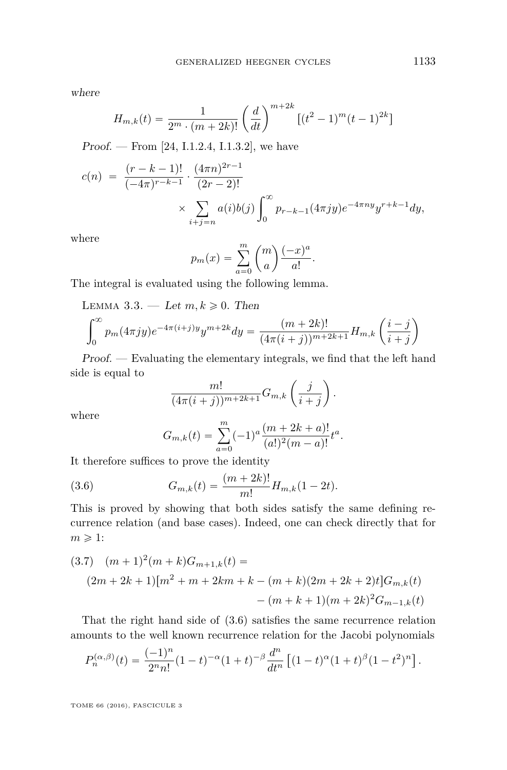where

$$
H_{m,k}(t) = \frac{1}{2^m \cdot (m+2k)!} \left(\frac{d}{dt}\right)^{m+2k} \left[ (t^2 - 1)^m (t-1)^{2k} \right]
$$

*Proof.* — From [\[24,](#page-58-1) I.1.2.4, I.1.3.2], we have

$$
c(n) = \frac{(r-k-1)!}{(-4\pi)^{r-k-1}} \cdot \frac{(4\pi n)^{2r-1}}{(2r-2)!}
$$
  
\$\times \sum\_{i+j=n} a(i)b(j) \int\_0^\infty p\_{r-k-1}(4\pi jy) e^{-4\pi ny} y^{r+k-1} dy,

where

$$
p_m(x) = \sum_{a=0}^m {m \choose a} \frac{(-x)^a}{a!}.
$$

The integral is evaluated using the following lemma.

LEMMA 3.3. — Let  $m, k \geq 0$ . Then

$$
\int_0^\infty p_m(4\pi jy) e^{-4\pi(i+j)y} y^{m+2k} dy = \frac{(m+2k)!}{(4\pi(i+j))^{m+2k+1}} H_{m,k}\left(\frac{i-j}{i+j}\right)
$$

Proof. — Evaluating the elementary integrals, we find that the left hand side is equal to

$$
\frac{m!}{(4\pi(i+j))^{m+2k+1}}G_{m,k}\left(\frac{j}{i+j}\right).
$$

where

<span id="page-17-0"></span>
$$
G_{m,k}(t) = \sum_{a=0}^{m} (-1)^a \frac{(m+2k+a)!}{(a!)^2 (m-a)!} t^a.
$$

It therefore suffices to prove the identity

(3.6) 
$$
G_{m,k}(t) = \frac{(m+2k)!}{m!} H_{m,k}(1-2t).
$$

This is proved by showing that both sides satisfy the same defining recurrence relation (and base cases). Indeed, one can check directly that for  $m \geqslant 1$ :

<span id="page-17-1"></span>
$$
(3.7) \quad (m+1)^2(m+k)G_{m+1,k}(t) =
$$
  

$$
(2m+2k+1)[m^2+m+2km+k-(m+k)(2m+2k+2)t]G_{m,k}(t)
$$
  

$$
-(m+k+1)(m+2k)^2G_{m-1,k}(t)
$$

That the right hand side of [\(3.6\)](#page-17-0) satisfies the same recurrence relation amounts to the well known recurrence relation for the Jacobi polynomials

$$
P_n^{(\alpha,\beta)}(t) = \frac{(-1)^n}{2^n n!} (1-t)^{-\alpha} (1+t)^{-\beta} \frac{d^n}{dt^n} \left[ (1-t)^{\alpha} (1+t)^{\beta} (1-t^2)^n \right].
$$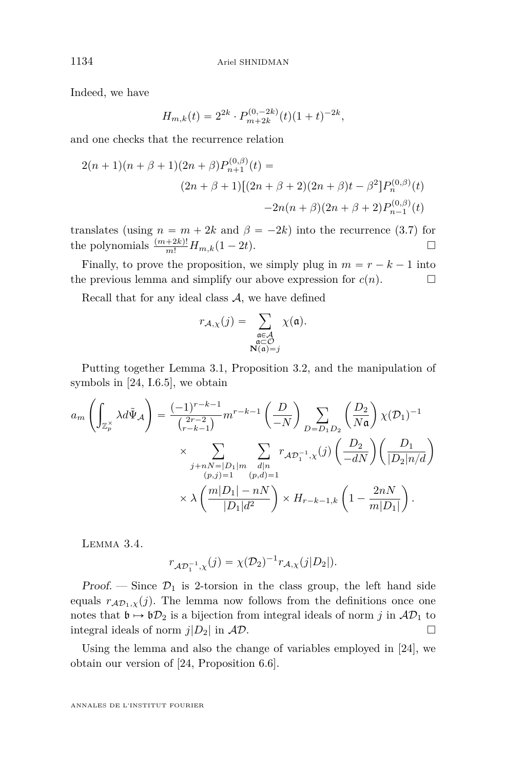Indeed, we have

$$
H_{m,k}(t) = 2^{2k} \cdot P_{m+2k}^{(0,-2k)}(t)(1+t)^{-2k},
$$

and one checks that the recurrence relation

$$
2(n+1)(n+\beta+1)(2n+\beta)P_{n+1}^{(0,\beta)}(t) =
$$
  

$$
(2n+\beta+1)[(2n+\beta+2)(2n+\beta)t-\beta^{2}]P_{n}^{(0,\beta)}(t)
$$
  

$$
-2n(n+\beta)(2n+\beta+2)P_{n-1}^{(0,\beta)}(t)
$$

translates (using  $n = m + 2k$  and  $\beta = -2k$ ) into the recurrence [\(3.7\)](#page-17-1) for the polynomials  $\frac{(m+2k)!}{m!}H_{m,k}(1-2t)$ .

Finally, to prove the proposition, we simply plug in  $m = r - k - 1$  into the previous lemma and simplify our above expression for  $c(n)$ .

Recall that for any ideal class  $A$ , we have defined

$$
r_{\mathcal{A},\chi}(j) = \sum_{\substack{\mathfrak{a} \in \mathcal{A} \\ \mathfrak{a} \subset \mathcal{O} \\ \mathbf{N}(\mathfrak{a}) = j}} \chi(\mathfrak{a}).
$$

Putting together Lemma [3.1,](#page-15-0) Proposition [3.2,](#page-16-0) and the manipulation of symbols in [\[24,](#page-58-1) I.6.5], we obtain

$$
a_m \left( \int_{\mathbb{Z}_p^{\times}} \lambda d\tilde{\Psi}_A \right) = \frac{(-1)^{r-k-1}}{\binom{2r-2}{r-k-1}} m^{r-k-1} \left( \frac{D}{-N} \right) \sum_{D = D_1 D_2} \left( \frac{D_2}{N \mathfrak{a}} \right) \chi(\mathcal{D}_1)^{-1}
$$

$$
\times \sum_{\substack{j+nN=|D_1|m\\(p,j)=1}} \sum_{\substack{d|n\\(p,d)=1}} r_{A \mathcal{D}_1^{-1},\chi}(j) \left( \frac{D_2}{-dN} \right) \left( \frac{D_1}{|D_2|n/d} \right)
$$

$$
\times \lambda \left( \frac{m|D_1| - nN}{|D_1|d^2} \right) \times H_{r-k-1,k} \left( 1 - \frac{2nN}{m|D_1|} \right).
$$

Lemma 3.4.

$$
r_{\mathcal{AD}_1^{-1},\chi}(j) = \chi(\mathcal{D}_2)^{-1} r_{\mathcal{A},\chi}(j|D_2|).
$$

Proof. — Since  $\mathcal{D}_1$  is 2-torsion in the class group, the left hand side equals  $r_{AD_1,\chi}(j)$ . The lemma now follows from the definitions once one notes that  $\mathfrak{b} \mapsto \mathfrak{b}D_2$  is a bijection from integral ideals of norm *j* in  $AD_1$  to integral ideals of norm  $j|D_2|$  in  $AD$ .

Using the lemma and also the change of variables employed in [\[24\]](#page-58-1), we obtain our version of [\[24,](#page-58-1) Proposition 6.6].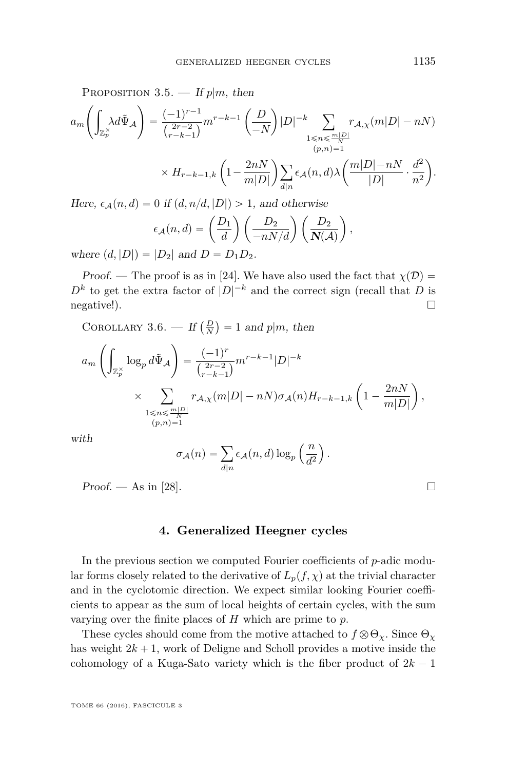PROPOSITION 3.5. — If  $p|m$ , then  $\left( \begin{array}{cc} 1 & 1 \\ 1 & 1 \end{array} \right)$ 

$$
a_m\left(\int_{\mathbb{Z}_p^\times} \lambda d\tilde{\Psi}_\mathcal{A}\right) = \frac{(-1)^{r-1}}{\binom{2r-2}{r-k-1}} m^{r-k-1} \left(\frac{D}{-N}\right) |D|^{-k} \sum_{\substack{1 \le n \le \frac{m|D|}{\sqrt{n}} \\ (p,n)=1}} r_{\mathcal{A},\chi}(m|D| - nN)
$$
  
 
$$
\times H_{r-k-1,k} \left(1 - \frac{2nN}{m|D|}\right) \sum_{d|n} \epsilon_{\mathcal{A}}(n,d) \lambda \left(\frac{m|D| - nN}{|D|} \cdot \frac{d^2}{n^2}\right).
$$

Here,  $\epsilon_A(n, d) = 0$  if  $(d, n/d, |D|) > 1$ , and otherwise<br> $\epsilon_A(n, d) = \left(\begin{array}{cc} D_1 \\ D_2 \end{array}\right) \left(\begin{array}{cc} D_2 \\ D_3 \end{array}\right)$ 

$$
\epsilon_{\mathcal{A}}(n,d) = \left(\frac{D_1}{d}\right) \left(\frac{D_2}{-nN/d}\right) \left(\frac{D_2}{N(\mathcal{A})}\right),
$$

where  $(d, |D|) = |D_2|$  and  $D = D_1 D_2$ .

Proof. — The proof is as in [\[24\]](#page-58-1). We have also used the fact that  $\chi(\mathcal{D}) =$  $D^k$  to get the extra factor of  $|D|^{-k}$  and the correct sign (recall that *D* is negative!). Ï.

<span id="page-19-1"></span>COROLLARY 3.6. — If  $\left( \frac{D}{N} \right)$  $= 1$  and  $p|m$ , then

$$
a_m \left( \int_{\mathbb{Z}_p^{\times}} \log_p d\tilde{\Psi}_A \right) = \frac{(-1)^r}{\binom{2r-2}{r-k-1}} m^{r-k-1} |D|^{-k}
$$
  
 
$$
\times \sum_{\substack{1 \le n \le \frac{m|D|}{N} \\ (p,n)=1}} r_{A,\chi}(m|D|-nN) \sigma_A(n) H_{r-k-1,k} \left(1 - \frac{2nN}{m|D|}\right),
$$

with

$$
\sigma_{\mathcal{A}}(n) = \sum_{d|n} \epsilon_{\mathcal{A}}(n, d) \log_p \left(\frac{n}{d^2}\right).
$$

 $Proof. - As in [28].$  $Proof. - As in [28].$  $Proof. - As in [28].$ 

#### **4. Generalized Heegner cycles**

<span id="page-19-0"></span>In the previous section we computed Fourier coefficients of *p*-adic modular forms closely related to the derivative of  $L_p(f, \chi)$  at the trivial character and in the cyclotomic direction. We expect similar looking Fourier coefficients to appear as the sum of local heights of certain cycles, with the sum varying over the finite places of *H* which are prime to *p*.

These cycles should come from the motive attached to  $f \otimes \Theta_{\chi}$ . Since  $\Theta_{\chi}$ has weight  $2k + 1$ , work of Deligne and Scholl provides a motive inside the cohomology of a Kuga-Sato variety which is the fiber product of  $2k - 1$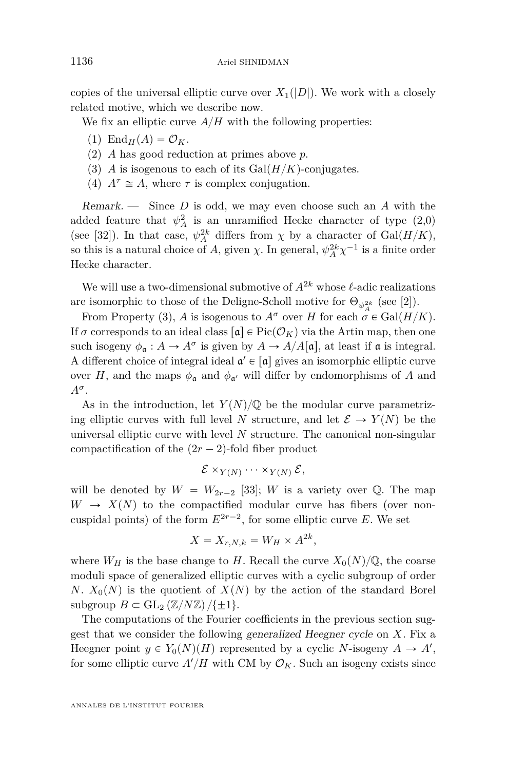copies of the universal elliptic curve over  $X_1(|D|)$ . We work with a closely related motive, which we describe now.

We fix an elliptic curve  $A/H$  with the following properties:

- $(1)$  End<sub>*H*</sub> $(A) = \mathcal{O}_K$ .
- (2) *A* has good reduction at primes above *p*.
- (3) *A* is isogenous to each of its  $Gal(H/K)$ -conjugates.
- (4)  $A^{\tau} \cong A$ , where  $\tau$  is complex conjugation.

Remark. — Since *D* is odd, we may even choose such an *A* with the added feature that  $\psi_A^2$  is an unramified Hecke character of type  $(2,0)$ (see [\[32\]](#page-58-8)). In that case,  $\psi_A^{2k}$  differs from  $\chi$  by a character of Gal $(H/K)$ , so this is a natural choice of *A*, given  $\chi$ . In general,  $\psi_A^{2k} \chi^{-1}$  is a finite order Hecke character.

We will use a two-dimensional submotive of  $A^{2k}$  whose  $\ell$ -adic realizations are isomorphic to those of the Deligne-Scholl motive for  $\Theta_{\psi_A^{2k}}$  (see [\[2\]](#page-57-5)).

From Property (3), *A* is isogenous to  $A^{\sigma}$  over *H* for each  $\sigma \in \text{Gal}(H/K)$ . If  $\sigma$  corresponds to an ideal class  $\lceil \mathfrak{a} \rceil \in Pic(\mathcal{O}_K)$  via the Artin map, then one such isogeny  $\phi_{\mathfrak{a}} : A \to A^{\sigma}$  is given by  $A \to A/A[\mathfrak{a}]$ , at least if  $\mathfrak{a}$  is integral. A different choice of integral ideal  $\mathfrak{a}' \in [\mathfrak{a}]$  gives an isomorphic elliptic curve over *H*, and the maps  $\phi_{\mathfrak{a}}$  and  $\phi_{\mathfrak{a}'}$  will differ by endomorphisms of *A* and *A<sup>σ</sup>* .

As in the introduction, let  $Y(N)/\mathbb{Q}$  be the modular curve parametrizing elliptic curves with full level *N* structure, and let  $\mathcal{E} \to Y(N)$  be the universal elliptic curve with level *N* structure. The canonical non-singular compactification of the  $(2r - 2)$ -fold fiber product

$$
\mathcal{E} \times_{Y(N)} \cdots \times_{Y(N)} \mathcal{E},
$$

will be denoted by  $W = W_{2r-2}$  [\[33\]](#page-58-2); *W* is a variety over Q. The map  $W \rightarrow X(N)$  to the compactified modular curve has fibers (over noncuspidal points) of the form  $E^{2r-2}$ , for some elliptic curve *E*. We set

$$
X = X_{r,N,k} = W_H \times A^{2k},
$$

where  $W_H$  is the base change to *H*. Recall the curve  $X_0(N)/\mathbb{Q}$ , the coarse moduli space of generalized elliptic curves with a cyclic subgroup of order *N*.  $X_0(N)$  is the quotient of  $X(N)$  by the action of the standard Borel subgroup  $B \subset GL_2(\mathbb{Z}/N\mathbb{Z})/\{\pm 1\}.$ 

The computations of the Fourier coefficients in the previous section suggest that we consider the following generalized Heegner cycle on *X*. Fix a Heegner point  $y \in Y_0(N)(H)$  represented by a cyclic *N*-isogeny  $A \to A'$ , for some elliptic curve  $A'/H$  with CM by  $\mathcal{O}_K$ . Such an isogeny exists since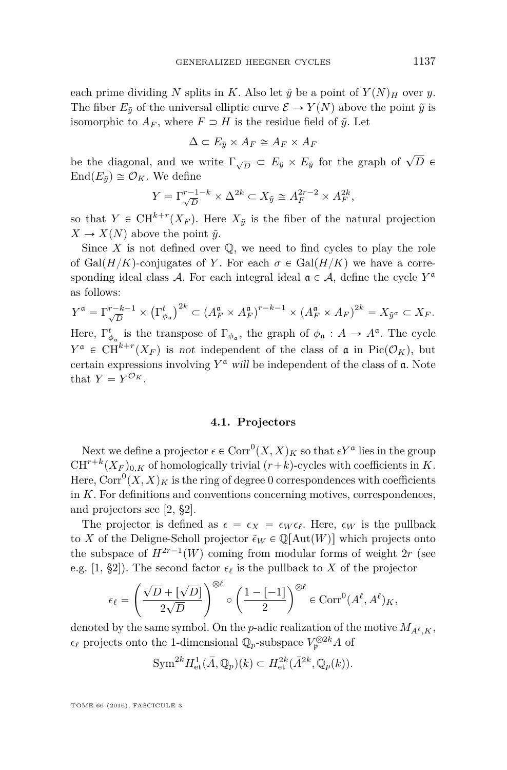each prime dividing *N* splits in *K*. Also let  $\tilde{y}$  be a point of  $Y(N)_H$  over *y*. The fiber  $E_{\tilde{y}}$  of the universal elliptic curve  $\mathcal{E} \to Y(N)$  above the point  $\tilde{y}$  is isomorphic to  $A_F$ , where  $F \supset H$  is the residue field of  $\tilde{y}$ . Let

$$
\Delta \subset E_{\tilde{y}} \times A_F \cong A_F \times A_F
$$

be the diagonal, and we write  $\Gamma_{\sqrt{D}} \subset E_{\tilde{y}} \times E_{\tilde{y}}$  for the graph of  $\sqrt{D}$   $\in$  $\text{End}(E_{\tilde{y}}) \cong \mathcal{O}_K$ . We define

$$
Y = \Gamma_{\sqrt{D}}^{r-1-k} \times \Delta^{2k} \subset X_{\tilde{y}} \cong A_F^{2r-2} \times A_F^{2k},
$$

so that  $Y \in \mathrm{CH}^{k+r}(X_F)$ . Here  $X_{\tilde{y}}$  is the fiber of the natural projection  $X \to X(N)$  above the point  $\tilde{y}$ .

Since  $X$  is not defined over  $\mathbb Q$ , we need to find cycles to play the role of Gal $(H/K)$ -conjugates of *Y*. For each  $\sigma \in \text{Gal}(H/K)$  we have a corresponding ideal class A. For each integral ideal  $\mathfrak{a} \in A$ , define the cycle  $Y^{\mathfrak{a}}$ as follows:

$$
Y^{\mathfrak{a}} = \Gamma_{\sqrt{D}}^{r-k-1} \times \left(\Gamma_{\phi_{\mathfrak{a}}}^t\right)^{2k} \subset \left(A_{F}^{\mathfrak{a}} \times A_{F}^{\mathfrak{a}}\right)^{r-k-1} \times \left(A_{F}^{\mathfrak{a}} \times A_{F}\right)^{2k} = X_{\tilde{y}^{\sigma}} \subset X_{F}.
$$

Here,  $\Gamma_{\phi_{\mathfrak{a}}}^{t}$  is the transpose of  $\Gamma_{\phi_{\mathfrak{a}}}$ , the graph of  $\phi_{\mathfrak{a}}: A \to A^{\mathfrak{a}}$ . The cycle  $Y^{\mathfrak{a}} \in CH^{k+r}(X_F)$  is not independent of the class of  $\mathfrak{a}$  in Pic $(\mathcal{O}_K)$ , but certain expressions involving  $Y^{\mathfrak{a}}$  will be independent of the class of  $\mathfrak{a}$ . Note that  $Y = Y^{\mathcal{O}_K}$ .

#### **4.1. Projectors**

<span id="page-21-0"></span>Next we define a projector  $\epsilon \in \text{Corr}^0(X,X)_K$  so that  $\epsilon Y^{\mathfrak{a}}$  lies in the group  $CH^{r+k}(X_F)_{0,K}$  of homologically trivial  $(r+k)$ -cycles with coefficients in *K*. Here,  $\mathrm{Corr}^0(X,X)_K$  is the ring of degree  $0$  correspondences with coefficients in *K*. For definitions and conventions concerning motives, correspondences, and projectors see [\[2,](#page-57-5) §2].

The projector is defined as  $\epsilon = \epsilon_X = \epsilon_W \epsilon_\ell$ . Here,  $\epsilon_W$  is the pullback to *X* of the Deligne-Scholl projector  $\tilde{\epsilon}_W \in \mathbb{Q}[\text{Aut}(W)]$  which projects onto the subspace of  $H^{2r-1}(W)$  coming from modular forms of weight 2*r* (see e.g. [\[1,](#page-57-3) §2]). The second factor  $\epsilon_{\ell}$  is the pullback to *X* of the projector

$$
\epsilon_{\ell} = \left(\frac{\sqrt{D} + [\sqrt{D}]}{2\sqrt{D}}\right)^{\otimes \ell} \circ \left(\frac{1 - [-1]}{2}\right)^{\otimes \ell} \in \operatorname{Corr}^{0}(A^{\ell}, A^{\ell})_{K},
$$

denoted by the same symbol. On the *p*-adic realization of the motive  $M_{A^{\ell},K}$ ,  $\epsilon_{\ell}$  projects onto the 1-dimensional  $\mathbb{Q}_p$ -subspace  $V_{\mathfrak{p}}^{\otimes 2k}A$  of

$$
\text{Sym}^{2k} H^1_{\text{et}}(\bar{A}, \mathbb{Q}_p)(k) \subset H^{2k}_{\text{et}}(\bar{A}^{2k}, \mathbb{Q}_p(k)).
$$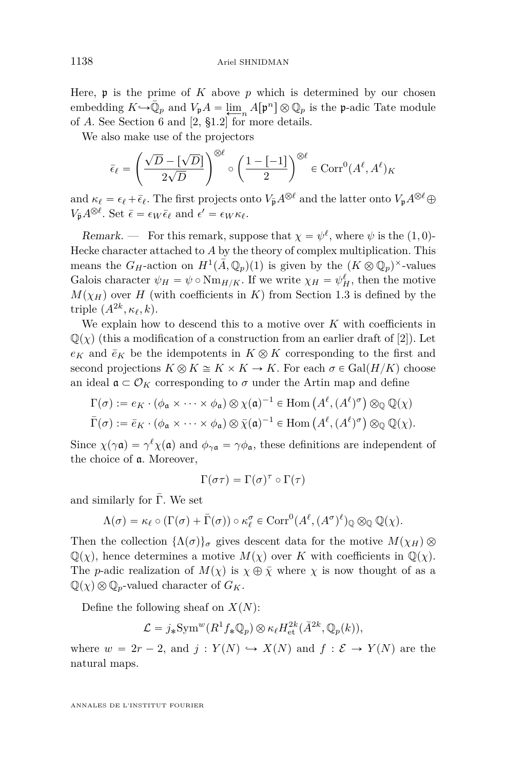Here,  $\mathfrak p$  is the prime of  $K$  above  $p$  which is determined by our chosen embedding  $K \hookrightarrow \bar{\mathbb{Q}}_p$  and  $V_p A = \lim_{n \to \infty} A[p^n] \otimes \mathbb{Q}_p$  is the p-adic Tate module of *A*. See Section [6](#page-39-0) and [\[2,](#page-57-5) §1.2] for more details.

We also make use of the projectors

$$
\bar{\epsilon}_{\ell} = \left(\frac{\sqrt{D} - [\sqrt{D}]}{2\sqrt{D}}\right)^{\otimes \ell} \circ \left(\frac{1 - [-1]}{2}\right)^{\otimes \ell} \in \operatorname{Corr}^{0}(A^{\ell}, A^{\ell})_{K}
$$

and  $\kappa_{\ell} = \epsilon_{\ell} + \bar{\epsilon}_{\ell}$ . The first projects onto  $V_{\bar{\mathfrak{p}}} A^{\otimes \ell}$  and the latter onto  $V_{\mathfrak{p}} A^{\otimes \ell} \oplus$  $V_{\bar{\mathbf{p}}} A^{\otimes \ell}$ . Set  $\bar{\epsilon} = \epsilon_W \bar{\epsilon}_{\ell}$  and  $\epsilon' = \epsilon_W \kappa_{\ell}$ .

Remark. — For this remark, suppose that  $\chi = \psi^{\ell}$ , where  $\psi$  is the  $(1,0)$ -Hecke character attached to *A* by the theory of complex multiplication. This means the  $G_H$ -action on  $H^1(\bar{A}, \mathbb{Q}_p)(1)$  is given by the  $(K \otimes \mathbb{Q}_p)$ <sup>×</sup>-values Galois character  $\psi_H = \psi \circ \text{Nm}_{H/K}$ . If we write  $\chi_H = \psi_H^{\ell}$ , then the motive  $M(\chi_H)$  over *H* (with coefficients in *K*) from Section [1.3](#page-6-1) is defined by the triple  $(A^{2k}, \kappa_{\ell}, k)$ .

We explain how to descend this to a motive over *K* with coefficients in  $\mathbb{Q}(\chi)$  (this a modification of a construction from an earlier draft of [\[2\]](#page-57-5)). Let  $e_K$  and  $\bar{e}_K$  be the idempotents in  $K \otimes K$  corresponding to the first and second projections  $K \otimes K \cong K \times K \to K$ . For each  $\sigma \in \text{Gal}(H/K)$  choose an ideal  $\mathfrak{a} \subset \mathcal{O}_K$  corresponding to  $\sigma$  under the Artin map and define

$$
\Gamma(\sigma) := e_K \cdot (\phi_{\mathfrak{a}} \times \cdots \times \phi_{\mathfrak{a}}) \otimes \chi(\mathfrak{a})^{-1} \in \text{Hom}\left(A^{\ell}, (A^{\ell})^{\sigma}\right) \otimes_{\mathbb{Q}} \mathbb{Q}(\chi)
$$
\n
$$
\bar{\Gamma}(\sigma) := \bar{e}_K \cdot (\phi_{\mathfrak{a}} \times \cdots \times \phi_{\mathfrak{a}}) \otimes \bar{\chi}(\mathfrak{a})^{-1} \in \text{Hom}\left(A^{\ell}, (A^{\ell})^{\sigma}\right) \otimes_{\mathbb{Q}} \mathbb{Q}(\chi).
$$

Since  $\chi(\gamma \mathfrak{a}) = \gamma^{\ell} \chi(\mathfrak{a})$  and  $\phi_{\gamma \mathfrak{a}} = \gamma \phi_{\mathfrak{a}}$ , these definitions are independent of the choice of a. Moreover,

$$
\Gamma(\sigma\tau)=\Gamma(\sigma)^\tau\circ\Gamma(\tau)
$$

and similarly for  $\overline{\Gamma}$ . We set

$$
\Lambda(\sigma)=\kappa_{\ell}\circ (\Gamma(\sigma)+\bar{\Gamma}(\sigma))\circ \kappa_{\ell}^{\sigma}\in \text{Corr}^{0}(A^{\ell},(A^{\sigma})^{\ell})_{\mathbb{Q}}\otimes_{\mathbb{Q}}\mathbb{Q}(\chi).
$$

Then the collection  $\{\Lambda(\sigma)\}_\sigma$  gives descent data for the motive  $M(\chi_H)$   $\otimes$  $\mathbb{Q}(\chi)$ , hence determines a motive  $M(\chi)$  over *K* with coefficients in  $\mathbb{Q}(\chi)$ . The *p*-adic realization of  $M(\chi)$  is  $\chi \oplus \overline{\chi}$  where  $\chi$  is now thought of as a  $\mathbb{Q}(\chi) \otimes \mathbb{Q}_p$ -valued character of  $G_K$ .

Define the following sheaf on  $X(N)$ :

$$
\mathcal{L} = j_* \text{Sym}^w(R^1 f_* \mathbb{Q}_p) \otimes \kappa_{\ell} H_{\text{et}}^{2k}(\bar{A}^{2k}, \mathbb{Q}_p(k)),
$$

where  $w = 2r - 2$ , and  $j : Y(N) \hookrightarrow X(N)$  and  $f : \mathcal{E} \to Y(N)$  are the natural maps.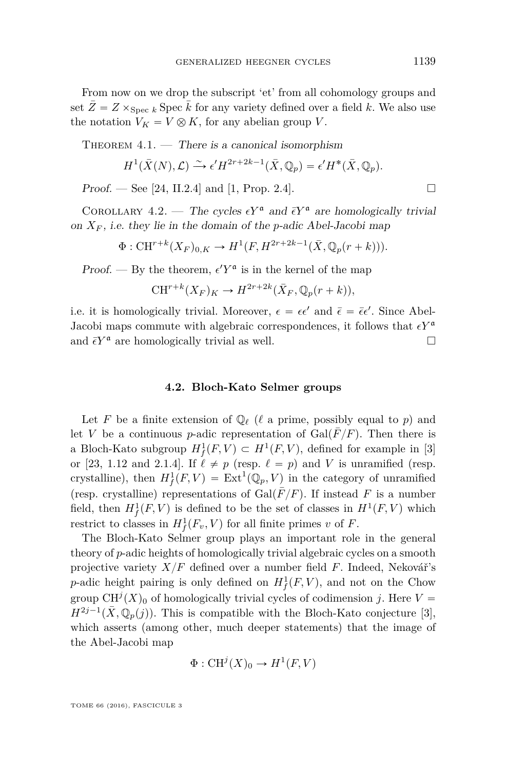From now on we drop the subscript 'et' from all cohomology groups and set  $\bar{Z} = Z \times_{\text{Spec } k}$  Spec  $\bar{k}$  for any variety defined over a field k. We also use the notation  $V_K = V \otimes K$ , for any abelian group *V*.

THEOREM  $4.1.$  — There is a canonical isomorphism

$$
H^1(\bar{X}(N), \mathcal{L}) \xrightarrow{\sim} \epsilon' H^{2r+2k-1}(\bar{X}, \mathbb{Q}_p) = \epsilon' H^*(\bar{X}, \mathbb{Q}_p).
$$

**Proof.** — See [\[24,](#page-58-1) II.2.4] and [\[1,](#page-57-3) Prop. 2.4].

<span id="page-23-0"></span>COROLLARY 4.2. — The cycles  $\epsilon Y^{\mathfrak{a}}$  and  $\bar{\epsilon} Y^{\mathfrak{a}}$  are homologically trivial on  $X_F$ , i.e. they lie in the domain of the *p*-adic Abel-Jacobi map

$$
\Phi: \mathrm{CH}^{r+k}(X_F)_{0,K} \to H^1(F, H^{2r+2k-1}(\bar{X}, \mathbb{Q}_p(r+k))).
$$

Proof. — By the theorem,  $\epsilon' Y^{\mathfrak{a}}$  is in the kernel of the map

$$
CH^{r+k}(X_F)_K \to H^{2r+2k}(\bar{X}_F, \mathbb{Q}_p(r+k)),
$$

i.e. it is homologically trivial. Moreover,  $\epsilon = \epsilon \epsilon'$  and  $\bar{\epsilon} = \bar{\epsilon} \epsilon'$ . Since Abel-Jacobi maps commute with algebraic correspondences, it follows that  $\epsilon Y^{\mathfrak{a}}$ and  $\bar{\epsilon} Y^{\mathfrak{a}}$  are homologically trivial as well.

#### **4.2. Bloch-Kato Selmer groups**

Let F be a finite extension of  $\mathbb{O}_{\ell}$  ( $\ell$  a prime, possibly equal to p) and let *V* be a continuous *p*-adic representation of  $Gal(\overline{F}/F)$ . Then there is a Bloch-Kato subgroup  $H^1_f(F, V) \subset H^1(F, V)$ , defined for example in [\[3\]](#page-57-16) or [\[23,](#page-57-6) 1.12 and 2.1.4]. If  $\ell \neq p$  (resp.  $\ell = p$ ) and *V* is unramified (resp. crystalline), then  $H^1_f(F, V) = \text{Ext}^1(\mathbb{Q}_p, V)$  in the category of unramified (resp. crystalline) representations of  $Gal(\overline{F}/F)$ . If instead *F* is a number field, then  $H^1_f(F, V)$  is defined to be the set of classes in  $H^1(F, V)$  which restrict to classes in  $H_f^1(F_v, V)$  for all finite primes *v* of *F*.

The Bloch-Kato Selmer group plays an important role in the general theory of *p*-adic heights of homologically trivial algebraic cycles on a smooth projective variety  $X/F$  defined over a number field  $F$ . Indeed, Nekovář's *p*-adic height pairing is only defined on  $H_f^1(F, V)$ , and not on the Chow group  $CH^{j}(X)_{0}$  of homologically trivial cycles of codimension *j*. Here  $V =$  $H^{2j-1}(\bar{X}, \mathbb{Q}_p(j))$ . This is compatible with the Bloch-Kato conjecture [\[3\]](#page-57-16), which asserts (among other, much deeper statements) that the image of the Abel-Jacobi map

$$
\Phi: \mathrm{CH}^j(X)_0 \to H^1(F, V)
$$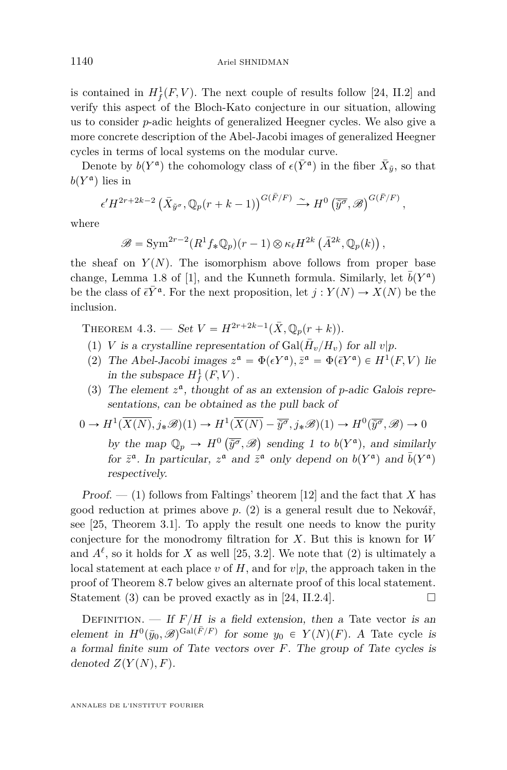is contained in  $H_f^1(F, V)$ . The next couple of results follow [\[24,](#page-58-1) II.2] and verify this aspect of the Bloch-Kato conjecture in our situation, allowing us to consider *p*-adic heights of generalized Heegner cycles. We also give a more concrete description of the Abel-Jacobi images of generalized Heegner cycles in terms of local systems on the modular curve.

Denote by  $b(Y^{\mathfrak{a}})$  the cohomology class of  $\epsilon(\bar{Y}^{\mathfrak{a}})$  in the fiber  $\bar{X}_{\tilde{y}}$ , so that  $b(Y^{\mathfrak{a}})$  lies in

$$
\epsilon'H^{2r+2k-2}(\bar{X}_{\tilde{y}^{\sigma}},\mathbb{Q}_p(r+k-1))\bigg)^{G(\bar{F}/F)} \xrightarrow{\sim} H^0(\overline{\tilde{y}^{\sigma}},\mathscr{B})^{G(\bar{F}/F)},
$$

where

$$
\mathscr{B}=\text{Sym}^{2r-2}(R^1f_*\mathbb{Q}_p)(r-1)\otimes \kappa_{\ell}H^{2k}(\bar{A}^{2k},\mathbb{Q}_p(k)),
$$

the sheaf on  $Y(N)$ . The isomorphism above follows from proper base change, Lemma 1.8 of [\[1\]](#page-57-3), and the Kunneth formula. Similarly, let  $\bar{b}(Y^{\mathfrak{a}})$ be the class of  $\bar{\epsilon} \bar{Y}^{\mathfrak{a}}$ . For the next proposition, let  $j: Y(N) \to X(N)$  be the inclusion.

<span id="page-24-0"></span>THEOREM  $4.3.$  — Set  $V = H^{2r+2k-1}(\bar{X}, \mathbb{Q}_p(r+k)).$ 

- (1) *V* is a crystalline representation of  $Gal(\bar{H}_v/H_v)$  for all  $v|p$ .
- (2) The Abel-Jacobi images  $z^{\mathfrak{a}} = \Phi(\epsilon Y^{\mathfrak{a}}), \bar{z}^{\mathfrak{a}} = \Phi(\bar{\epsilon} Y^{\mathfrak{a}}) \in H^1(F, V)$  lie in the subspace  $H_f^1(F, V)$ .
- (3) The element  $z^{\mathfrak{a}}$ , thought of as an extension of *p*-adic Galois representations, can be obtained as the pull back of

$$
0 \to H^1(\overline{X(N)}, j_*\mathscr{B})(1) \to H^1(\overline{X(N)} - \overline{\tilde{y}^\sigma}, j_*\mathscr{B})(1) \to H^0(\overline{\tilde{y}^\sigma}, \mathscr{B}) \to 0
$$
  
by the map  $\mathbb{Q}_p \to H^0(\overline{\tilde{y}^\sigma}, \mathscr{B})$  sending 1 to  $b(Y^{\mathfrak{a}})$ , and similarly  
for  $\overline{z}^{\mathfrak{a}}$ . In particular,  $z^{\mathfrak{a}}$  and  $\overline{z}^{\mathfrak{a}}$  only depend on  $b(Y^{\mathfrak{a}})$  and  $\overline{b}(Y^{\mathfrak{a}})$   
respectively.

Proof.  $-$  (1) follows from Faltings' theorem [\[12\]](#page-57-17) and the fact that *X* has good reduction at primes above *p*. (2) is a general result due to Nekovář, see [\[25,](#page-58-9) Theorem 3.1]. To apply the result one needs to know the purity conjecture for the monodromy filtration for *X*. But this is known for *W* and  $A^{\ell}$ , so it holds for *X* as well [\[25,](#page-58-9) 3.2]. We note that (2) is ultimately a local statement at each place  $v$  of  $H$ , and for  $v|p$ , the approach taken in the proof of Theorem [8.7](#page-53-0) below gives an alternate proof of this local statement. Statement (3) can be proved exactly as in [\[24,](#page-58-1) II.2.4].

DEFINITION. — If  $F/H$  is a field extension, then a Tate vector is an element in  $H^0(\bar{y}_0, \mathscr{B})^{\text{Gal}(\bar{F}/F)}$  for some  $y_0 \in Y(N)(F)$ . A Tate cycle is a formal finite sum of Tate vectors over *F*. The group of Tate cycles is denoted  $Z(Y(N), F)$ .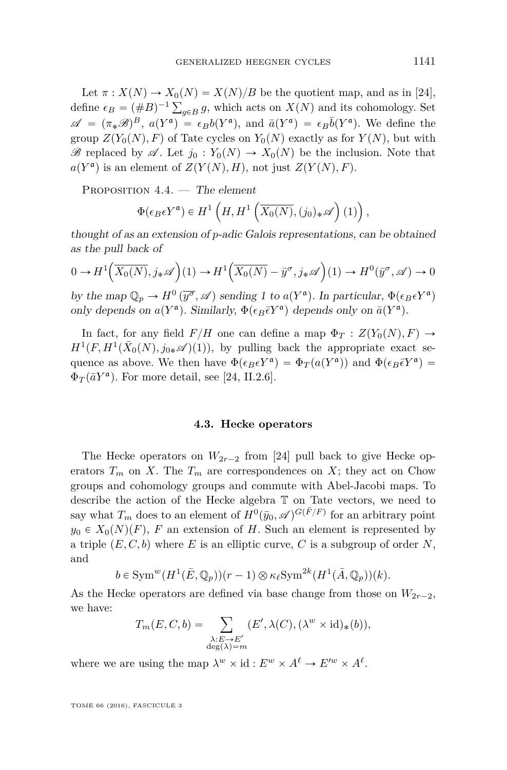Let  $\pi$  :  $X(N) \rightarrow X_0(N) = X(N)/B$  be the quotient map, and as in [\[24\]](#page-58-1), Let  $\pi$ :  $\Lambda(N) \to \Lambda_0(N) = \Lambda(N)/B$  be the quotient map, and as in [24],<br>define  $\epsilon_B = (\#B)^{-1} \sum_{g \in B} g$ , which acts on  $X(N)$  and its cohomology. Set  $\mathscr{A} = (\pi_*\mathscr{B})^B$ ,  $a(Y^{\mathfrak{a}}) = \epsilon_B b(Y^{\mathfrak{a}})$ , and  $\bar{a}(Y^{\mathfrak{a}}) = \epsilon_B \bar{b}(Y^{\mathfrak{a}})$ . We define the group  $Z(Y_0(N), F)$  of Tate cycles on  $Y_0(N)$  exactly as for  $Y(N)$ , but with  $\mathscr{B}$  replaced by  $\mathscr{A}$ . Let  $j_0: Y_0(N) \to X_0(N)$  be the inclusion. Note that  $a(Y^{\mathfrak{a}})$  is an element of  $Z(Y(N), H)$ , not just  $Z(Y(N), F)$ .

PROPOSITION 4.4. — The element

$$
\Phi(\epsilon_B \epsilon Y^{\mathfrak{a}}) \in H^1\left(H, H^1\left(\overline{X_0(N)}, (j_0)_* \mathscr{A}\right)(1)\right),
$$

thought of as an extension of *p*-adic Galois representations, can be obtained as the pull back of

$$
0 \to H^1\left(\overline{X_0(N)}, j_*\mathscr{A}\right)(1) \to H^1\left(\overline{X_0(N)} - \bar{y}^\sigma, j_*\mathscr{A}\right)(1) \to H^0(\bar{y}^\sigma, \mathscr{A}) \to 0
$$

by the map  $\mathbb{Q}_p \to H^0(\overline{y^\sigma}, \mathscr{A})$  sending 1 to  $a(Y^{\mathfrak{a}})$ . In particular,  $\Phi(\epsilon_B \epsilon Y^{\mathfrak{a}})$ only depends on  $a(Y^{\mathfrak{a}})$ . Similarly,  $\Phi(\epsilon_B \bar{\epsilon} Y^{\mathfrak{a}})$  depends only on  $\bar{a}(Y^{\mathfrak{a}})$ .

In fact, for any field  $F/H$  one can define a map  $\Phi_T : Z(Y_0(N), F) \to$  $H^1(F, H^1(\bar{X}_0(N), j_{0*}{\mathscr A})(1))$ , by pulling back the appropriate exact sequence as above. We then have  $\Phi(\epsilon_B \epsilon Y^{\mathfrak{a}}) = \Phi_T(a(Y^{\mathfrak{a}}))$  and  $\Phi(\epsilon_B \bar{\epsilon} Y^{\mathfrak{a}}) =$  $\Phi_T(\bar{a}Y^{\mathfrak{a}})$ . For more detail, see [\[24,](#page-58-1) II.2.6].

#### **4.3. Hecke operators**

The Hecke operators on  $W_{2r-2}$  from [\[24\]](#page-58-1) pull back to give Hecke operators  $T_m$  on *X*. The  $T_m$  are correspondences on *X*; they act on Chow groups and cohomology groups and commute with Abel-Jacobi maps. To describe the action of the Hecke algebra T on Tate vectors, we need to say what  $T_m$  does to an element of  $H^0(\bar{y}_0, \mathscr{A})^{G(\bar{F}/F)}$  for an arbitrary point  $y_0 \in X_0(N)(F)$ , *F* an extension of *H*. Such an element is represented by a triple  $(E, C, b)$  where *E* is an elliptic curve, *C* is a subgroup of order *N*, and

$$
b \in \operatorname{Sym}^w(H^1(\bar{E}, \mathbb{Q}_p))(r-1) \otimes \kappa_{\ell} \operatorname{Sym}^{2k}(H^1(\bar{A}, \mathbb{Q}_p))(k).
$$

As the Hecke operators are defined via base change from those on  $W_{2r-2}$ , we have:

$$
T_m(E, C, b) = \sum_{\substack{\lambda: E \to E' \\ \deg(\lambda) = m}} (E', \lambda(C), (\lambda^w \times id)_*(b)),
$$

where we are using the map  $\lambda^w \times id : E^w \times A^{\ell} \to E'^w \times A^{\ell}$ .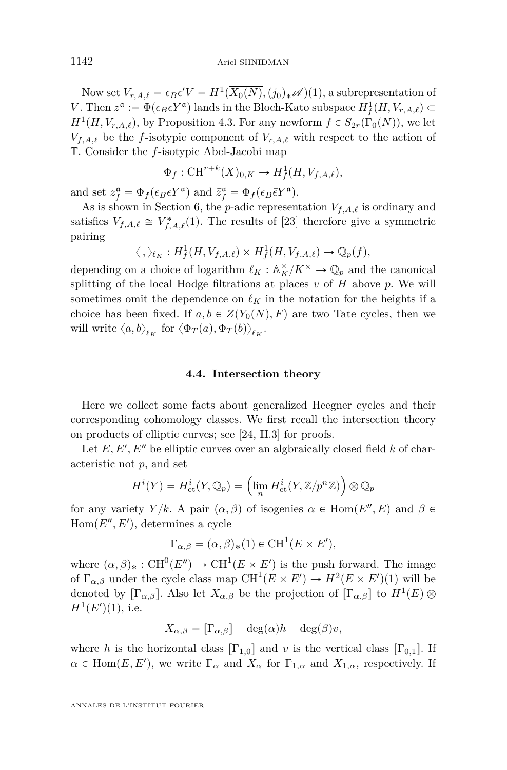Now set  $V_{r,A,\ell} = \epsilon_B \epsilon' V = H^1(X_0(N), (j_0)_* \mathscr{A})(1)$ , a subrepresentation of *V*. Then  $z^{\mathfrak{a}} := \Phi(\epsilon_B \epsilon Y^{\mathfrak{a}})$  lands in the Bloch-Kato subspace  $H^1_f(H, V_{r,A,\ell}) \subset$  $H^1(H, V_{r,A,\ell})$ , by Proposition [4.3.](#page-24-0) For any newform  $f \in S_{2r}(\Gamma_0(N))$ , we let  $V_{f,A,\ell}$  be the *f*-isotypic component of  $V_{r,A,\ell}$  with respect to the action of T. Consider the *f*-isotypic Abel-Jacobi map

$$
\Phi_f: \mathrm{CH}^{r+k}(X)_{0,K} \to H^1_f(H, V_{f,A,\ell}),
$$

and set  $z_f^{\mathfrak{a}} = \Phi_f(\epsilon_B \epsilon Y^{\mathfrak{a}})$  and  $\bar{z}_f^{\mathfrak{a}} = \Phi_f(\epsilon_B \bar{\epsilon} Y^{\mathfrak{a}})$ .

As is shown in Section [6,](#page-39-0) the *p*-adic representation  $V_{f,A,\ell}$  is ordinary and satisfies  $V_{f,A,\ell} \cong V_{f,A,\ell}^*(1)$ . The results of [\[23\]](#page-57-6) therefore give a symmetric pairing

$$
\langle , \rangle_{\ell_K} : H^1_f(H, V_{f,A,\ell}) \times H^1_f(H, V_{f,A,\ell}) \to \mathbb{Q}_p(f),
$$

depending on a choice of logarithm  $\ell_K : \mathbb{A}_K^{\times}/K^{\times} \to \mathbb{Q}_p$  and the canonical splitting of the local Hodge filtrations at places *v* of *H* above *p*. We will sometimes omit the dependence on  $\ell_K$  in the notation for the heights if a choice has been fixed. If  $a, b \in Z(Y_0(N), F)$  are two Tate cycles, then we will write  $\langle a, b \rangle_{\ell_K}$  for  $\langle \Phi_T(a), \Phi_T(b) \rangle_{\ell_K}$ .

#### **4.4. Intersection theory**

<span id="page-26-0"></span>Here we collect some facts about generalized Heegner cycles and their corresponding cohomology classes. We first recall the intersection theory on products of elliptic curves; see [\[24,](#page-58-1) II.3] for proofs.

Let  $E, E', E''$  be elliptic curves over an algoraically closed field  $k$  of characteristic not *p*, and set

$$
H^{i}(Y) = H_{\text{et}}^{i}(Y, \mathbb{Q}_{p}) = \left(\lim_{n} H_{\text{et}}^{i}(Y, \mathbb{Z}/p^{n}\mathbb{Z})\right) \otimes \mathbb{Q}_{p}
$$

for any variety *Y*/ $k$ . A pair  $(\alpha, \beta)$  of isogenies  $\alpha \in \text{Hom}(E'', E)$  and  $\beta \in$  $Hom(E'', E'),$  determines a cycle

$$
\Gamma_{\alpha,\beta} = (\alpha,\beta)_*(1) \in \mathrm{CH}^1(E \times E'),
$$

where  $(\alpha, \beta)_* : \mathrm{CH}^0(E'') \to \mathrm{CH}^1(E \times E')$  is the push forward. The image of  $\Gamma_{\alpha,\beta}$  under the cycle class map  $\text{CH}^1(E \times E') \to H^2(E \times E')(1)$  will be denoted by  $[\Gamma_{\alpha,\beta}]$ . Also let  $X_{\alpha,\beta}$  be the projection of  $[\Gamma_{\alpha,\beta}]$  to  $H^1(E)$   $\otimes$  $H^1(E')(1)$ , i.e.

$$
X_{\alpha,\beta} = [\Gamma_{\alpha,\beta}] - \deg(\alpha)h - \deg(\beta)v,
$$

where *h* is the horizontal class  $[\Gamma_{1,0}]$  and *v* is the vertical class  $[\Gamma_{0,1}]$ . If  $\alpha \in \text{Hom}(E, E')$ , we write  $\Gamma_{\alpha}$  and  $X_{\alpha}$  for  $\Gamma_{1,\alpha}$  and  $X_{1,\alpha}$ , respectively. If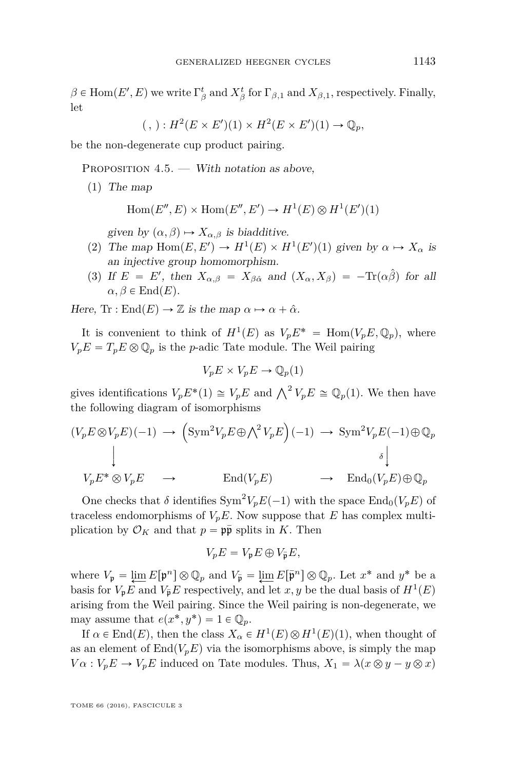$\beta \in \text{Hom}(E', E)$  we write  $\Gamma_{\beta}^t$  and  $X_{\beta}^t$  for  $\Gamma_{\beta,1}$  and  $X_{\beta,1}$ , respectively. Finally, let

$$
(\,,):H^2(E\times E')(1)\times H^2(E\times E')(1)\to \mathbb{Q}_p,
$$

be the non-degenerate cup product pairing.

PROPOSITION  $4.5.$  — With notation as above,

(1) The map

$$
Hom(E'', E) \times Hom(E'', E') \to H^1(E) \otimes H^1(E')(1)
$$

given by  $(\alpha, \beta) \mapsto X_{\alpha, \beta}$  is biadditive.

- (2) The map  $\text{Hom}(E, E') \to H^1(E) \times H^1(E')(1)$  given by  $\alpha \mapsto X_\alpha$  is an injective group homomorphism.
- (3) If  $E = E'$ , then  $X_{\alpha,\beta} = X_{\beta\hat{\alpha}}$  and  $(X_{\alpha},X_{\beta}) = -\text{Tr}(\alpha\hat{\beta})$  for all  $\alpha, \beta \in \text{End}(E)$ .

Here, Tr : End $(E) \rightarrow \mathbb{Z}$  is the map  $\alpha \mapsto \alpha + \hat{\alpha}$ .

It is convenient to think of  $H^1(E)$  as  $V_p E^* = \text{Hom}(V_p E, \mathbb{Q}_p)$ , where  $V_p E = T_p E \otimes \mathbb{Q}_p$  is the *p*-adic Tate module. The Weil pairing

$$
V_p E \times V_p E \to \mathbb{Q}_p(1)
$$

gives identifications  $V_p E^*(1) \cong V_p E$  and  $\bigwedge^2 V_p E \cong \mathbb{Q}_p(1)$ . We then have the following diagram of isomorphisms

$$
(V_p E \otimes V_p E)(-1) \rightarrow \left(\text{Sym}^2 V_p E \oplus \bigwedge^2 V_p E\right)(-1) \rightarrow \text{Sym}^2 V_p E(-1) \oplus \mathbb{Q}_p
$$
  
\n
$$
\downarrow \qquad \qquad \downarrow \qquad \qquad \downarrow
$$
  
\n
$$
V_p E^* \otimes V_p E \rightarrow \text{End}(V_p E) \rightarrow \text{End}(V_p E) \oplus \mathbb{Q}_p
$$

One checks that  $\delta$  identifies  $\text{Sym}^2 V_p E(-1)$  with the space  $\text{End}_0(V_p E)$  of traceless endomorphisms of  $V_pE$ . Now suppose that *E* has complex multiplication by  $\mathcal{O}_K$  and that  $p = \mathfrak{p}\bar{\mathfrak{p}}$  splits in *K*. Then

$$
V_p E = V_p E \oplus V_{\bar{\mathfrak{p}}} E,
$$

where  $V_p = \lim_{n \to \infty} E[p^n] \otimes \mathbb{Q}_p$  and  $V_{\bar{p}} = \lim_{n \to \infty} E[\bar{p}^n] \otimes \mathbb{Q}_p$ . Let  $x^*$  and  $y^*$  be a basis for  $V_pE$  and  $V_{\bar{p}}E$  respectively, and let *x*, *y* be the dual basis of  $H^1(E)$ arising from the Weil pairing. Since the Weil pairing is non-degenerate, we may assume that  $e(x^*, y^*) = 1 \in \mathbb{Q}_p$ .

If  $\alpha \in \text{End}(E)$ , then the class  $X_{\alpha} \in H^1(E) \otimes H^1(E)(1)$ , when thought of as an element of  $\text{End}(V_pE)$  via the isomorphisms above, is simply the map  $V \alpha : V_p E \to V_p E$  induced on Tate modules. Thus,  $X_1 = \lambda (x \otimes y - y \otimes x)$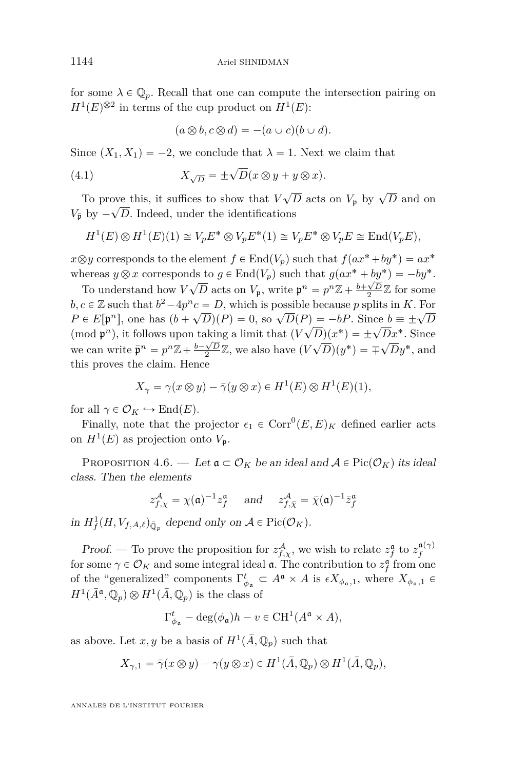for some  $\lambda \in \mathbb{Q}_p$ . Recall that one can compute the intersection pairing on  $H^1(E)^{\otimes 2}$  in terms of the cup product on  $H^1(E)$ :

<span id="page-28-0"></span>
$$
(a\otimes b, c\otimes d) = -(a\cup c)(b\cup d).
$$

Since  $(X_1, X_1) = -2$ , we conclude that  $\lambda = 1$ . Next we claim that

(4.1) 
$$
X_{\sqrt{D}} = \pm \sqrt{D}(x \otimes y + y \otimes x).
$$

To prove this, it suffices to show that  $V\sqrt{D}$  acts on  $V_{\mathfrak{p}}$  by  $\sqrt{D}$  and on  $V_{\bar{p}}$  by  $-\sqrt{D}$ . Indeed, under the identifications

$$
H^1(E) \otimes H^1(E)(1) \cong V_p E^* \otimes V_p E^*(1) \cong V_p E^* \otimes V_p E \cong \text{End}(V_p E),
$$

 $x \otimes y$  corresponds to the element  $f \in End(V_p)$  such that  $f(ax^* + by^*) = ax^*$ whereas  $y \otimes x$  corresponds to  $g \in \text{End}(V_p)$  such that  $g(ax^* + by^*) = -by^*$ .

To understand how  $V\sqrt{D}$  acts on  $V_p$ , write  $p^n = p^n\mathbb{Z} + \frac{b+\sqrt{D}}{2}\mathbb{Z}$  for some *b*,  $c \in \mathbb{Z}$  such that  $b^2 - 4p^n c = D$ , which is possible because *p* splits in *K*. For  $P \in E[p^n]$ , one has  $(b + \sqrt{D})(P) = 0$ , so  $\sqrt{D}(P) = -bP$ . Since  $b \equiv \pm \sqrt{D}$  $\mathcal{L} \subset L[\mathfrak{p}_p]$ , one has  $(\mathfrak{d} + \mathfrak{d} \mathcal{D})(\mathfrak{d}^p) = 0$ , so  $\mathfrak{d} \mathcal{D}(\mathfrak{d}^p) = 0$ . Since  $\mathfrak{d} = \pm \sqrt{D} \mathfrak{d}^p$ .<br>(mod  $\mathfrak{p}^n$ ), it follows upon taking a limit that  $(\mathfrak{d} \mathcal{D})(x^*) = \pm \sqrt{D} x^*$ . we can write  $\bar{\mathbf{p}}^n = p^n \mathbb{Z} + \frac{b - \sqrt{D}}{2} \mathbb{Z}$ , we also have  $(V\sqrt{D})(y^*) = \mp \sqrt{D}y^*$ , and this proves the claim. Hence

$$
X_{\gamma} = \gamma(x \otimes y) - \overline{\gamma}(y \otimes x) \in H^{1}(E) \otimes H^{1}(E)(1),
$$

for all  $\gamma \in \mathcal{O}_K \hookrightarrow \text{End}(E)$ .

Finally, note that the projector  $\epsilon_1 \in \text{Corr}^0(E, E)_K$  defined earlier acts on  $H^1(E)$  as projection onto  $V_p$ .

PROPOSITION 4.6. — Let  $\mathfrak{a} \subset \mathcal{O}_K$  be an ideal and  $\mathcal{A} \in \text{Pic}(\mathcal{O}_K)$  its ideal class. Then the elements

$$
z_{f,\chi}^A = \chi(\mathfrak{a})^{-1} z_f^{\mathfrak{a}}
$$
 and  $z_{f,\bar{\chi}}^A = \bar{\chi}(\mathfrak{a})^{-1} \bar{z}_f^{\mathfrak{a}}$ 

in  $H^1_f(H, V_{f, A, \ell})_{\overline{\mathbb{Q}}_p}$  depend only on  $A \in \text{Pic}(\mathcal{O}_K)$ .

Proof. — To prove the proposition for  $z_{f,\chi}^{\mathcal{A}},$  we wish to relate  $z_f^{\mathfrak{a}}$  to  $z_f^{\mathfrak{a}(\gamma)}$ for some  $\gamma \in \mathcal{O}_K$  and some integral ideal  $\mathfrak{a}$ . The contribution to  $z_f^{\mathfrak{a}}$  from one of the "generalized" components  $\Gamma^t_{\phi_{\mathfrak{a}}} \subset A^{\mathfrak{a}} \times A$  is  $\epsilon X_{\phi_{\mathfrak{a}},1}$ , where  $X_{\phi_{\mathfrak{a}},1} \in$  $H^1(\bar{A}^{\mathfrak{a}}, \mathbb{Q}_p) \otimes H^1(\bar{A}, \mathbb{Q}_p)$  is the class of

$$
\Gamma_{\phi_{\mathfrak{a}}}^t - \deg(\phi_{\mathfrak{a}})h - v \in \mathrm{CH}^1(A^{\mathfrak{a}} \times A),
$$

as above. Let  $x, y$  be a basis of  $H^1(\overline{A}, \mathbb{Q}_p)$  such that

$$
X_{\gamma,1} = \overline{\gamma}(x \otimes y) - \gamma(y \otimes x) \in H^1(\overline{A}, \mathbb{Q}_p) \otimes H^1(\overline{A}, \mathbb{Q}_p),
$$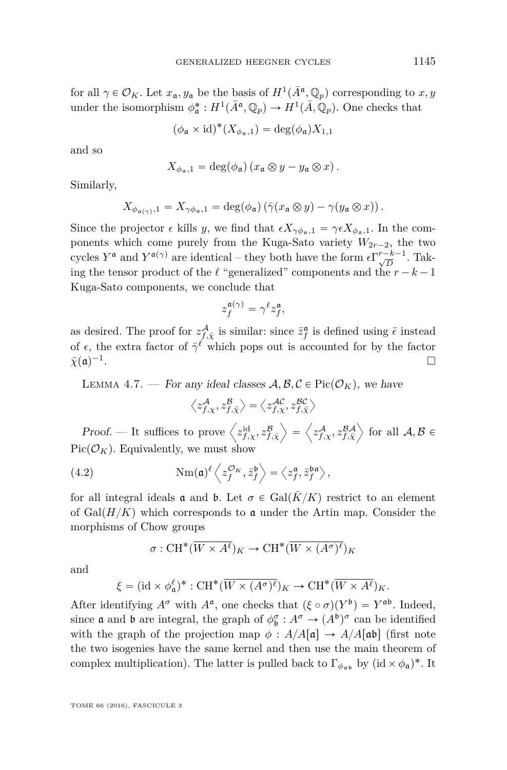for all  $\gamma \in \mathcal{O}_K$ . Let  $x_{\mathfrak{a}}, y_{\mathfrak{a}}$  be the basis of  $H^1(\bar{A}^{\mathfrak{a}}, \mathbb{Q}_p)$  corresponding to  $x, y$ under the isomorphism  $\phi_{\mathfrak{a}}^*: H^1(\bar{A}^{\mathfrak{a}}, \mathbb{Q}_p) \to H^1(\bar{A}, \mathbb{Q}_p)$ . One checks that

$$
(\phi_{\mathfrak{a}} \times id)^*(X_{\phi_{\mathfrak{a}},1}) = \deg(\phi_{\mathfrak{a}})X_{1,1}
$$

and so

$$
X_{\phi_{\mathfrak{a}},1} = \deg(\phi_{\mathfrak{a}}) (x_{\mathfrak{a}} \otimes y - y_{\mathfrak{a}} \otimes x).
$$

Similarly,

$$
X_{\phi_{\mathfrak{a}(\gamma)},1}=X_{\gamma\phi_{\mathfrak{a}},1}=\deg(\phi_{\mathfrak{a}})\left(\bar{\gamma}(x_{\mathfrak{a}}\otimes y)-\gamma(y_{\mathfrak{a}}\otimes x)\right).
$$

Since the projector  $\epsilon$  kills *y*, we find that  $\epsilon X_{\gamma \phi_{a},1} = \gamma \epsilon X_{\phi_{a},1}$ . In the components which come purely from the Kuga-Sato variety  $W_{2r-2}$ , the two cycles  $Y^{\mathfrak{a}}$  and  $Y^{\mathfrak{a}(\gamma)}$  are identical – they both have the form  $\epsilon \Gamma_{\sqrt{D}}^{r-k-1}$ . Taking the tensor product of the  $\ell$  "generalized" components and the  $r - k - 1$ Kuga-Sato components, we conclude that

$$
z_f^{\mathfrak{a}(\gamma)}=\gamma^{\ell}z_f^{\mathfrak{a}},
$$

as desired. The proof for  $z_{f,\bar{\chi}}^{\mathcal{A}}$  is similar: since  $\bar{z}_f^{\mathfrak{a}}$  is defined using  $\bar{\epsilon}$  instead of  $\epsilon$ , the extra factor of  $\bar{\gamma}^{\ell}$  which pops out is accounted for by the factor  $\bar{\chi}(\mathfrak{a})^{-1}$ .

<span id="page-29-1"></span>LEMMA 4.7. — For any ideal classes  $\mathcal{A}, \mathcal{B}, \mathcal{C} \in \text{Pic}(\mathcal{O}_K)$ , we have

<span id="page-29-0"></span>
$$
\left\langle z_{f,\chi}^{\mathcal{A}}, z_{f,\bar{\chi}}^{\mathcal{B}} \right\rangle = \left\langle z_{f,\chi}^{\mathcal{AC}}, z_{f,\bar{\chi}}^{\mathcal{BC}} \right\rangle
$$

Proof. — It suffices to prove  $\left\langle z_{f,\chi}^{\text{id}}, z_{f,\bar{\chi}}^{\mathcal{B}}\right\rangle$  $=$  $z_{f,\chi}^{\mathcal{A}}, z_{f,\bar{\chi}}^{\mathcal{BA}}$ for all  $\mathcal{A}, \mathcal{B} \in$  $Pic(\mathcal{O}_K)$ . Equivalently, we must show

(4.2) 
$$
\text{Nm}(\mathfrak{a})^{\ell} \left\langle z_f^{\mathcal{O}_K}, \bar{z}_f^{\mathfrak{b}} \right\rangle = \left\langle z_f^{\mathfrak{a}}, \bar{z}_f^{\mathfrak{b}\mathfrak{a}} \right\rangle,
$$

for all integral ideals **a** and **b**. Let  $\sigma \in \text{Gal}(\overline{K}/K)$  restrict to an element of  $Gal(H/K)$  which corresponds to a under the Artin map. Consider the morphisms of Chow groups

$$
\sigma: \mathrm{CH}^*(\overline{W \times A^{\ell}})_K \to \mathrm{CH}^*(\overline{W \times (A^{\sigma})^{\ell}})_K
$$

and

$$
\xi = (\mathrm{id} \times \phi_{\mathfrak{a}}^{\ell})^* : \mathrm{CH}^*(\overline{W \times (A^{\sigma})^{\ell}})_K \to \mathrm{CH}^*(\overline{W \times A^{\ell}})_K.
$$

After identifying  $A^{\sigma}$  with  $A^{\mathfrak{a}}$ , one checks that  $({\xi} \circ {\sigma})(Y^{\mathfrak{b}}) = Y^{\mathfrak{ab}}$ . Indeed, since **a** and **b** are integral, the graph of  $\phi_{\mathfrak{b}}^{\sigma} : A^{\sigma} \to (A^{\mathfrak{b}})^{\sigma}$  can be identified with the graph of the projection map  $\phi : A/A[\mathfrak{a}] \rightarrow A/A[\mathfrak{a}\mathfrak{b}]$  (first note the two isogenies have the same kernel and then use the main theorem of complex multiplication). The latter is pulled back to  $\Gamma_{\phi_{\mathfrak{a}\mathfrak{b}}}$  by  $(\mathrm{id} \times \phi_{\mathfrak{a}})^*$ . It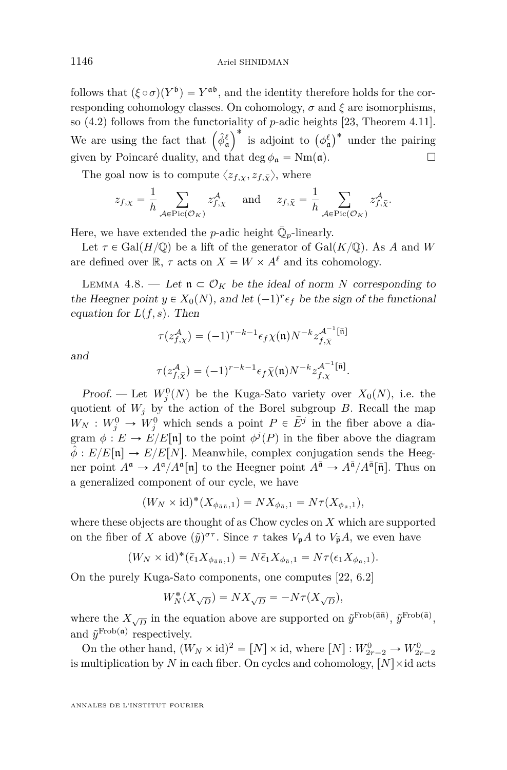follows that  $({\xi} \circ {\sigma})(Y^{\mathfrak{b}}) = Y^{\mathfrak{ab}}$ , and the identity therefore holds for the corresponding cohomology classes. On cohomology,  $\sigma$  and  $\xi$  are isomorphisms, so [\(4.2\)](#page-29-0) follows from the functoriality of *p*-adic heights [\[23,](#page-57-6) Theorem 4.11]. so (4.2) follows from the functor<br>We are using the fact that  $(\hat{\phi}^{\ell}_{\mathfrak{a}})$ valuative of *p*-adic neights [23, 1 neorem 4.11].<br> $\int^*$  is adjoint to  $(\phi^{\ell}_a)^*$  under the pairing given by Poincaré duality, and that deg  $\phi_{\mathfrak{a}} = \text{Nm}(\mathfrak{a})$ .

The goal now is to compute  $\langle z_{f,x}, z_{f,\bar{X}} \rangle$ , where

$$
z_{f,\chi} = \frac{1}{h} \sum_{\mathcal{A} \in \text{Pic}(\mathcal{O}_K)} z_{f,\chi}^{\mathcal{A}} \quad \text{and} \quad z_{f,\bar{\chi}} = \frac{1}{h} \sum_{\mathcal{A} \in \text{Pic}(\mathcal{O}_K)} z_{f,\bar{\chi}}^{\mathcal{A}}.
$$

Here, we have extended the *p*-adic height  $\overline{\mathbb{Q}}_p$ -linearly.

Let  $\tau \in \text{Gal}(H/\mathbb{Q})$  be a lift of the generator of  $\text{Gal}(K/\mathbb{Q})$ . As *A* and *W* are defined over  $\mathbb{R}$ ,  $\tau$  acts on  $X = W \times A^{\ell}$  and its cohomology.

LEMMA 4.8. — Let  $\mathfrak{n} \subset \mathcal{O}_K$  be the ideal of norm *N* corresponding to the Heegner point  $y \in X_0(N)$ , and let  $(-1)^r \epsilon_f$  be the sign of the functional equation for  $L(f, s)$ . Then

$$
\tau(z_{f,\chi}^{\mathcal{A}}) = (-1)^{r-k-1} \epsilon_f \chi(\mathfrak{n}) N^{-k} z_{f,\bar{\chi}}^{\mathcal{A}^{-1}[\bar{\mathfrak{n}}]}
$$

and

$$
\tau(z_{f,\bar{\chi}}^{\mathcal{A}}) = (-1)^{r-k-1} \epsilon_f \bar{\chi}(\mathfrak{n}) N^{-k} z_{f,\chi}^{\mathcal{A}^{-1}[\bar{\mathfrak{n}}]}.
$$

Proof. — Let  $W_j^0(N)$  be the Kuga-Sato variety over  $X_0(N)$ , i.e. the quotient of  $W_j$  by the action of the Borel subgroup *B*. Recall the map  $W_N: W_j^0 \to W_j^0$  which sends a point  $P \in \overline{E}^j$  in the fiber above a diagram  $\phi: E \to E/E[\mathfrak{n}]$  to the point  $\phi^j(P)$  in the fiber above the diagram  $\hat{\phi}: E/E[\mathfrak{n}] \to E/E[N]$ . Meanwhile, complex conjugation sends the Heegner point  $A^{\mathfrak{a}} \to A^{\mathfrak{a}}/A^{\mathfrak{a}}[\mathfrak{n}]$  to the Heegner point  $A^{\bar{\mathfrak{a}}} \to A^{\bar{\mathfrak{a}}}/A^{\bar{\mathfrak{a}}}[\bar{\mathfrak{n}}]$ . Thus on a generalized component of our cycle, we have

$$
(W_N \times id)^* (X_{\phi_{\bar{\mathfrak{a}}},1}) = N X_{\phi_{\bar{\mathfrak{a}}},1} = N \tau(X_{\phi_{\mathfrak{a}},1}),
$$

where these objects are thought of as Chow cycles on *X* which are supported on the fiber of *X* above  $(\tilde{y})^{\sigma\tau}$ . Since  $\tau$  takes  $V_pA$  to  $V_{\bar{p}}A$ , we even have

$$
(W_N \times id)^*(\bar{\epsilon}_1 X_{\phi_{\bar{\mathfrak{a}}},1}) = N \bar{\epsilon}_1 X_{\phi_{\bar{\mathfrak{a}}},1} = N \tau(\epsilon_1 X_{\phi_{\bar{\mathfrak{a}}},1}).
$$

On the purely Kuga-Sato components, one computes [\[22,](#page-57-1) 6.2]

$$
W_N^*(X_{\sqrt{D}}) = N X_{\sqrt{D}} = -N \tau(X_{\sqrt{D}}),
$$

where the  $X_{\sqrt{D}}$  in the equation above are supported on  $\tilde{y}^{\text{Frob}(\bar{a}\bar{n})}$ ,  $\tilde{y}^{\text{Frob}(\bar{a})}$ , and  $\tilde{y}^{\text{Frob}(\mathfrak{a})}$  respectively.

On the other hand,  $(W_N \times id)^2 = [N] \times id$ , where  $[N] : W^0_{2r-2} \to W^0_{2r-2}$ is multiplication by *N* in each fiber. On cycles and cohomology,  $[N] \times$ id acts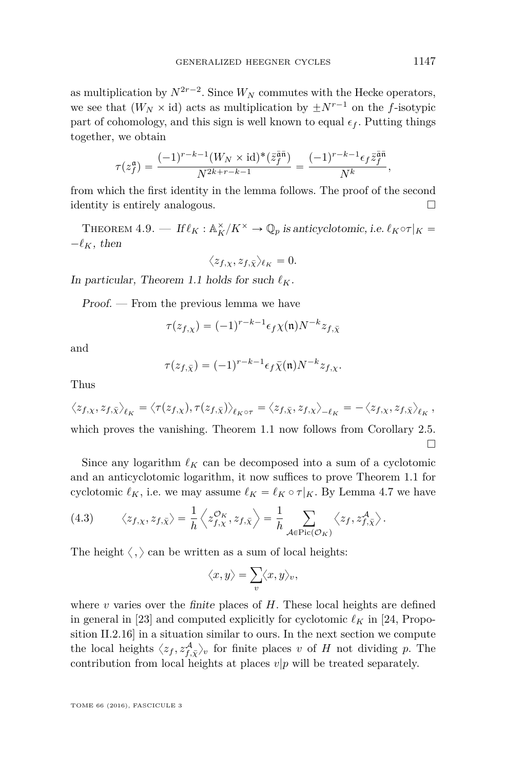as multiplication by  $N^{2r-2}$ . Since  $W_N$  commutes with the Hecke operators, we see that  $(W_N \times id)$  acts as multiplication by  $\pm N^{r-1}$  on the *f*-isotypic part of cohomology, and this sign is well known to equal  $\epsilon_f$ . Putting things together, we obtain

$$
\tau(z_f^{\mathfrak{a}}) = \frac{(-1)^{r-k-1}(W_N \times \mathrm{id})^*(\bar{z}_f^{\bar{\mathfrak{a}}\bar{\mathfrak{n}}})}{N^{2k+r-k-1}} = \frac{(-1)^{r-k-1}\epsilon_f \bar{z}_f^{\bar{\mathfrak{a}}\bar{\mathfrak{n}}}}{N^k},
$$

from which the first identity in the lemma follows. The proof of the second identity is entirely analogous.

<span id="page-31-0"></span>THEOREM 4.9. — If  $\ell_K : \mathbb{A}_K^{\times}/K^{\times} \to \mathbb{Q}_p$  is anticyclotomic, i.e.  $\ell_K \circ \tau|_K =$  $-\ell_K$ , then

$$
\langle z_{f,\chi}, z_{f,\bar{\chi}}\rangle_{\ell_K}=0.
$$

In particular, Theorem [1.1](#page-5-0) holds for such  $\ell_K$ .

Proof. — From the previous lemma we have

$$
\tau(z_{f,\chi}) = (-1)^{r-k-1} \epsilon_f \chi(\mathfrak{n}) N^{-k} z_{f,\bar{\chi}}
$$

and

$$
\tau(z_{f,\bar{\chi}}) = (-1)^{r-k-1} \epsilon_f \bar{\chi}(\mathfrak{n}) N^{-k} z_{f,\chi}.
$$

Thus

$$
\langle z_{f,\chi}, z_{f,\bar{\chi}} \rangle_{\ell_K} = \langle \tau(z_{f,\chi}), \tau(z_{f,\bar{\chi}}) \rangle_{\ell_K \circ \tau} = \langle z_{f,\bar{\chi}}, z_{f,\chi} \rangle_{-\ell_K} = -\langle z_{f,\chi}, z_{f,\bar{\chi}} \rangle_{\ell_K},
$$

which proves the vanishing. Theorem [1.1](#page-5-0) now follows from Corollary [2.5.](#page-14-1)  $\Box$ 

Since any logarithm  $\ell_K$  can be decomposed into a sum of a cyclotomic and an anticyclotomic logarithm, it now suffices to prove Theorem [1.1](#page-5-0) for cyclotomic  $\ell_K$ , i.e. we may assume  $\ell_K = \ell_K \circ \tau|_K$ . By Lemma [4.7](#page-29-1) we have

<span id="page-31-1"></span>(4.3) 
$$
\langle z_{f,\chi}, z_{f,\bar{\chi}} \rangle = \frac{1}{h} \left\langle z_{f,\chi}^{\mathcal{O}_K}, z_{f,\bar{\chi}} \right\rangle = \frac{1}{h} \sum_{\mathcal{A} \in \text{Pic}(\mathcal{O}_K)} \left\langle z_f, z_{f,\bar{\chi}}^{\mathcal{A}} \right\rangle.
$$

The height  $\langle , \rangle$  can be written as a sum of local heights:

$$
\langle x, y \rangle = \sum_{v} \langle x, y \rangle_{v},
$$

where  $v$  varies over the finite places of  $H$ . These local heights are defined in general in [\[23\]](#page-57-6) and computed explicitly for cyclotomic  $\ell_K$  in [\[24,](#page-58-1) Proposition II.2.16] in a situation similar to ours. In the next section we compute the local heights  $\langle z_f, z_{f,\bar{\chi}}^{\mathcal{A}} \rangle_v$  for finite places *v* of *H* not dividing *p*. The contribution from local heights at places *v*|*p* will be treated separately.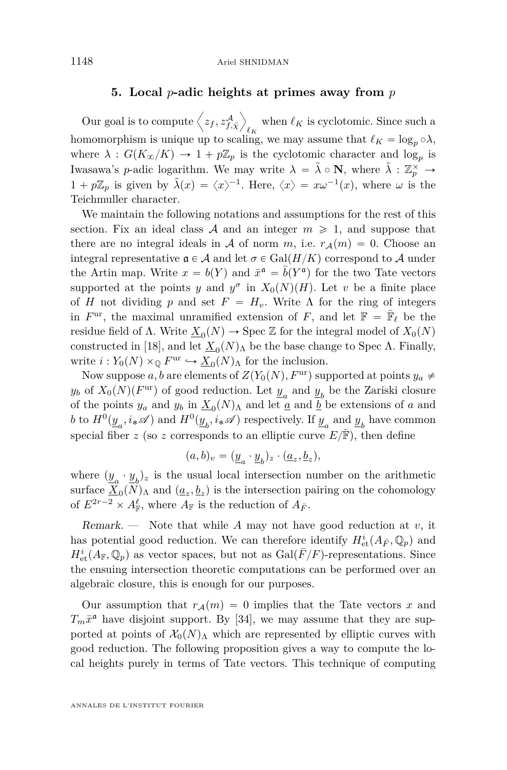#### **5. Local** *p***-adic heights at primes away from** *p*

<span id="page-32-0"></span>Our goal is to compute  $\left\langle z_f, z_{f,\bar{\chi}}^{\mathcal{A}} \right\rangle$ E when  $\ell_K$  is cyclotomic. Since such a homomorphism is unique up to scaling, we may assume that  $\ell_K = \log_p \circ \lambda$ , where  $\lambda: G(K_{\infty}/K) \to 1 + p\mathbb{Z}_p$  is the cyclotomic character and log<sub>p</sub> is Iwasawa's *p*-adic logarithm. We may write  $\lambda = \tilde{\lambda} \circ \mathbf{N}$ , where  $\tilde{\lambda} : \mathbb{Z}_p^{\times} \to$  $1 + p\mathbb{Z}_p$  is given by  $\tilde{\lambda}(x) = \langle x \rangle^{-1}$ . Here,  $\langle x \rangle = x\omega^{-1}(x)$ , where  $\omega$  is the Teichmuller character.

We maintain the following notations and assumptions for the rest of this section. Fix an ideal class A and an integer  $m \geq 1$ , and suppose that there are no integral ideals in A of norm m, i.e.  $r_A(m) = 0$ . Choose an integral representative  $\mathfrak{a} \in \mathcal{A}$  and let  $\sigma \in \text{Gal}(H/K)$  correspond to A under the Artin map. Write  $x = b(Y)$  and  $\bar{x}^{\mathfrak{a}} = \bar{b}(Y^{\mathfrak{a}})$  for the two Tate vectors supported at the points *y* and  $y^{\sigma}$  in  $X_0(N)(H)$ . Let *v* be a finite place of *H* not dividing *p* and set  $F = H_v$ . Write  $\Lambda$  for the ring of integers in  $F^{\text{ur}}$ , the maximal unramified extension of  $F$ , and let  $\mathbb{F} = \overline{\mathbb{F}}_{\ell}$  be the residue field of  $\Lambda$ . Write  $\underline{X}_0(N) \to \text{Spec } \mathbb{Z}$  for the integral model of  $X_0(N)$ constructed in [\[18\]](#page-57-18), and let  $\underline{X}_0(N)$ <sub>Λ</sub> be the base change to Spec Λ. Finally, write  $i: Y_0(N) \times_{\mathbb{Q}} F^{\text{ur}} \hookrightarrow \underline{X}_0(N)$  for the inclusion.

Now suppose *a*, *b* are elements of  $Z(Y_0(N), F^{\text{ur}})$  supported at points  $y_a \neq$  $y_b$  of  $X_0(N)(F^{\text{ur}})$  of good reduction. Let  $\underline{y}_a$  and  $\underline{y}_b$  be the Zariski closure of the points  $y_a$  and  $y_b$  in  $\underline{X}_0(N)$ <sub>Λ</sub> and let <u>*a*</u> and <u>*b*</u> be extensions of *a* and *b* to  $H^0(\underline{y}_a, i_*\mathscr{A})$  and  $H^0(\underline{y}_b, i_*\mathscr{A})$  respectively. If  $\underline{y}_a$  and  $\underline{y}_b$  have common special fiber *z* (so *z* corresponds to an elliptic curve  $E/\overline{F}$ ), then define

$$
(a,b)_v = (\underline{y}_a \cdot \underline{y}_b)_z \cdot (\underline{a}_z, \underline{b}_z),
$$

where  $(\underline{y}_a \cdot \underline{y}_b)$ <sub>z</sub> is the usual local intersection number on the arithmetic surface  $\underline{X}_0(N)$ <sub>Λ</sub> and  $(\underline{a}_z, \underline{b}_z)$  is the intersection pairing on the cohomology of  $E^{2r-2} \times A_{\mathbb{F}}^{\ell}$ , where  $A_{\mathbb{F}}$  is the reduction of  $A_{\bar{F}}$ .

Remark. — Note that while *A* may not have good reduction at *v*, it has potential good reduction. We can therefore identify  $H^i_{\text{et}}(A_{\bar{F}}, \mathbb{Q}_p)$  and  $H^i_{\text{et}}(A_{\mathbb{F}}, \mathbb{Q}_p)$  as vector spaces, but not as  $\text{Gal}(\bar{F}/F)$ -representations. Since the ensuing intersection theoretic computations can be performed over an algebraic closure, this is enough for our purposes.

Our assumption that  $r_A(m) = 0$  implies that the Tate vectors x and  $T_m \bar{x}^{\mathfrak{a}}$  have disjoint support. By [\[34\]](#page-58-10), we may assume that they are supported at points of  $\mathcal{X}_0(N)$ <sub>Λ</sub> which are represented by elliptic curves with good reduction. The following proposition gives a way to compute the local heights purely in terms of Tate vectors. This technique of computing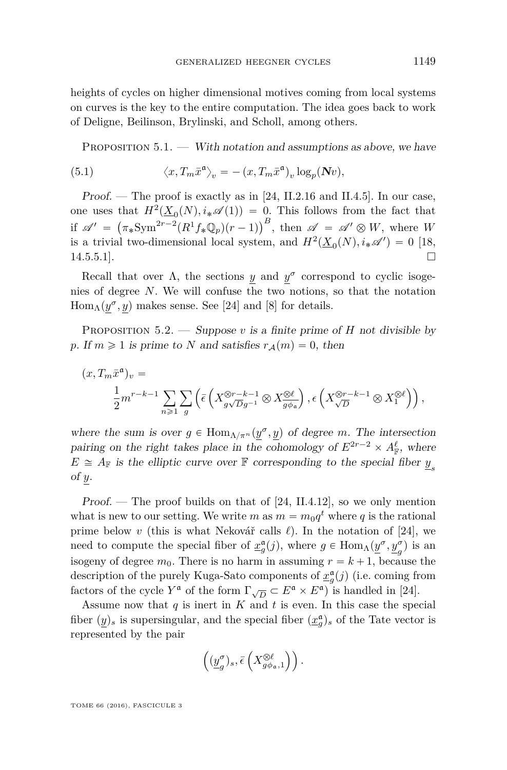heights of cycles on higher dimensional motives coming from local systems on curves is the key to the entire computation. The idea goes back to work of Deligne, Beilinson, Brylinski, and Scholl, among others.

PROPOSITION  $5.1.$  — With notation and assumptions as above, we have

(5.1) 
$$
\langle x, T_m \bar{x}^{\mathfrak{a}} \rangle_v = -(x, T_m \bar{x}^{\mathfrak{a}})_v \log_p(\mathbf{N} v),
$$

Proof. — The proof is exactly as in [\[24,](#page-58-1) II.2.16 and II.4.5]. In our case, one uses that  $H^2(\underline{X}_0(N), i_*\mathscr{A}(1)) = 0$ . This follows from the fact that if  $\mathscr{A}' = \left( \pi_* \mathrm{Sym}^{2r-2} (R^1 f_* \mathbb{Q}_p)(r-1) \right)$  $\left(\begin{array}{c} 0. & \text{This follows from the fact that} \\ 0. & \text{if } h \neq 0 \end{array}\right)$ , then  $\mathscr{A} = \mathscr{A}' \otimes W$ , where *W* is a trivial two-dimensional local system, and  $H^2(\underline{X}_0(N), i_*\mathscr{A}') = 0$  [\[18,](#page-57-18)  $14.5.5.1$ .

Recall that over  $\Lambda$ , the sections *y* and  $y^{\sigma}$  correspond to cyclic isogenies of degree *N*. We will confuse the two notions, so that the notation  $\text{Hom}_{\Lambda}(\underline{y}^{\sigma}, \underline{y})$  makes sense. See [\[24\]](#page-58-1) and [\[8\]](#page-57-19) for details.

<span id="page-33-0"></span>PROPOSITION  $5.2.$  — Suppose *v* is a finite prime of *H* not divisible by *p*. If  $m \ge 1$  is prime to *N* and satisfies  $r_A(m) = 0$ , then

$$
(x,T_m\bar{x}^{\mathfrak{a}})_v=\frac{1}{2}m^{r-k-1}\sum_{n\geqslant 1}\sum_{g}\left(\bar{\epsilon}\left(X_{g\sqrt{D}g^{-1}}^{\otimes r-k-1}\otimes X_{\overline{g\phi_{\mathfrak{a}}}}^{\otimes \ell}\right),\epsilon\left(X_{\sqrt{D}}^{\otimes r-k-1}\otimes X_{1}^{\otimes \ell}\right)\right),
$$

where the sum is over  $g \in \text{Hom}_{\Lambda/\pi^n}(\underline{y}^{\sigma}, \underline{y})$  of degree *m*. The intersection pairing on the right takes place in the cohomology of  $E^{2r-2} \times A_{\mathbb{F}}^{\ell}$ , where  $E \cong A_{\mathbb{F}}$  is the elliptic curve over  $\mathbb{F}$  corresponding to the special fiber  $\underline{y}_s$ of *y*.

Proof. — The proof builds on that of [\[24,](#page-58-1) II.4.12], so we only mention what is new to our setting. We write  $m$  as  $m = m_0 q^t$  where  $q$  is the rational prime below *v* (this is what Nekovář calls  $\ell$ ). In the notation of [\[24\]](#page-58-1), we need to compute the special fiber of  $x_g^{\mathfrak{a}}(j)$ , where  $g \in \text{Hom}_{\Lambda}(\underline{y}^{\sigma}, \underline{y}^{\sigma}_g)$  is an isogeny of degree  $m_0$ . There is no harm in assuming  $r = k + 1$ , because the description of the purely Kuga-Sato components of  $\underline{x}_g^{\mathfrak{a}}(j)$  (i.e. coming from factors of the cycle  $Y^{\mathfrak{a}}$  of the form  $\Gamma_{\sqrt{D}} \subset E^{\mathfrak{a}} \times E^{\mathfrak{a}}$  is handled in [\[24\]](#page-58-1).

Assume now that *q* is inert in *K* and *t* is even. In this case the special fiber  $(y)_s$  is supersingular, and the special fiber  $(\underline{x}_g^{\mathfrak{a}})_s$  of the Tate vector is represented by the pair

$$
\left((\underline{y}_{g}^{\sigma})_{s},\bar{\epsilon}\left(X_{g\phi_{\mathfrak{a}},1}^{\otimes \ell}\right)\right).
$$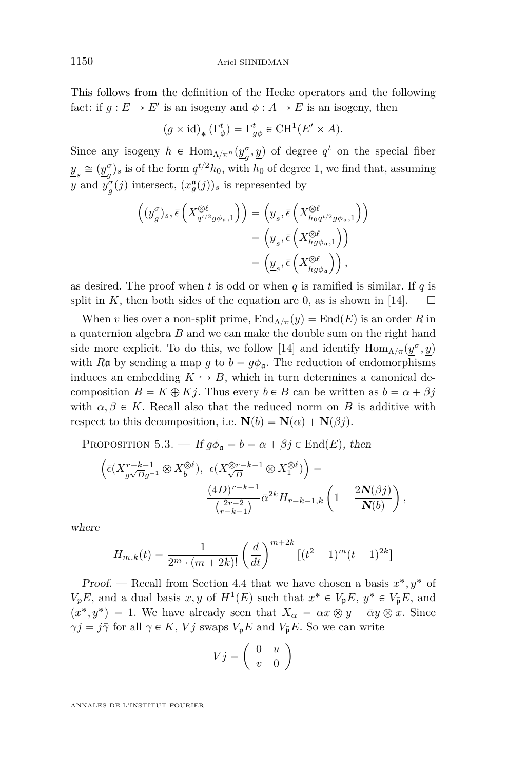This follows from the definition of the Hecke operators and the following fact: if  $g : E \to E'$  is an isogeny and  $\phi : A \to E$  is an isogeny, then

$$
(g \times id)_* (\Gamma^t_{\phi}) = \Gamma^t_{g\phi} \in \text{CH}^1(E' \times A).
$$

Since any isogeny  $h \in \text{Hom}_{\Lambda/\pi^n}(\underline{y}_q^{\sigma})$  $(g, g)$  of degree  $q^t$  on the special fiber  $\underline{y}_s \cong (\underline{y}_g^{\sigma})$  $g_{s}^{\sigma}$  is of the form  $q^{t/2}h_0$ , with  $h_0$  of degree 1, we find that, assuming *y* and  $y^{\sigma}$ <sub>*c*</sub>  $g^{\sigma}(j)$  intersect,  $(\underline{x}^{\mathfrak{a}}_g(j))_s$  is represented by

$$
\begin{split} \Big( (\underline{y}^\sigma_g)_s, \bar{\epsilon} \left( X^{\otimes \ell}_{q^{t/2} g \phi_{\mathfrak{a}},1} \right) \Big) &= \Big( \underline{y}_s, \bar{\epsilon} \left( X^{\otimes \ell}_{h_0 q^{t/2} g \phi_{\mathfrak{a}},1} \right) \Big) \\ &= \Big( \underline{y}_s, \bar{\epsilon} \left( X^{\otimes \ell}_{h g \phi_{\mathfrak{a}},1} \right) \Big) \\ &= \Big( \underline{y}_s, \bar{\epsilon} \left( X^{\otimes \ell}_{\overline{h g \phi_{\mathfrak{a}}}} \right) \Big) \,, \end{split}
$$

as desired. The proof when *t* is odd or when *q* is ramified is similar. If *q* is split in  $K$ , then both sides of the equation are 0, as is shown in [\[14\]](#page-57-0).

When *v* lies over a non-split prime,  $\text{End}_{\Lambda/\pi}(y) = \text{End}(E)$  is an order *R* in a quaternion algebra *B* and we can make the double sum on the right hand side more explicit. To do this, we follow [\[14\]](#page-57-0) and identify  $\text{Hom}_{\Lambda/\pi}(\underline{y}^{\sigma}, \underline{y})$ with Ra by sending a map *g* to  $b = g\phi_a$ . The reduction of endomorphisms induces an embedding  $K \hookrightarrow B$ , which in turn determines a canonical decomposition  $B = K \oplus Kj$ . Thus every  $b \in B$  can be written as  $b = \alpha + \beta j$ with  $\alpha, \beta \in K$ . Recall also that the reduced norm on *B* is additive with respect to this decomposition, i.e.  $N(b) = N(\alpha) + N(\beta j)$ .

PROPOSITION 5.3. — If  $g\phi_a = b = \alpha + \beta j \in \text{End}(E)$ , then

$$
\left(\bar{\epsilon}(X_{g\sqrt{D}g^{-1}}^{r-k-1} \otimes X_{\bar{b}}^{\otimes \ell}), \ \epsilon(X_{\sqrt{D}}^{\otimes r-k-1} \otimes X_1^{\otimes \ell})\right) = \frac{(4D)^{r-k-1}}{\binom{2r-2}{r-k-1}} \bar{\alpha}^{2k} H_{r-k-1,k} \left(1 - \frac{2\mathbf{N}(\beta j)}{\mathbf{N}(b)}\right),
$$

where

$$
H_{m,k}(t) = \frac{1}{2^m \cdot (m+2k)!} \left(\frac{d}{dt}\right)^{m+2k} \left[ (t^2 - 1)^m (t-1)^{2k} \right]
$$

Proof. — Recall from Section [4.4](#page-26-0) that we have chosen a basis  $x^*, y^*$  of  $V_pE$ , and a dual basis *x*, *y* of  $H^1(E)$  such that  $x^* \in V_pE$ ,  $y^* \in V_pE$ , and  $(x^*, y^*) = 1$ . We have already seen that  $X_\alpha = \alpha x \otimes y - \overline{\alpha} y \otimes x$ . Since  $\gamma j = j\bar{\gamma}$  for all  $\gamma \in K$ , *V j* swaps  $V_p E$  and  $V_{\bar{p}} E$ . So we can write ˙

$$
Vj = \left(\begin{array}{cc} 0 & u \\ v & 0 \end{array}\right)
$$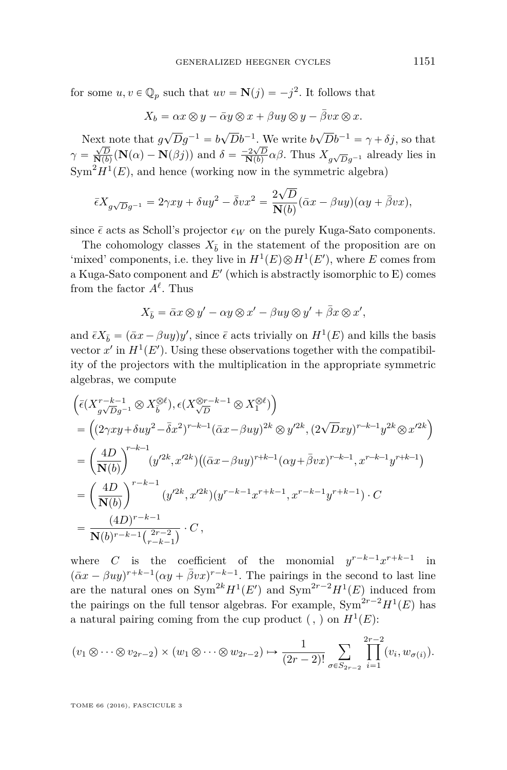for some  $u, v \in \mathbb{Q}_p$  such that  $uv = \mathbf{N}(j) = -j^2$ . It follows that

$$
X_b = \alpha x \otimes y - \bar{\alpha}y \otimes x + \beta uy \otimes y - \bar{\beta}vx \otimes x.
$$

Next note that  $g\sqrt{D}g^{-1} = b\sqrt{D}b^{-1}$ . We write  $b\sqrt{D}b^{-1} = \gamma + \delta j$ , so that  $\gamma = \frac{\sqrt{D}}{N(b)}(N(\alpha) - N(\beta j))$  and  $\delta = \frac{-2\sqrt{D}}{N(b)}\alpha\beta$ . Thus  $X_{g\sqrt{D}g^{-1}}$  already lies in  $Sym<sup>2</sup>H<sup>1</sup>(E)$ , and hence (working now in the symmetric algebra)

$$
\bar{\epsilon}X_{g\sqrt{D}g^{-1}} = 2\gamma xy + \delta uy^2 - \bar{\delta}vx^2 = \frac{2\sqrt{D}}{\mathbf{N}(b)}(\bar{\alpha}x - \beta uy)(\alpha y + \bar{\beta}vx),
$$

since  $\bar{\epsilon}$  acts as Scholl's projector  $\epsilon_W$  on the purely Kuga-Sato components.

The cohomology classes  $X_{\bar{b}}$  in the statement of the proposition are on 'mixed' components, i.e. they live in  $H^1(E) \otimes H^1(E)$ , where *E* comes from a Kuga-Sato component and *E*<sup>1</sup> (which is abstractly isomorphic to E) comes from the factor  $A^{\ell}$ . Thus

$$
X_{\bar{b}} = \bar{\alpha}x \otimes y' - \alpha y \otimes x' - \beta uy \otimes y' + \bar{\beta}x \otimes x',
$$

and  $\bar{\epsilon}X_{\bar{b}} = (\bar{\alpha}x - \beta uy)y'$ , since  $\bar{\epsilon}$  acts trivially on  $H^1(E)$  and kills the basis vector  $x'$  in  $H^1(E')$ . Using these observations together with the compatibility of the projectors with the multiplication in the appropriate symmetric algebras, we compute  $\mathbb{R}^2$ ¯

$$
\begin{split}\n&\left(\bar{\epsilon}(X_{g\sqrt{D}g^{-1}}^{r-k-1}\otimes X_{\bar{b}}^{\otimes \ell}),\epsilon(X_{\sqrt{D}}^{\otimes r-k-1}\otimes X_{1}^{\otimes \ell})\right) \\
&=\left((2\gamma xy+\delta uy^{2}-\bar{\delta}x^{2})^{r-k-1}(\bar{\alpha}x-\beta uy)^{2k}\otimes y'^{2k},(2\sqrt{D}xy)^{r-k-1}y^{2k}\otimes x'^{2k}\right) \\
&=\left(\frac{4D}{\mathbf{N}(b)}\right)^{r-k-1}(y'^{2k},x'^{2k})\left((\bar{\alpha}x-\beta uy)^{r+k-1}(\alpha y+\bar{\beta}vx)^{r-k-1},x^{r-k-1}y^{r+k-1}\right) \\
&=\left(\frac{4D}{\mathbf{N}(b)}\right)^{r-k-1}(y'^{2k},x'^{2k})(y^{r-k-1}x^{r+k-1},x^{r-k-1}y^{r+k-1})\cdot C \\
&=\frac{(4D)^{r-k-1}}{\mathbf{N}(b)^{r-k-1}\binom{2r-2}{r-k-1}}\cdot C\,,\n\end{split}
$$

where *C* is the coefficient of the monomial  $y^{r-k-1}x^{r+k-1}$ in  $(\bar{\alpha}x - \beta uy)^{r+k-1}(\alpha y + \bar{\beta}vx)^{r-k-1}$ . The pairings in the second to last line are the natural ones on  $Sym^{2k} H^1(E')$  and  $Sym^{2r-2} H^1(E)$  induced from the pairings on the full tensor algebras. For example,  $Sym^{2r-2}H^1(E)$  has a natural pairing coming from the cup product  $($ ,  $)$  on  $H<sup>1</sup>(E)$ :

$$
(v_1 \otimes \cdots \otimes v_{2r-2}) \times (w_1 \otimes \cdots \otimes w_{2r-2}) \mapsto \frac{1}{(2r-2)!} \sum_{\sigma \in S_{2r-2}} \prod_{i=1}^{2r-2} (v_i, w_{\sigma(i)}).
$$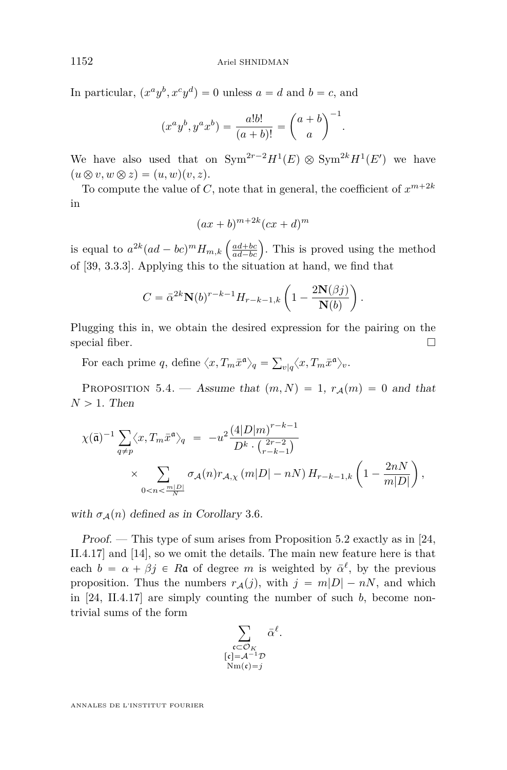In particular,  $(x^a y^b, x^c y^d) = 0$  unless  $a = d$  and  $b = c$ , and

$$
(x^{a}y^{b}, y^{a}x^{b}) = \frac{a!b!}{(a+b)!} = {a+b \choose a}^{-1}.
$$

We have also used that on  $Sym^{2r-2}H^1(E) \otimes Sym^{2k}H^1(E')$  we have  $(u \otimes v, w \otimes z) = (u, w)(v, z).$ 

To compute the value of *C*, note that in general, the coefficient of  $x^{m+2k}$ in

$$
(ax+b)^{m+2k}(cx+d)^m
$$

is equal to  $a^{2k}(ad - bc)^m H_{m,k}\left(\frac{ad + bc}{ad - bc}\right)$ . This is proved using the method of [\[39,](#page-58-3) 3.3.3]. Applying this to the situation at hand, we find that

$$
C = \bar{\alpha}^{2k} \mathbf{N}(b)^{r-k-1} H_{r-k-1,k} \left( 1 - \frac{2\mathbf{N}(\beta j)}{\mathbf{N}(b)} \right).
$$

Plugging this in, we obtain the desired expression for the pairing on the special fiber.  $\Box$ 

For each prime q, define  $\langle x, T_m \bar{x}^{\mathfrak{a}} \rangle_q =$ ř  $v|q} \langle x, T_m \bar{x}^{\mathfrak{a}} \rangle_v.$ 

<span id="page-36-0"></span>PROPOSITION 5.4. — Assume that  $(m, N) = 1$ ,  $r_A(m) = 0$  and that  $N > 1$ . Then

$$
\chi(\bar{\mathfrak{a}})^{-1} \sum_{q \neq p} \langle x, T_m \bar{x}^{\mathfrak{a}} \rangle_q = -u^2 \frac{(4|D|m)^{r-k-1}}{D^k \cdot {2r-2 \choose r-k-1}} \times \sum_{0 < n < \frac{m|D|}{N}} \sigma_{\mathcal{A}}(n) r_{\mathcal{A},\chi}(m|D| - nN) H_{r-k-1,k} \left(1 - \frac{2nN}{m|D|}\right),
$$

with  $\sigma_A(n)$  defined as in Corollary [3](#page-19-1).6.

Proof. — This type of sum arises from Proposition [5.2](#page-33-0) exactly as in [\[24,](#page-58-1) II.4.17] and [\[14\]](#page-57-0), so we omit the details. The main new feature here is that each  $b = \alpha + \beta j \in R$ **a** of degree *m* is weighted by  $\bar{\alpha}^{\ell}$ , by the previous proposition. Thus the numbers  $r_A(j)$ , with  $j = m|D| - nN$ , and which in [\[24,](#page-58-1) II.4.17] are simply counting the number of such *b*, become nontrivial sums of the form

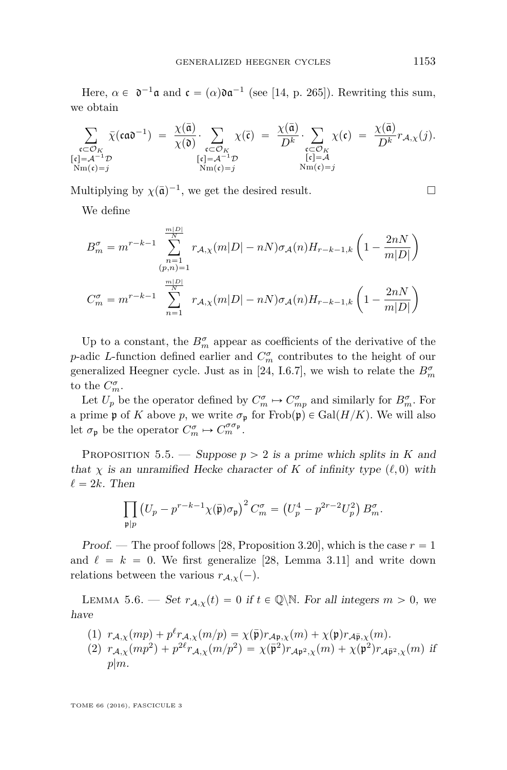Here,  $\alpha \in \mathfrak{d}^{-1}\mathfrak{a}$  and  $\mathfrak{c} = (\alpha)\mathfrak{d}\mathfrak{a}^{-1}$  (see [\[14,](#page-57-0) p. 265]). Rewriting this sum, we obtain

$$
\sum_{\substack{\mathfrak{c}\subset\mathcal{O}_K\\ [\mathfrak{c}]=\mathcal{A}^{-1}\mathcal{D}\\ \mathrm{Nm}(\mathfrak{c})=j}}\bar{\chi}(\mathfrak{c}\mathfrak{a}\mathfrak{d}^{-1})\;=\;\frac{\chi(\bar{\mathfrak{a}})}{\chi(\mathfrak{d})}\cdot\sum_{\substack{\mathfrak{c}\subset\mathcal{O}_K\\ [\mathfrak{c}]=\mathcal{A}^{-1}\mathcal{D}\\ \mathrm{Nm}(\mathfrak{c})=j}}\chi(\bar{\mathfrak{c}})\;=\;\frac{\chi(\bar{\mathfrak{a}})}{D^k}\cdot\sum_{\substack{\mathfrak{c}\subset\mathcal{O}_K\\ [\mathfrak{c}]=\mathcal{A}\\ \mathrm{Nm}(\mathfrak{c})=j}}\chi(\mathfrak{c})\;=\;\frac{\chi(\bar{\mathfrak{a}})}{D^k}r_{\mathcal{A},\chi}(j).
$$

Multiplying by  $\chi(\bar{\mathfrak{a}})^{-1}$ , we get the desired result.

We define

$$
B_m^{\sigma} = m^{r-k-1} \sum_{\substack{n=1 \ (p,n)=1}}^{\frac{m|D|}{N}} r_{A,\chi}(m|D| - nN)\sigma_A(n)H_{r-k-1,k} \left(1 - \frac{2nN}{m|D|}\right)
$$
  

$$
C_m^{\sigma} = m^{r-k-1} \sum_{n=1}^{\frac{m|D|}{N}} r_{A,\chi}(m|D| - nN)\sigma_A(n)H_{r-k-1,k} \left(1 - \frac{2nN}{m|D|}\right)
$$

Up to a constant, the  $B_m^{\sigma}$  appear as coefficients of the derivative of the *p*-adic *L*-function defined earlier and  $C_m^{\sigma}$  contributes to the height of our generalized Heegner cycle. Just as in [\[24,](#page-58-1) I.6.7], we wish to relate the  $B_m^{\sigma}$ to the  $C_m^{\sigma}$ .

Let  $U_p$  be the operator defined by  $C_m^{\sigma} \to C_{mp}^{\sigma}$  and similarly for  $B_m^{\sigma}$ . For a prime  $\mathfrak p$  of *K* above *p*, we write  $\sigma_{\mathfrak p}$  for Frob $(\mathfrak p) \in \text{Gal}(H/K)$ . We will also let  $\sigma_{\mathfrak{p}}$  be the operator  $C_m^{\sigma} \mapsto C_m^{\sigma \sigma_{\mathfrak{p}}}.$ 

<span id="page-37-0"></span>PROPOSITION 5.5. — Suppose  $p > 2$  is a prime which splits in *K* and that  $\chi$  is an unramified Hecke character of K of infinity type  $(\ell, 0)$  with  $\ell = 2k$ . Then

$$
\prod_{\mathfrak{p}|p} \left( U_p - p^{r-k-1} \chi(\bar{\mathfrak{p}}) \sigma_{\mathfrak{p}} \right)^2 C_m^{\sigma} = \left( U_p^4 - p^{2r-2} U_p^2 \right) B_m^{\sigma}.
$$

Proof. — The proof follows [\[28,](#page-58-0) Proposition 3.20], which is the case  $r = 1$ and  $\ell = k = 0$ . We first generalize [\[28,](#page-58-0) Lemma 3.11] and write down relations between the various  $r_{A,\chi}(-)$ .

LEMMA 5.6. — Set  $r_{A,\chi}(t) = 0$  if  $t \in \mathbb{Q} \backslash \mathbb{N}$ . For all integers  $m > 0$ , we have

(1) 
$$
r_{\mathcal{A},\chi}(mp) + p^{\ell} r_{\mathcal{A},\chi}(m/p) = \chi(\bar{\mathfrak{p}}) r_{\mathcal{A}\mathfrak{p},\chi}(m) + \chi(\mathfrak{p}) r_{\mathcal{A}\bar{\mathfrak{p}},\chi}(m).
$$
  
(2) 
$$
r_{\mathcal{A},\chi}(mp^2) + p^{2\ell} r_{\mathcal{A},\chi}(m/p^2) = \chi(\bar{\mathfrak{p}}^2) r_{\mathcal{A}\mathfrak{p}^2,\chi}(m) + \chi(\mathfrak{p}^2) r_{\mathcal{A}\bar{\mathfrak{p}}^2,\chi}(m)
$$
 if 
$$
p|m.
$$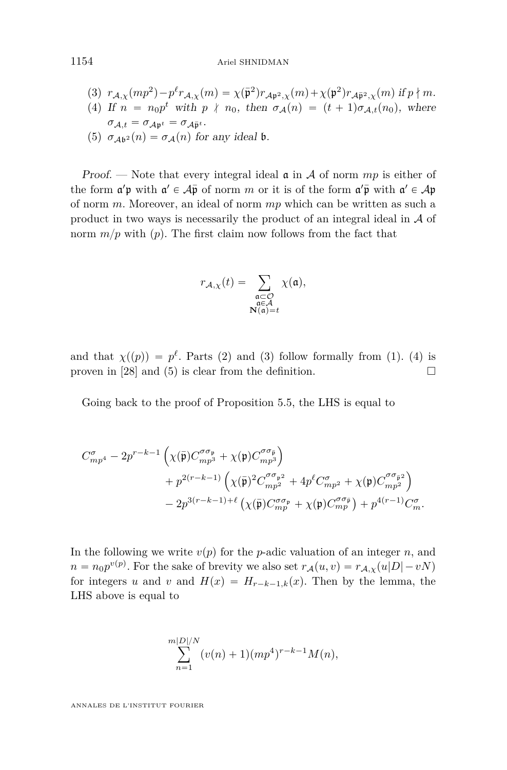1154 Ariel SHNIDMAN

\n- (3) 
$$
r_{\mathcal{A},\chi}(mp^2) - p^{\ell}r_{\mathcal{A},\chi}(m) = \chi(\bar{\mathfrak{p}}^2)r_{\mathcal{A}\mathfrak{p}^2,\chi}(m) + \chi(\mathfrak{p}^2)r_{\mathcal{A}\bar{\mathfrak{p}}^2,\chi}(m)
$$
 if  $p \nmid m$ .
\n- (4) If  $n = n_0p^t$  with  $p \nmid n_0$ , then  $\sigma_{\mathcal{A}}(n) = (t + 1)\sigma_{\mathcal{A},t}(n_0)$ , where  $\sigma_{\mathcal{A},t} = \sigma_{\mathcal{A}\mathfrak{p}^t} = \sigma_{\mathcal{A}\bar{\mathfrak{p}}^t}$ .
\n- (5)  $\sigma_{\mathcal{A}\mathfrak{b}^2}(n) = \sigma_{\mathcal{A}}(n)$  for any ideal  $\mathfrak{b}$ .
\n

Proof. — Note that every integral ideal a in A of norm *mp* is either of the form  $\mathfrak{a}'\mathfrak{p}$  with  $\mathfrak{a}' \in \mathcal{A}\bar{\mathfrak{p}}$  of norm  $m$  or it is of the form  $\mathfrak{a}'\bar{\mathfrak{p}}$  with  $\mathfrak{a}' \in \mathcal{A}\mathfrak{p}$ of norm *m*. Moreover, an ideal of norm *mp* which can be written as such a product in two ways is necessarily the product of an integral ideal in A of norm  $m/p$  with  $(p)$ . The first claim now follows from the fact that

$$
r_{\mathcal{A},\chi}(t) = \sum_{\substack{\mathfrak{a} \subset \mathcal{O} \\ \mathfrak{a} \in \mathcal{A} \\ \mathbf{N}(\mathfrak{a}) = t}} \chi(\mathfrak{a}),
$$

and that  $\chi(p) = p^{\ell}$ . Parts (2) and (3) follow formally from (1). (4) is proven in [\[28\]](#page-58-0) and (5) is clear from the definition.  $\square$ 

Going back to the proof of Proposition [5.5,](#page-37-0) the LHS is equal to

$$
\begin{aligned} C_{mp^4}^{\sigma} -2p^{r-k-1}\left(\chi(\bar{\mathfrak{p}})C_{mp^3}^{\sigma\sigma_{\mathfrak{p}}} +\chi(\mathfrak{p})C_{mp^3}^{\sigma\sigma_{\bar{\mathfrak{p}}}}\right) \\ &+p^{2(r-k-1)}\left(\chi(\bar{\mathfrak{p}})^2C_{mp^2}^{\sigma\sigma_{\mathfrak{p}}2}+4p^\ell C_{mp^2}^{\sigma}+\chi(\mathfrak{p})C_{mp^2}^{\sigma\sigma_{\bar{\mathfrak{p}}2}}\right) \\ &-2p^{3(r-k-1)+\ell}\left(\chi(\bar{\mathfrak{p}})C_{mp}^{\sigma\sigma_{\mathfrak{p}}}+\chi(\mathfrak{p})C_{mp}^{\sigma\sigma_{\bar{\mathfrak{p}}}}\right)+p^{4(r-1)}C_{m}^{\sigma}. \end{aligned}
$$

In the following we write  $v(p)$  for the *p*-adic valuation of an integer *n*, and  $n = n_0 p^{v(p)}$ . For the sake of brevity we also set  $r_A(u, v) = r_{A, \chi}(u|D| - vN)$ for integers *u* and *v* and  $H(x) = H_{r-k-1,k}(x)$ . Then by the lemma, the LHS above is equal to

$$
\sum_{n=1}^{m|D|/N} (v(n) + 1)(mp^4)^{r-k-1}M(n),
$$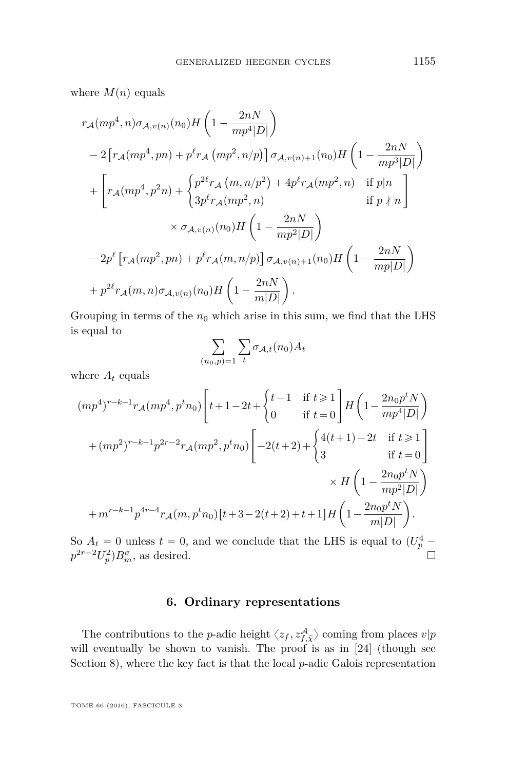where  $M(n)$  equals

$$
r_{A}(mp^{4}, n)\sigma_{A,v(n)}(n_{0})H\left(1-\frac{2nN}{mp^{4}|D|}\right)
$$
  
\n
$$
-2\left[r_{A}(mp^{4}, pn) + p^{\ell}r_{A}(mp^{2}, n/p)\right]\sigma_{A,v(n)+1}(n_{0})H\left(1-\frac{2nN}{mp^{3}|D|}\right)
$$
  
\n
$$
+\left[r_{A}(mp^{4}, p^{2}n) + \begin{cases}p^{2\ell}r_{A}(m, n/p^{2}) + 4p^{\ell}r_{A}(mp^{2}, n) & \text{if } p|n\\3p^{\ell}r_{A}(mp^{2}, n) & \text{if } p \nmid n\end{cases}\right]
$$
  
\n
$$
\times \sigma_{A,v(n)}(n_{0})H\left(1-\frac{2nN}{mp^{2}|D|}\right)
$$
  
\n
$$
-2p^{\ell}\left[r_{A}(mp^{2}, pn) + p^{\ell}r_{A}(m, n/p)\right]\sigma_{A,v(n)+1}(n_{0})H\left(1-\frac{2nN}{mp|D|}\right)
$$
  
\n
$$
+p^{2\ell}r_{A}(m, n)\sigma_{A,v(n)}(n_{0})H\left(1-\frac{2nN}{m|D|}\right).
$$

Grouping in terms of the  $n_0$  which arise in this sum, we find that the LHS is equal to  $\equiv$  $\equiv$ 

$$
\sum_{(n_0,p)=1} \sum_t \sigma_{\mathcal{A},t}(n_0) A_t
$$

where  $A_t$  equals

$$
(mp4)r-k-1rA(mp4, ptn0)\left[t+1-2t+\begin{cases}t-1 & \text{if } t \geq 1\\0 & \text{if } t=0\end{cases}\right]H\left(1-\frac{2n_0p^tN}{mp^4|D|}\right)
$$

$$
+(mp2)r-k-1p2r-2rA(mp2, ptn0)\left[-2(t+2)+\begin{cases}4(t+1)-2t & \text{if } t \geq 1\\3 & \text{if } t=0\end{cases}\right]
$$

$$
\times H\left(1-\frac{2n_0p^tN}{mp^2|D|}\right)
$$

$$
+mr-k-1p4r-4rA(m, ptn0)[t+3-2(t+2)+t+1]H\left(1-\frac{2n_0p^tN}{m|D|}\right).
$$

So  $A_t = 0$  unless  $t = 0$ , and we conclude that the LHS is equal to  $(U_p^4$  $p^{2r-2}U_p^2$ , *p*<sub>*m*</sub>, as desired.

#### **6. Ordinary representations**

<span id="page-39-0"></span>The contributions to the *p*-adic height  $\langle z_f, z_{f,\bar{\chi}}^{\mathcal{A}} \rangle$  coming from places  $v|p$ will eventually be shown to vanish. The proof is as in [\[24\]](#page-58-1) (though see Section [8\)](#page-47-0), where the key fact is that the local *p*-adic Galois representation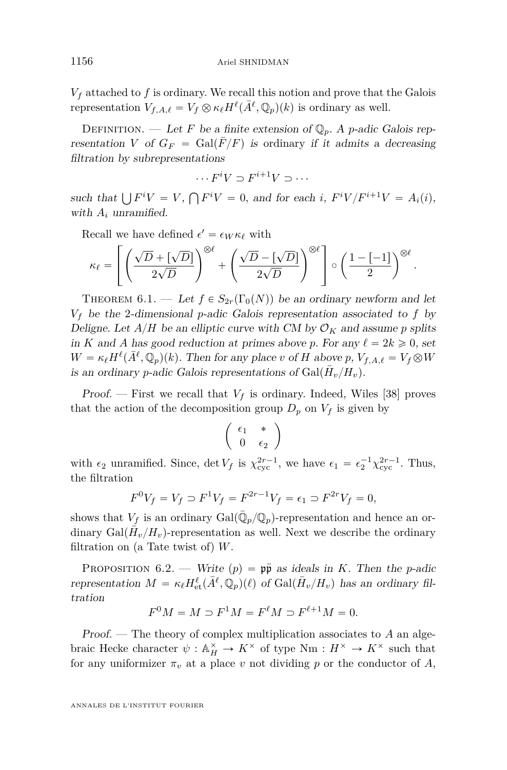$V_f$  attached to  $f$  is ordinary. We recall this notion and prove that the Galois representation  $V_{f,A,\ell} = V_f \otimes \kappa_{\ell} H^{\ell}(\bar{A}^{\ell}, \mathbb{Q}_p)(k)$  is ordinary as well.

DEFINITION. — Let F be a finite extension of  $\mathbb{Q}_n$ . A *p*-adic Galois representation *V* of  $G_F = \text{Gal}(F/F)$  is ordinary if it admits a decreasing filtration by subrepresentations

$$
\cdots F^i V \supset F^{i+1} V \supset \cdots
$$

such that  $\bigcup F^i V = V$ ,  $\mathbf{r}$  $F^{i}V = 0$ , and for each *i*,  $F^{i}V/F^{i+1}V = A_{i}(i)$ , with  $A_i$  unramified.

Recall we have defined  $\epsilon' = \epsilon_W \kappa_{\ell}$  with

$$
\kappa_{\ell} = \left[ \left( \frac{\sqrt{D} + [\sqrt{D}]}{2\sqrt{D}} \right)^{\otimes \ell} + \left( \frac{\sqrt{D} - [\sqrt{D}]}{2\sqrt{D}} \right)^{\otimes \ell} \right] \circ \left( \frac{1 - [-1]}{2} \right)^{\otimes \ell}.
$$

<span id="page-40-0"></span>THEOREM 6.1. — Let  $f \in S_{2r}(\Gamma_0(N))$  be an ordinary newform and let  $V_f$  be the 2-dimensional *p*-adic Galois representation associated to  $f$  by Deligne. Let  $A/H$  be an elliptic curve with CM by  $\mathcal{O}_K$  and assume p splits in *K* and *A* has good reduction at primes above *p*. For any  $\ell = 2k \geq 0$ , set  $W = \kappa_{\ell} H^{\ell}(\bar{A}^{\ell}, \mathbb{Q}_p)(k)$ . Then for any place *v* of *H* above *p*,  $V_{f, A, \ell} = V_f \otimes W$ is an ordinary *p*-adic Galois representations of  $Gal(\bar{H}_v/H_v)$ .

**Proof.** — First we recall that  $V_f$  is ordinary. Indeed, Wiles [\[38\]](#page-58-11) proves that the action of the decomposition group  $D_p$  on  $V_f$  is given by

$$
\left(\begin{array}{cc} \epsilon_1 & * \\ 0 & \epsilon_2 \end{array}\right)
$$

with  $\epsilon_2$  unramified. Since, det  $V_f$  is  $\chi_{\text{cyc}}^{2r-1}$ , we have  $\epsilon_1 = \epsilon_2^{-1} \chi_{\text{cyc}}^{2r-1}$ . Thus, the filtration

$$
F^{0}V_{f} = V_{f} \supset F^{1}V_{f} = F^{2r-1}V_{f} = \epsilon_{1} \supset F^{2r}V_{f} = 0,
$$

shows that  $V_f$  is an ordinary  $Gal(\bar{\mathbb{Q}}_p/\mathbb{Q}_p)$ -representation and hence an ordinary  $Gal(\bar{H}_v/H_v)$ -representation as well. Next we describe the ordinary filtration on (a Tate twist of) *W*.

PROPOSITION 6.2. — Write  $(p) = p\bar{p}$  as ideals in *K*. Then the *p*-adic representation  $M = \kappa_{\ell} H_{\text{et}}^{\ell}(\bar{A}^{\ell}, \mathbb{Q}_p)(\ell)$  of  $\text{Gal}(\bar{H}_v/H_v)$  has an ordinary filtration

$$
F^0M = M \supset F^1M = F^{\ell}M \supset F^{\ell+1}M = 0.
$$

Proof. — The theory of complex multiplication associates to *A* an algebraic Hecke character  $\psi : \mathbb{A}^{\times}_H \to K^{\times}$  of type  $Nm : H^{\times} \to K^{\times}$  such that for any uniformizer  $\pi_v$  at a place *v* not dividing *p* or the conductor of *A*,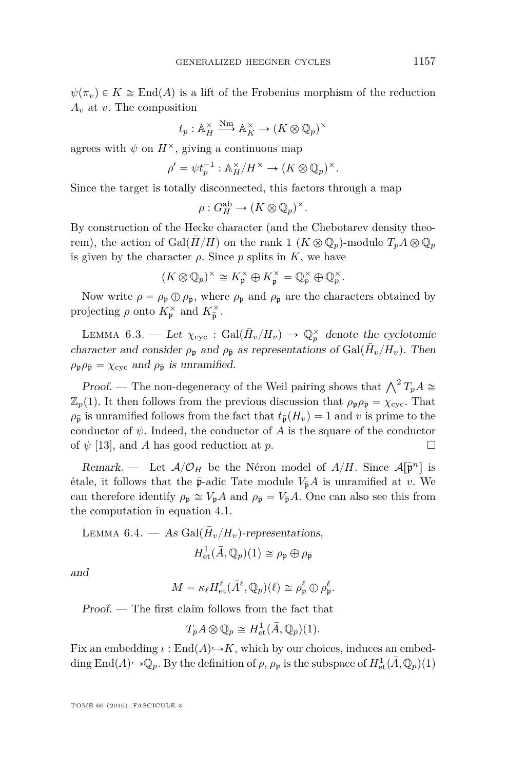$\psi(\pi_v) \in K \cong \text{End}(A)$  is a lift of the Frobenius morphism of the reduction *A<sup>v</sup>* at *v*. The composition

$$
t_p: \mathbb{A}_H^{\times} \xrightarrow{\text{Nm}} \mathbb{A}_K^{\times} \to (K \otimes \mathbb{Q}_p)^{\times}
$$

agrees with  $\psi$  on  $H^{\times}$ , giving a continuous map

$$
\rho' = \psi t_p^{-1} : \mathbb{A}_H^\times / H^\times \to (K \otimes \mathbb{Q}_p)^\times.
$$

Since the target is totally disconnected, this factors through a map

$$
\rho: G_H^{\mathrm{ab}} \to (K \otimes \mathbb{Q}_p)^{\times}.
$$

By construction of the Hecke character (and the Chebotarev density theorem), the action of Gal $(\overline{H}/H)$  on the rank 1  $(K \otimes \mathbb{Q}_p)$ -module  $T_pA \otimes \mathbb{Q}_p$ is given by the character  $\rho$ . Since  $p$  splits in  $K$ , we have

$$
(K \otimes \mathbb{Q}_p)^{\times} \cong K_{\mathfrak{p}}^{\times} \oplus K_{\overline{\mathfrak{p}}}^{\times} = \mathbb{Q}_p^{\times} \oplus \mathbb{Q}_p^{\times}.
$$

Now write  $\rho = \rho_{\rm p} \oplus \rho_{\bar{\rm p}}$ , where  $\rho_{\rm p}$  and  $\rho_{\bar{\rm p}}$  are the characters obtained by projecting  $\rho$  onto  $K_{\mathfrak{p}}^{\times}$  and  $K_{\overline{\mathfrak{p}}}^{\times}$ .

LEMMA 6.3. — Let  $\chi_{\text{cyc}}$ : Gal $(\bar{H}_v/H_v) \rightarrow \mathbb{Q}_p^{\times}$  denote the cyclotomic character and consider  $\rho_{\rm p}$  and  $\rho_{\bar{\rm p}}$  as representations of Gal $(\bar{H}_v/H_v)$ . Then  $\rho_{\mathfrak{p}} \rho_{\bar{\mathfrak{p}}} = \chi_{\text{cyc}}$  and  $\rho_{\bar{\mathfrak{p}}}$  is unramified.

*Proof.* — The non-degeneracy of the Weil pairing shows that  $\bigwedge^2 T_p A \cong$  $\mathbb{Z}_p(1)$ . It then follows from the previous discussion that  $\rho_{\mathfrak{p}} \rho_{\overline{\mathfrak{p}}} = \chi_{\text{cyc}}$ . That  $\rho_{\bar{p}}$  is unramified follows from the fact that  $t_{\bar{p}}(H_v) = 1$  and *v* is prime to the conductor of  $\psi$ . Indeed, the conductor of *A* is the square of the conductor of  $\psi$  [\[13\]](#page-57-4), and *A* has good reduction at *p*.

Remark. — Let  $A/O_H$  be the Néron model of  $A/H$ . Since  $A[\bar{p}^n]$  is étale, it follows that the  $\bar{p}$ -adic Tate module  $V_{\bar{p}}A$  is unramified at *v*. We can therefore identify  $\rho_{\mathfrak{p}} \cong V_{\mathfrak{p}}A$  and  $\rho_{\overline{\mathfrak{p}}} = V_{\overline{\mathfrak{p}}}A$ . One can also see this from the computation in equation [4.1.](#page-28-0)

LEMMA 6.4. — As Gal(
$$
\bar{H}_v/H_v
$$
)-representations,  

$$
H_{\text{et}}^1(\bar{A}, \mathbb{Q}_p)(1) \cong \rho_{\mathfrak{p}} \oplus \rho_{\bar{\mathfrak{p}}}
$$

and

$$
M = \kappa_{\ell} H_{\text{et}}^{\ell}(\bar{A}^{\ell}, \mathbb{Q}_p)(\ell) \cong \rho_{\mathfrak{p}}^{\ell} \oplus \rho_{\overline{\mathfrak{p}}}^{\ell}.
$$

Proof. — The first claim follows from the fact that

$$
T_p A \otimes \mathbb{Q}_p \cong H^1_{\text{et}}(\bar{A}, \mathbb{Q}_p)(1).
$$

Fix an embedding  $\iota : \text{End}(A) \rightarrow K$ , which by our choices, induces an embedding  $\text{End}(A) \rightarrow \mathbb{Q}_p$ . By the definition of  $\rho$ ,  $\rho_{\mathfrak{p}}$  is the subspace of  $H^1_{\text{et}}(\bar{A}, \mathbb{Q}_p)(1)$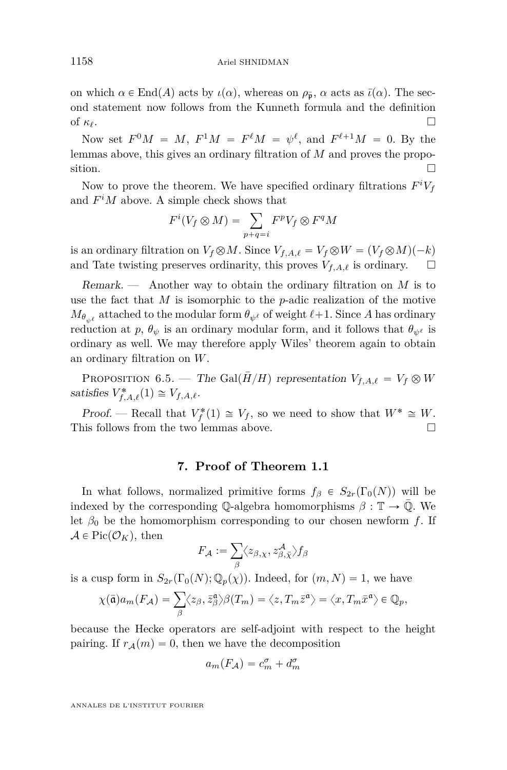on which  $\alpha \in \text{End}(A)$  acts by  $\iota(\alpha)$ , whereas on  $\rho_{\bar{\mathbf{p}}}, \alpha$  acts as  $\bar{\iota}(\alpha)$ . The second statement now follows from the Kunneth formula and the definition of  $\kappa_\ell$ .

Now set  $F^0M = M$ ,  $F^1M = F^{\ell}M = \psi^{\ell}$ , and  $F^{\ell+1}M = 0$ . By the lemmas above, this gives an ordinary filtration of *M* and proves the proposition.  $\Box$ 

Now to prove the theorem. We have specified ordinary filtrations  $F^iV_f$ and  $F^iM$  above. A simple check shows that<br> $F^i(V_f \otimes M) = \sum F^p$ 

$$
F^i(V_f \otimes M) = \sum_{p+q=i} F^p V_f \otimes F^q M
$$

is an ordinary filtration on  $V_f \otimes M$ . Since  $V_{f,A,\ell} = V_f \otimes W = (V_f \otimes M)(-k)$ and Tate twisting preserves ordinarity, this proves  $V_{f,A,\ell}$  is ordinary.  $\square$ 

Remark. — Another way to obtain the ordinary filtration on *M* is to use the fact that *M* is isomorphic to the *p*-adic realization of the motive  $M_{\theta_{\psi^\ell}}$  attached to the modular form  $\theta_{\psi^\ell}$  of weight  $\ell+1$ . Since *A* has ordinary reduction at *p*,  $\theta_{\psi}$  is an ordinary modular form, and it follows that  $\theta_{\psi^{\ell}}$  is ordinary as well. We may therefore apply Wiles' theorem again to obtain an ordinary filtration on *W*.

PROPOSITION 6.5. — The Gal $(H/H)$  representation  $V_{f,A,\ell} = V_f \otimes W$ satisfies  $V_{f,A,\ell}^*(1) \cong V_{f,A,\ell}$ .

Proof. — Recall that  $V_f^*(1) \cong V_f$ , so we need to show that  $W^* \cong W$ . This follows from the two lemmas above.

#### **7. Proof of Theorem [1.1](#page-5-0)**

<span id="page-42-0"></span>In what follows, normalized primitive forms  $f_\beta \in S_{2r}(\Gamma_0(N))$  will be indexed by the corresponding Q-algebra homomorphisms  $\beta : \mathbb{T} \to \overline{\mathbb{Q}}$ . We let  $\beta_0$  be the homomorphism corresponding to our chosen newform *f*. If  $\mathcal{A} \in Pic(\mathcal{O}_K)$ , then

$$
F_{\mathcal{A}}:=\sum_{\beta}\langle z_{\beta,\chi},z_{\beta,\bar\chi}^{\mathcal{A}}\rangle f_{\beta}
$$

is a cusp form in  $S_{2r}(\Gamma_0(N); \mathbb{Q}_p(\chi))$ . Indeed, for  $(m, N) = 1$ , we have

$$
\chi(\bar{\mathfrak{a}})a_m(F_{\mathcal{A}}) = \sum_{\beta} \langle z_{\beta}, \bar{z}_{\beta}^{\mathfrak{a}} \rangle \beta(T_m) = \langle z, T_m \bar{z}^{\mathfrak{a}} \rangle = \langle x, T_m \bar{x}^{\mathfrak{a}} \rangle \in \mathbb{Q}_p,
$$

because the Hecke operators are self-adjoint with respect to the height pairing. If  $r_A(m) = 0$ , then we have the decomposition

$$
a_m(F_{\mathcal{A}}) = c_m^{\sigma} + d_m^{\sigma}
$$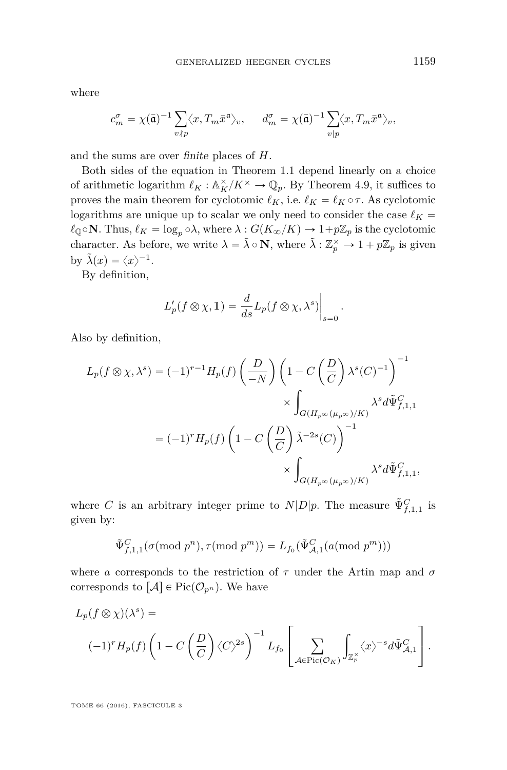where

$$
c_m^{\sigma} = \chi(\bar{\mathfrak{a}})^{-1} \sum_{v \nmid p} \langle x, T_m \bar{x}^{\mathfrak{a}} \rangle_v, \quad d_m^{\sigma} = \chi(\bar{\mathfrak{a}})^{-1} \sum_{v \mid p} \langle x, T_m \bar{x}^{\mathfrak{a}} \rangle_v,
$$

and the sums are over finite places of *H*.

Both sides of the equation in Theorem [1.1](#page-5-0) depend linearly on a choice of arithmetic logarithm  $\ell_K : \mathbb{A}^\times_K/K^\times \to \mathbb{Q}_p$ . By Theorem [4.9,](#page-31-0) it suffices to proves the main theorem for cyclotomic  $\ell_K$ , i.e.  $\ell_K = \ell_K \circ \tau$ . As cyclotomic logarithms are unique up to scalar we only need to consider the case  $\ell_K$  =  $\ell_{\mathbb{Q}} \circ \mathbf{N}$ . Thus,  $\ell_K = \log_p \circ \lambda$ , where  $\lambda : G(K_{\infty}/K) \to 1+p\mathbb{Z}_p$  is the cyclotomic character. As before, we write  $\lambda = \tilde{\lambda} \circ \mathbf{N}$ , where  $\tilde{\lambda} : \mathbb{Z}_p^{\times} \to 1 + p\mathbb{Z}_p$  is given by  $\tilde{\lambda}(x) = \langle x \rangle^{-1}$ .

By definition,

$$
L'_p(f \otimes \chi, \mathbb{1}) = \frac{d}{ds} L_p(f \otimes \chi, \lambda^s) \Big|_{s=0}.
$$

Also by definition,

$$
L_p(f \otimes \chi, \lambda^s) = (-1)^{r-1} H_p(f) \left(\frac{D}{-N}\right) \left(1 - C\left(\frac{D}{C}\right) \lambda^s(C)^{-1}\right)^{-1}
$$
  

$$
\times \int_{G(H_p \otimes (\mu_p \otimes)/K)} \lambda^s d\tilde{\Psi}_{f,1,1}^C
$$
  

$$
= (-1)^r H_p(f) \left(1 - C\left(\frac{D}{C}\right) \tilde{\lambda}^{-2s}(C)\right)^{-1}
$$
  

$$
\times \int_{G(H_p \otimes (\mu_p \otimes)/K)} \lambda^s d\tilde{\Psi}_{f,1,1}^C,
$$

where *C* is an arbitrary integer prime to  $N|D|p$ . The measure  $\tilde{\Psi}_{f,1,1}^C$  is given by:

$$
\tilde{\Psi}_{f,1,1}^C(\sigma(\textrm{mod}~p^n),\tau(\textrm{mod}~p^m))=L_{f_0}(\tilde{\Psi}_{\mathcal{A},1}^C(a(\textrm{mod}~p^m)))
$$

where *a* corresponds to the restriction of  $\tau$  under the Artin map and  $\sigma$ corresponds to  $[\mathcal{A}] \in Pic(\mathcal{O}_{p^n})$ . We have

$$
L_p(f \otimes \chi)(\lambda^s) =
$$
  

$$
(-1)^r H_p(f) \left(1 - C\left(\frac{D}{C}\right) \langle C \rangle^{2s}\right)^{-1} L_{f_0} \left[\sum_{\mathcal{A} \in \text{Pic}(\mathcal{O}_K)} \int_{\mathbb{Z}_p^{\times}} \langle x \rangle^{-s} d\tilde{\Psi}_{\mathcal{A},1}^C\right].
$$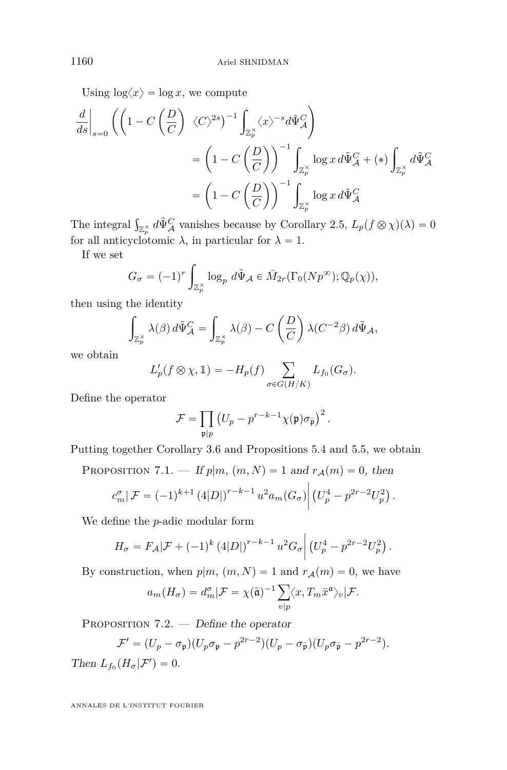$\mathbf{z}$ 

Using  $\log \langle x \rangle = \log x$ , we compute

$$
\frac{d}{ds}\Big|_{s=0} \left( \left(1 - C\left(\frac{D}{C}\right) \langle C \rangle^{2s}\right)^{-1} \int_{\mathbb{Z}_p^{\times}} \langle x \rangle^{-s} d\tilde{\Psi}_{\mathcal{A}}^C \right)
$$
  
\n
$$
= \left(1 - C\left(\frac{D}{C}\right)\right)^{-1} \int_{\mathbb{Z}_p^{\times}} \log x \, d\tilde{\Psi}_{\mathcal{A}}^C + (*) \int_{\mathbb{Z}_p^{\times}} d\tilde{\Psi}_{\mathcal{A}}^C
$$
  
\n
$$
= \left(1 - C\left(\frac{D}{C}\right)\right)^{-1} \int_{\mathbb{Z}_p^{\times}} \log x \, d\tilde{\Psi}_{\mathcal{A}}^C
$$

The integral  $\int_{\mathbb{Z}_p^{\times}} d\tilde{\Psi}_{\mathcal{A}}^C$  vanishes because by Corollary [2.5,](#page-14-1)  $L_p(f \otimes \chi)(\lambda) = 0$ for all anticyclotomic  $\lambda$ , in particular for  $\lambda = 1$ .

If we set

$$
G_{\sigma} = (-1)^r \int_{\mathbb{Z}_p^{\times}} \log_p d\tilde{\Psi}_{\mathcal{A}} \in \bar{M}_{2r}(\Gamma_0(Np^{\infty}); \mathbb{Q}_p(\chi)),
$$

then using the identity ż

$$
\int_{\mathbb{Z}_p^\times} \lambda(\beta) d\tilde{\Psi}_{\mathcal{A}}^C = \int_{\mathbb{Z}_p^\times} \lambda(\beta) - C \left(\frac{D}{C}\right) \lambda(C^{-2}\beta) d\tilde{\Psi}_{\mathcal{A}},
$$

we obtain

$$
L'_p(f \otimes \chi, 1) = -H_p(f) \sum_{\sigma \in G(H/K)} L_{f_0}(G_{\sigma}).
$$

Define the operator

$$
\mathcal{F} = \prod_{\mathfrak{p}|p} \left( U_p - p^{r-k-1} \chi(\mathfrak{p}) \sigma_{\overline{\mathfrak{p}}} \right)^2.
$$

Putting together Corollary [3.6](#page-19-1) and Propositions [5.4](#page-36-0) and [5.5,](#page-37-0) we obtain

PROPOSITION 7.1. — If  $p|m, (m, N) = 1$  and  $r_A(m) = 0$ , then

$$
c_m^{\sigma}|\mathcal{F} = (-1)^{k+1} (4|D|)^{r-k-1} u^2 a_m(G_{\sigma}) | (U_p^4 - p^{2r-2} U_p^2).
$$

We define the *p*-adic modular form

$$
H_{\sigma} = F_{\mathcal{A}} |\mathcal{F} + (-1)^k (4|D|)^{r-k-1} u^2 G_{\sigma} \left( (U_p^4 - p^{2r-2} U_p^2) \right).
$$

By construction, when  $p|m, (m, N) = 1$  and  $r_A(m) = 0$ , we have

$$
a_m(H_{\sigma}) = d_m^{\sigma}|\mathcal{F} = \chi(\bar{\mathfrak{a}})^{-1} \sum_{v|p} \langle x, T_m \bar{x}^{\mathfrak{a}} \rangle_v |\mathcal{F}.
$$

<span id="page-44-0"></span>PROPOSITION 7.2. — Define the operator

$$
\mathcal{F}' = (U_p - \sigma_{\mathfrak{p}})(U_p \sigma_{\mathfrak{p}} - p^{2r-2})(U_p - \sigma_{\overline{\mathfrak{p}}})(U_p \sigma_{\overline{\mathfrak{p}}} - p^{2r-2}).
$$

Then  $L_{f_0}(H_{\sigma}|\mathcal{F}')=0$ .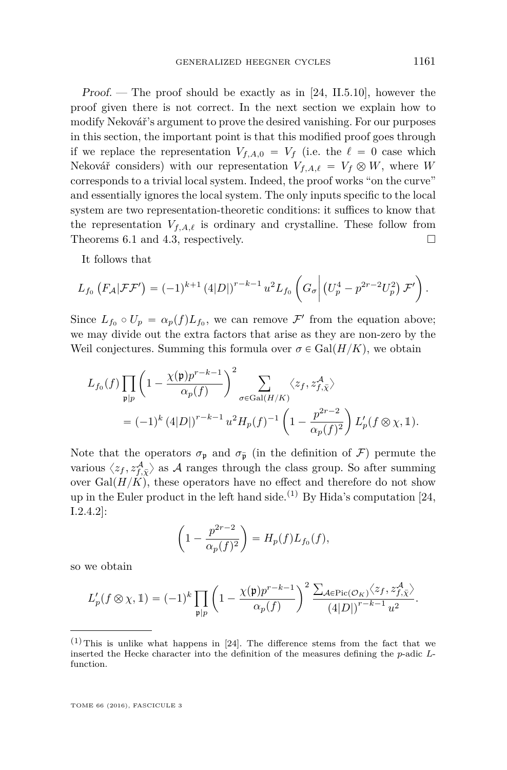Proof. — The proof should be exactly as in [\[24,](#page-58-1) II.5.10], however the proof given there is not correct. In the next section we explain how to modify Nekovář's argument to prove the desired vanishing. For our purposes in this section, the important point is that this modified proof goes through if we replace the representation  $V_{f,A,0} = V_f$  (i.e. the  $\ell = 0$  case which Nekovář considers) with our representation  $V_{f,A,\ell} = V_f \otimes W$ , where *W* corresponds to a trivial local system. Indeed, the proof works "on the curve" and essentially ignores the local system. The only inputs specific to the local system are two representation-theoretic conditions: it suffices to know that the representation  $V_{f,A,\ell}$  is ordinary and crystalline. These follow from Theorems [6.1](#page-40-0) and [4.3,](#page-24-0) respectively.  $\Box$ 

It follows that

$$
L_{f_0}\left(F_{\mathcal{A}}|\mathcal{F}\mathcal{F}'\right) = (-1)^{k+1} \left(4|D|\right)^{r-k-1} u^2 L_{f_0}\left(G_{\sigma} \middle| \left(U_p^4 - p^{2r-2} U_p^2\right) \mathcal{F}'\right).
$$

Since  $L_{f_0} \circ U_p = \alpha_p(f) L_{f_0}$ , we can remove  $\mathcal{F}'$  from the equation above; we may divide out the extra factors that arise as they are non-zero by the Weil conjectures. Summing this formula over  $\sigma \in \text{Gal}(H/K)$ , we obtain

$$
L_{f_0}(f) \prod_{\mathfrak{p} \mid p} \left(1 - \frac{\chi(\mathfrak{p})p^{r-k-1}}{\alpha_p(f)}\right)^2 \sum_{\sigma \in \text{Gal}(H/K)} \langle z_f, z_{f,\bar{\chi}}^{\mathcal{A}} \rangle
$$
  
=  $(-1)^k (4|D|)^{r-k-1} u^2 H_p(f)^{-1} \left(1 - \frac{p^{2r-2}}{\alpha_p(f)^2}\right) L'_p(f \otimes \chi, \mathbb{1}).$ 

Note that the operators  $\sigma_{\mathfrak{p}}$  and  $\sigma_{\bar{\mathfrak{p}}}$  (in the definition of F) permute the various  $\langle z_f, z_{f,\bar{\chi}}^{\mathcal{A}} \rangle$  as  $\mathcal{A}$  ranges through the class group. So after summing over  $Gal(H/K)$ , these operators have no effect and therefore do not show up in the Euler product in the left hand side.<sup>(1)</sup> By Hida's computation [\[24,](#page-58-1) I.2.4.2]:

$$
\left(1 - \frac{p^{2r-2}}{\alpha_p(f)^2}\right) = H_p(f)L_{f_0}(f),
$$

so we obtain

$$
L'_p(f \otimes \chi, 1) = (-1)^k \prod_{\mathfrak{p} \mid p} \left(1 - \frac{\chi(\mathfrak{p})p^{r-k-1}}{\alpha_p(f)}\right)^2 \frac{\sum_{\mathcal{A} \in \text{Pic}(\mathcal{O}_K)} \langle z_f, z_{f, \bar{\chi}}^{\mathcal{A}} \rangle}{(4|D|)^{r-k-1} u^2}.
$$

 $(1)$  This is unlike what happens in [\[24\]](#page-58-1). The difference stems from the fact that we inserted the Hecke character into the definition of the measures defining the *p*-adic *L*function.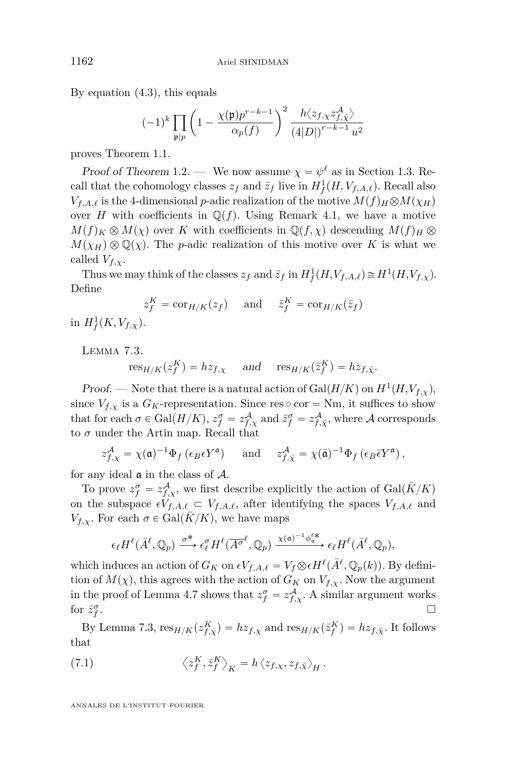By equation [\(4.3\)](#page-31-1), this equals

$$
(-1)^k \prod_{\mathfrak{p}\mid p}\left(1-\frac{\chi(\mathfrak{p})p^{r-k-1}}{\alpha_p(f)}\right)^2\frac{h\langle z_{f,\chi}z_{f,\bar\chi}^{\mathcal{A}}\rangle}{\left(4|D|\right)^{r-k-1}u^2}
$$

proves Theorem [1.1.](#page-5-0)

Proof of Theorem [1](#page-6-2).2. — We now assume  $\chi = \psi^{\ell}$  as in Section [1.3.](#page-6-1) Recall that the cohomology classes  $z_f$  and  $\bar{z}_f$  live in  $H^1_f(H, V_{f,A,\ell})$ . Recall also *V*<sub>*f*</sub>,*A*<sub>*t*</sub> is the 4-dimensional *p*-adic realization of the motive  $M(f)$ <sub>*H*</sub> $\otimes$ *M*( $\chi$ <sub>*H*</sub>)</sub> over *H* with coefficients in  $\mathbb{Q}(f)$ . Using Remark [4.1,](#page-21-0) we have a motive  $M(f)_K \otimes M(\chi)$  over *K* with coefficients in  $\mathbb{Q}(f,\chi)$  descending  $M(f)_H \otimes$  $M(\chi_H) \otimes \mathbb{Q}(\chi)$ . The *p*-adic realization of this motive over *K* is what we called  $V_{f,\chi}$ .

Thus we may think of the classes  $z_f$  and  $\bar{z}_f$  in  $H^1_f(H, V_{f,A,\ell}) \cong H^1(H, V_{f,\chi}).$ Define

$$
z_f^K = \text{cor}_{H/K}(z_f)
$$
 and  $\bar{z}_f^K = \text{cor}_{H/K}(\bar{z}_f)$ 

in  $H^1_f(K, V_{f,\chi})$ .

<span id="page-46-0"></span>Lemma 7.3.

 $r \operatorname{res}_{H/K}(z_f^K) = h z_{f,\chi}$  and  $r \operatorname{res}_{H/K}(\bar{z}_f^K) = h z_{f,\bar{\chi}}$ .

Proof. — Note that there is a natural action of  $Gal(H/K)$  on  $H^1(H, V_{f,\chi})$ , since  $V_{f,x}$  is a  $G_K$ -representation. Since res  $\circ$  cor = Nm, it suffices to show that for each  $\sigma \in \text{Gal}(H/K)$ ,  $z_f^{\sigma} = z_{f,\chi}^{\mathcal{A}}$  and  $\bar{z}_f^{\sigma} = z_{f,\bar{\chi}}^{\mathcal{A}}$ , where A corresponds to  $\sigma$  under the Artin map. Recall that

$$
z_{f,\chi}^{\mathcal{A}} = \chi(\mathfrak{a})^{-1} \Phi_f(\epsilon_B \epsilon Y^{\mathfrak{a}})
$$
 and  $z_{f,\bar{\chi}}^{\mathcal{A}} = \chi(\bar{\mathfrak{a}})^{-1} \Phi_f(\epsilon_B \bar{\epsilon} Y^{\mathfrak{a}})$ ,

for any ideal  $\alpha$  in the class of  $\mathcal{A}$ .

To prove  $z_f^{\sigma} = z_{f,\chi}^{\mathcal{A}}$ , we first describe explicitly the action of  $Gal(\bar{K}/K)$ on the subspace  $\epsilon V_{f,A,\ell} \subset V_{f,A,\ell}$ , after identifying the spaces  $V_{f,A,\ell}$  and *V*<sub>*f*,*x*</sub>. For each  $\sigma \in \text{Gal}(K/K)$ , we have maps

$$
\epsilon_{\ell} H^{\ell}(\bar{A}^{\ell}, \mathbb{Q}_p) \xrightarrow{\sigma^*} \epsilon_{\ell}^{\sigma} H^{\ell}(\overline{A^{\sigma}}^{\ell}, \mathbb{Q}_p) \xrightarrow{\chi(\mathfrak{a})^{-1} \phi_{\mathfrak{a}}^{\ell *}} \epsilon_{\ell} H^{\ell}(\bar{A}^{\ell}, \mathbb{Q}_p),
$$

which induces an action of  $G_K$  on  $\epsilon V_{f,A,\ell} = V_f \otimes \epsilon H^{\ell}(\bar{A}^{\ell}, \mathbb{Q}_p(k))$ . By definition of  $M(\chi)$ , this agrees with the action of  $G_K$  on  $V_{f,\chi}$ . Now the argument in the proof of Lemma [4.7](#page-29-1) shows that  $z_f^{\sigma} = z_{f,\chi}^{\mathcal{A}}$ . A similar argument works for  $\bar{z}_f^{\sigma}$ .

By Lemma [7.3,](#page-46-0)  $res_{H/K}(z_{f,\chi}^K) = hz_{f,\chi}$  and  $res_{H/K}(\bar{z}_f^K) = hz_{f,\bar{\chi}}$ . It follows that

<span id="page-46-1"></span>(7.1) 
$$
\left\langle z_f^K, \bar{z}_f^K \right\rangle_K = h \left\langle z_{f,\chi}, z_{f,\bar{\chi}} \right\rangle_H.
$$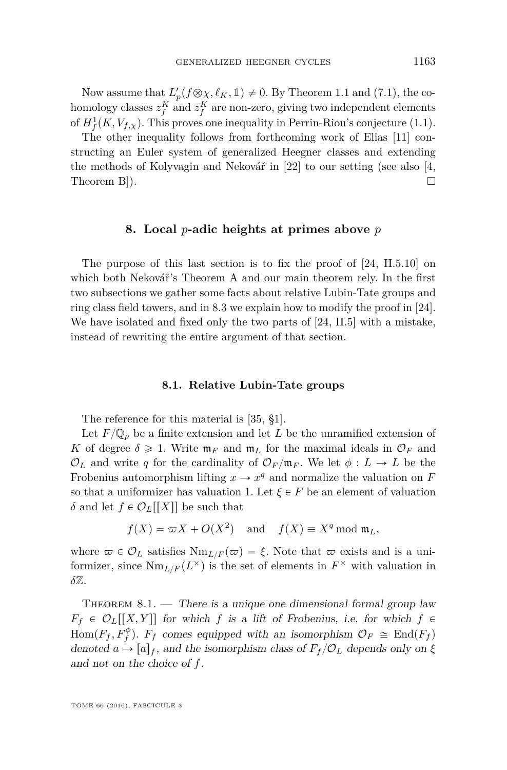Now assume that  $L'_p(f \otimes \chi, \ell_K, \mathbb{1}) \neq 0$ . By Theorem [1.1](#page-5-0) and [\(7.1\)](#page-46-1), the cohomology classes  $z_f^K$  and  $\bar{z}_f^K$  are non-zero, giving two independent elements of  $H^1_f(K, V_{f,\chi})$ . This proves one inequality in Perrin-Riou's conjecture [\(1.1\)](#page-6-0).

The other inequality follows from forthcoming work of Elias [\[11\]](#page-57-7) constructing an Euler system of generalized Heegner classes and extending the methods of Kolyvagin and Nekovář in [\[22\]](#page-57-1) to our setting (see also [\[4,](#page-57-20) Theorem B $).$ 

#### **8. Local** *p***-adic heights at primes above** *p*

<span id="page-47-0"></span>The purpose of this last section is to fix the proof of [\[24,](#page-58-1) II.5.10] on which both Nekovář's Theorem A and our main theorem rely. In the first two subsections we gather some facts about relative Lubin-Tate groups and ring class field towers, and in [8.3](#page-50-0) we explain how to modify the proof in [\[24\]](#page-58-1). We have isolated and fixed only the two parts of [\[24,](#page-58-1) II.5] with a mistake, instead of rewriting the entire argument of that section.

#### **8.1. Relative Lubin-Tate groups**

The reference for this material is [\[35,](#page-58-12) §1].

Let  $F/\mathbb{Q}_p$  be a finite extension and let *L* be the unramified extension of *K* of degree  $\delta \geq 1$ . Write  $\mathfrak{m}_F$  and  $\mathfrak{m}_L$  for the maximal ideals in  $\mathcal{O}_F$  and  $\mathcal{O}_L$  and write *q* for the cardinality of  $\mathcal{O}_F/\mathfrak{m}_F$ . We let  $\phi: L \to L$  be the Frobenius automorphism lifting  $x \to x^q$  and normalize the valuation on *F* so that a uniformizer has valuation 1. Let  $\xi \in F$  be an element of valuation *δ* and let  $f \in \mathcal{O}_L[[X]]$  be such that

$$
f(X) = \varpi X + O(X^2)
$$
 and  $f(X) \equiv X^q \bmod \mathfrak{m}_L$ ,

where  $\varpi \in \mathcal{O}_L$  satisfies  $\text{Nm}_{L/F}(\varpi) = \xi$ . Note that  $\varpi$  exists and is a uniformizer, since  $\text{Nm}_{L/F}(L^{\times})$  is the set of elements in  $F^{\times}$  with valuation in *δ*Z.

THEOREM  $8.1.$  — There is a unique one dimensional formal group law  $F_f \in \mathcal{O}_L[[X, Y]]$  for which *f* is a lift of Frobenius, i.e. for which  $f \in$  $Hom(F_f, F_f^{\phi})$ .  $F_f$  comes equipped with an isomorphism  $\mathcal{O}_F \cong End(F_f)$ denoted  $a \mapsto [a]_f$ , and the isomorphism class of  $F_f/\mathcal{O}_L$  depends only on  $\xi$ and not on the choice of *f*.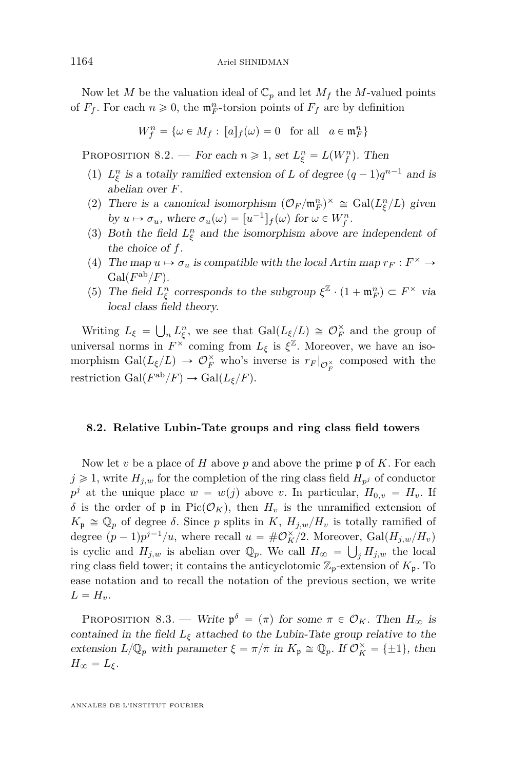Now let *M* be the valuation ideal of  $\mathbb{C}_p$  and let  $M_f$  the *M*-valued points of  $F_f$ . For each  $n \ge 0$ , the  $\mathfrak{m}_F^n$ -torsion points of  $F_f$  are by definition

$$
W_f^n = \{ \omega \in M_f : [a]_f(\omega) = 0 \text{ for all } a \in \mathfrak{m}_F^n \}
$$

<span id="page-48-0"></span>PROPOSITION 8.2. — For each  $n \ge 1$ , set  $L_{\xi}^{n} = L(W_{f}^{n})$ . Then

- (1)  $L_{\xi}^{n}$  is a totally ramified extension of *L* of degree  $(q-1)q^{n-1}$  and is abelian over *F*.
- (2) There is a canonical isomorphism  $({\mathcal O}_F/{\mathfrak m}_F^n)^\times \cong \text{Gal}(L_\xi^n/L)$  given by  $u \mapsto \sigma_u$ , where  $\sigma_u(\omega) = [u^{-1}]_f(\omega)$  for  $\omega \in W_f^n$ .
- (3) Both the field  $L_{\xi}^{n}$  and the isomorphism above are independent of the choice of *f*.
- (4) The map  $u \mapsto \sigma_u$  is compatible with the local Artin map  $r_F : F^\times \to$  $Gal(F^{ab}/F)$ .
- (5) The field  $L_{\xi}^{n}$  corresponds to the subgroup  $\xi^{\mathbb{Z}} \cdot (1 + \mathfrak{m}_{F}^{n}) \subset F^{\times}$  via local class field theory.

Writing  $L_{\xi}$  =  $\mathbb{R}^2$  $n L_{\xi}^{n}$ , we see that  $Gal(L_{\xi}/L) \cong \mathcal{O}_{F}^{\times}$  and the group of universal norms in  $F^{\times}$  coming from  $L_{\xi}$  is  $\xi^{\mathbb{Z}}$ . Moreover, we have an isomorphism  $Gal(L_{\xi}/L) \rightarrow \mathcal{O}_F^{\times}$  who's inverse is  $r_F|_{\mathcal{O}_F^{\times}}$  composed with the restriction Gal $(F^{ab}/F) \to \text{Gal}(L_{\xi}/F)$ .

#### **8.2. Relative Lubin-Tate groups and ring class field towers**

Now let *v* be a place of *H* above *p* and above the prime p of *K*. For each  $j \geq 1$ , write  $H_{j,w}$  for the completion of the ring class field  $H_{p^j}$  of conductor  $p^j$  at the unique place  $w = w(j)$  above *v*. In particular,  $H_{0,v} = H_v$ . If *δ* is the order of **p** in Pic( $\mathcal{O}_K$ ), then  $H_v$  is the unramified extension of  $K_p \cong \mathbb{Q}_p$  of degree  $\delta$ . Since *p* splits in *K*,  $H_{j,w}/H_v$  is totally ramified of degree  $(p-1)p^{j-1}/u$ , where recall  $u = #\mathcal{O}_K^{\times}/2$ . Moreover,  $Gal(H_{j,w}/H_v)$ is cyclic and  $H_{j,w}$  is abelian over  $\mathbb{Q}_p$ . We call  $H_{\infty} = \bigcup_j H_{j,w}$  the local ring class field tower; it contains the anticyclotomic  $\mathbb{Z}_p$ -extension of  $K_{\mathfrak{p}}$ . To ease notation and to recall the notation of the previous section, we write  $L = H_v$ .

<span id="page-48-1"></span>PROPOSITION 8.3. — Write  $\mathfrak{p}^{\delta} = (\pi)$  for some  $\pi \in \mathcal{O}_K$ . Then  $H_{\infty}$  is contained in the field  $L_{\xi}$  attached to the Lubin-Tate group relative to the extension  $L/\mathbb{Q}_p$  with parameter  $\xi = \pi/\bar{\pi}$  in  $K_p \cong \mathbb{Q}_p$ . If  $\mathcal{O}_K^{\times} = {\pm 1}$ , then  $H_{\infty} = L_{\xi}$ .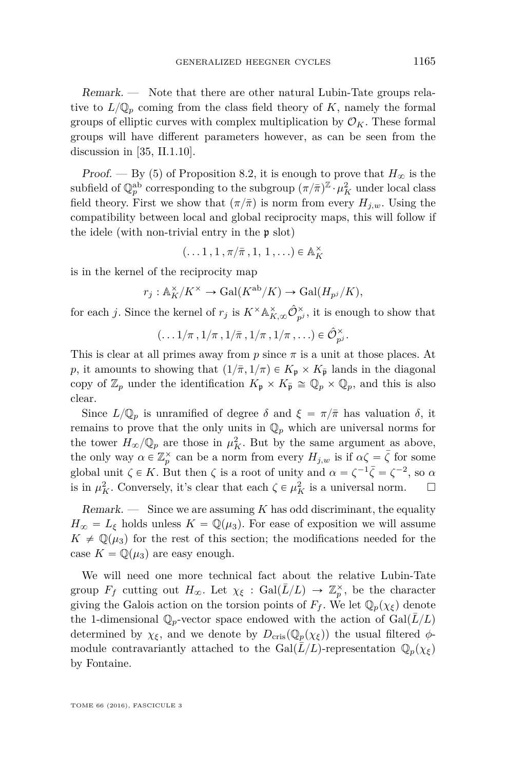Remark. — Note that there are other natural Lubin-Tate groups relative to  $L/\mathbb{Q}_p$  coming from the class field theory of *K*, namely the formal groups of elliptic curves with complex multiplication by  $\mathcal{O}_K$ . These formal groups will have different parameters however, as can be seen from the discussion in [\[35,](#page-58-12) II.1.10].

Proof. — By (5) of Proposition [8.2,](#page-48-0) it is enough to prove that  $H_{\infty}$  is the subfield of  $\mathbb{Q}_p^{\text{ab}}$  corresponding to the subgroup  $({\pi}/{\bar{\pi}})^{\mathbb{Z}} \cdot \mu_K^2$  under local class field theory. First we show that  $(\pi/\bar{\pi})$  is norm from every  $H_{i,w}$ . Using the compatibility between local and global reciprocity maps, this will follow if the idele (with non-trivial entry in the p slot)

$$
(\ldots 1, 1, \pi/\bar{\pi}, 1, 1, \ldots) \in \mathbb{A}_K^\times
$$

is in the kernel of the reciprocity map

$$
r_j: \mathbb{A}_K^{\times}/K^{\times} \to \text{Gal}(K^{\text{ab}}/K) \to \text{Gal}(H_{p^j}/K),
$$

for each *j*. Since the kernel of  $r_j$  is  $K^{\times} \mathbb{A}_{K,\infty}^{\times} \hat{\mathcal{O}}_{p^j}^{\times}$ , it is enough to show that

$$
(\ldots 1/\pi\,,1/\pi\,,1/\bar{\pi}\,,1/\pi\,,1/\pi\,,\ldots)\in\hat{\mathcal{O}}_{p^j}^\times.
$$

This is clear at all primes away from *p* since *π* is a unit at those places. At *p*, it amounts to showing that  $(1/\overline{\pi}, 1/\pi) \in K_p \times K_{\overline{p}}$  lands in the diagonal copy of  $\mathbb{Z}_p$  under the identification  $K_{\mathfrak{p}} \times K_{\overline{\mathfrak{p}}} \cong \mathbb{Q}_p \times \mathbb{Q}_p$ , and this is also clear.

Since  $L/\mathbb{Q}_p$  is unramified of degree *δ* and  $\xi = \pi/\bar{\pi}$  has valuation *δ*, it remains to prove that the only units in  $\mathbb{Q}_p$  which are universal norms for the tower  $H_{\infty}/\mathbb{Q}_p$  are those in  $\mu_K^2$ . But by the same argument as above, the only way  $\alpha \in \mathbb{Z}_p^{\times}$  can be a norm from every  $H_{j,w}$  is if  $\alpha \zeta = \overline{\zeta}$  for some global unit  $\zeta \in K$ . But then  $\zeta$  is a root of unity and  $\alpha = \zeta^{-1} \overline{\zeta} = \zeta^{-2}$ , so  $\alpha$ is in  $\mu_K^2$ . Conversely, it's clear that each  $\zeta \in \mu_K^2$  is a universal norm.  $\square$ 

Remark. — Since we are assuming *K* has odd discriminant, the equality  $H_{\infty} = L_{\xi}$  holds unless  $K = \mathbb{Q}(\mu_3)$ . For ease of exposition we will assume  $K \neq \mathbb{Q}(\mu_3)$  for the rest of this section; the modifications needed for the case  $K = \mathbb{Q}(\mu_3)$  are easy enough.

We will need one more technical fact about the relative Lubin-Tate group  $F_f$  cutting out  $H_{\infty}$ . Let  $\chi_{\xi}$  :  $Gal(\overline{L}/L) \rightarrow \mathbb{Z}_p^{\times}$ , be the character giving the Galois action on the torsion points of  $F_f$ . We let  $\mathbb{Q}_p(\chi_{\xi})$  denote the 1-dimensional  $\mathbb{Q}_p$ -vector space endowed with the action of  $Gal(L/L)$ determined by  $\chi_{\xi}$ , and we denote by  $D_{\text{cris}}(\mathbb{Q}_p(\chi_{\xi}))$  the usual filtered  $\phi$ module contravariantly attached to the Gal $(\overline{L}/L)$ -representation  $\mathbb{Q}_p(\chi_{\xi})$ by Fontaine.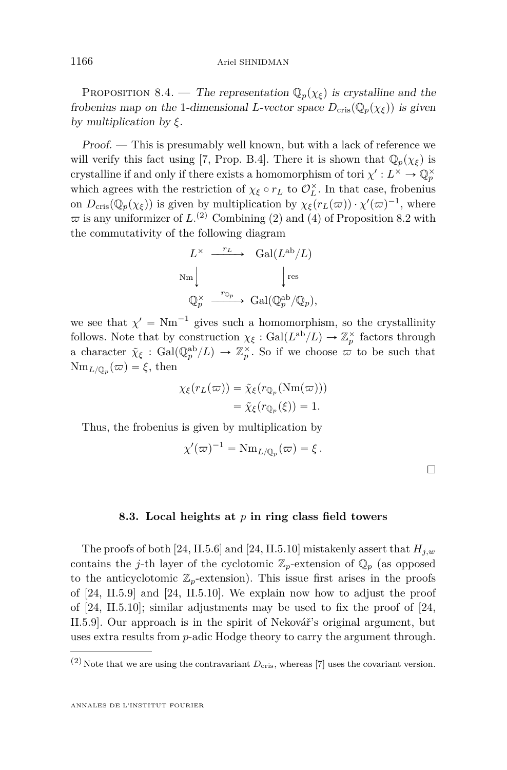<span id="page-50-1"></span>PROPOSITION 8.4. — The representation  $\mathbb{Q}_p(\chi_{\xi})$  is crystalline and the frobenius map on the 1-dimensional *L*-vector space  $D_{\text{cris}}(\mathbb{Q}_p(\chi_{\xi}))$  is given by multiplication by *ξ*.

Proof. — This is presumably well known, but with a lack of reference we will verify this fact using [\[7,](#page-57-21) Prop. B.4]. There it is shown that  $\mathbb{Q}_p(\chi_{\xi})$  is crystalline if and only if there exists a homomorphism of tori  $\chi': L^{\times} \to \mathbb{Q}_p^{\times}$ which agrees with the restriction of  $\chi_{\xi} \circ r_L$  to  $\mathcal{O}_L^{\times}$ . In that case, frobenius on  $D_{\text{cris}}(\mathbb{Q}_p(\chi_{\xi}))$  is given by multiplication by  $\chi_{\xi}(r_L(\varpi)) \cdot \chi'(\varpi)^{-1}$ , where  $\varpi$  is any uniformizer of  $L^{(2)}$  Combining (2) and (4) of Proposition [8.2](#page-48-0) with the commutativity of the following diagram

$$
L^{\times} \xrightarrow{r_L} \text{Gal}(L^{\text{ab}}/L)
$$
  
\n
$$
\text{Nm} \downarrow \text{res}
$$
  
\n
$$
\text{Q}_{p}^{\times} \xrightarrow{r_{\mathbb{Q}_p}} \text{Gal}(\text{Q}_{p}^{\text{ab}}/\text{Q}_p),
$$

we see that  $\chi' = Nm^{-1}$  gives such a homomorphism, so the crystallinity follows. Note that by construction  $\chi_{\xi} : \text{Gal}(L^{\text{ab}}/L) \to \mathbb{Z}_p^{\times}$  factors through a character  $\tilde{\chi}_{\xi}$  : Gal $(\mathbb{Q}_p^{\text{ab}}/L) \to \mathbb{Z}_p^{\times}$ . So if we choose  $\sigma$  to be such that  $\text{Nm}_{L/\mathbb{Q}_p}(\varpi) = \xi$ , then

$$
\chi_{\xi}(r_L(\varpi)) = \tilde{\chi}_{\xi}(r_{\mathbb{Q}_p}(\text{Nm}(\varpi)))
$$
  
=  $\tilde{\chi}_{\xi}(r_{\mathbb{Q}_p}(\xi)) = 1.$ 

Thus, the frobenius is given by multiplication by

$$
\chi'(\varpi)^{-1} = \mathrm{Nm}_{L/\mathbb{Q}_p}(\varpi) = \xi.
$$

 $\Box$ 

#### **8.3. Local heights at** *p* **in ring class field towers**

<span id="page-50-0"></span>The proofs of both [\[24,](#page-58-1) II.5.6] and [\[24,](#page-58-1) II.5.10] mistakenly assert that *Hj,w* contains the *j*-th layer of the cyclotomic  $\mathbb{Z}_p$ -extension of  $\mathbb{Q}_p$  (as opposed to the anticyclotomic  $\mathbb{Z}_p$ -extension). This issue first arises in the proofs of [\[24,](#page-58-1) II.5.9] and [\[24,](#page-58-1) II.5.10]. We explain now how to adjust the proof of [\[24,](#page-58-1) II.5.10]; similar adjustments may be used to fix the proof of [\[24,](#page-58-1) II.5.9]. Our approach is in the spirit of Nekovář's original argument, but uses extra results from *p*-adic Hodge theory to carry the argument through.

 $(2)$  Note that we are using the contravariant  $D_{\text{cris}}$ , whereas [\[7\]](#page-57-21) uses the covariant version.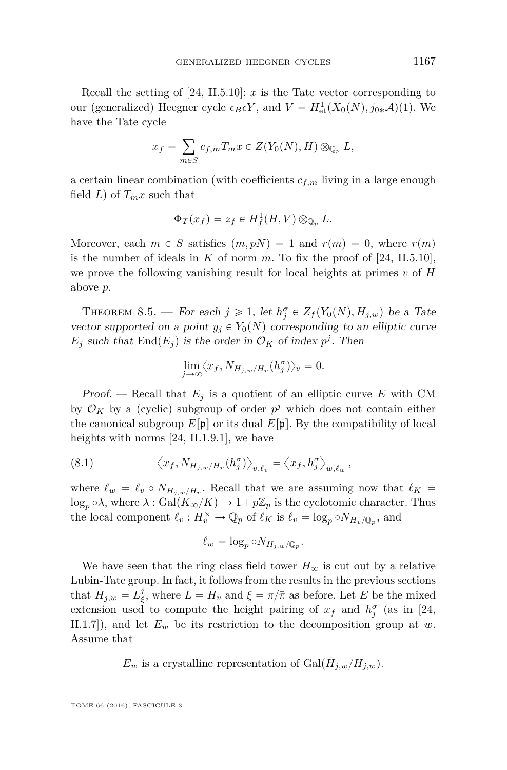Recall the setting of  $[24, II.5.10]: x$  $[24, II.5.10]: x$  is the Tate vector corresponding to our (generalized) Heegner cycle  $\epsilon_B \epsilon Y$ , and  $V = H^1_{\text{et}}(\bar{X}_0(N), j_{0*}A)(1)$ . We have the Tate cycle

$$
x_f = \sum_{m \in S} c_{f,m} T_m x \in Z(Y_0(N), H) \otimes_{\mathbb{Q}_p} L,
$$

a certain linear combination (with coefficients  $c_{f,m}$  living in a large enough field *L*) of  $T_m x$  such that

$$
\Phi_T(x_f) = z_f \in H^1_f(H, V) \otimes_{\mathbb{Q}_p} L.
$$

Moreover, each  $m \in S$  satisfies  $(m, pN) = 1$  and  $r(m) = 0$ , where  $r(m)$ is the number of ideals in  $K$  of norm  $m$ . To fix the proof of  $[24, H.5.10]$  $[24, H.5.10]$ , we prove the following vanishing result for local heights at primes *v* of *H* above *p*.

<span id="page-51-0"></span>THEOREM 8.5. — For each  $j \geq 1$ , let  $h_j^{\sigma} \in Z_f(Y_0(N), H_{j,w})$  be a Tate vector supported on a point  $y_i \in Y_0(N)$  corresponding to an elliptic curve  $E_j$  such that  $\text{End}(E_j)$  is the order in  $\mathcal{O}_K$  of index  $p^j$ . Then

$$
\lim_{j \to \infty} \langle x_f, N_{H_{j,w}/H_v}(h_j^{\sigma}) \rangle_v = 0.
$$

Proof. — Recall that  $E_j$  is a quotient of an elliptic curve  $E$  with CM by  $\mathcal{O}_K$  by a (cyclic) subgroup of order  $p^j$  which does not contain either the canonical subgroup  $E[\mathfrak{p}]$  or its dual  $E[\bar{\mathfrak{p}}]$ . By the compatibility of local heights with norms [\[24,](#page-58-1) II.1.9.1], we have

(8.1) 
$$
\left\langle x_f, N_{H_{j,w}/H_v}(h_j^{\sigma})\right\rangle_{v,\ell_v} = \left\langle x_f, h_j^{\sigma}\right\rangle_{w,\ell_w},
$$

where  $\ell_w = \ell_v \circ N_{H_{j,w}/H_v}$ . Recall that we are assuming now that  $\ell_K =$  $\log_p \circ \lambda$ , where  $\lambda : \text{Gal}(K_\infty/K) \to 1 + p\mathbb{Z}_p$  is the cyclotomic character. Thus the local component  $\ell_v : H_v^{\times} \to \mathbb{Q}_p$  of  $\ell_K$  is  $\ell_v = \log_p \circ N_{H_v/\mathbb{Q}_p}$ , and

$$
\ell_w = \log_p \circ N_{H_{j,w}/\mathbb{Q}_p}.
$$

We have seen that the ring class field tower  $H_{\infty}$  is cut out by a relative Lubin-Tate group. In fact, it follows from the results in the previous sections that  $H_{j,w} = L_{\xi}^{j}$ , where  $L = H_{v}$  and  $\xi = \pi/\bar{\pi}$  as before. Let *E* be the mixed extension used to compute the height pairing of  $x_f$  and  $h_j^{\sigma}$  (as in [\[24,](#page-58-1) II.1.7]), and let *E<sup>w</sup>* be its restriction to the decomposition group at *w*. Assume that

 $E_w$  is a crystalline representation of  $Gal(\bar{H}_{j,w}/H_{j,w})$ .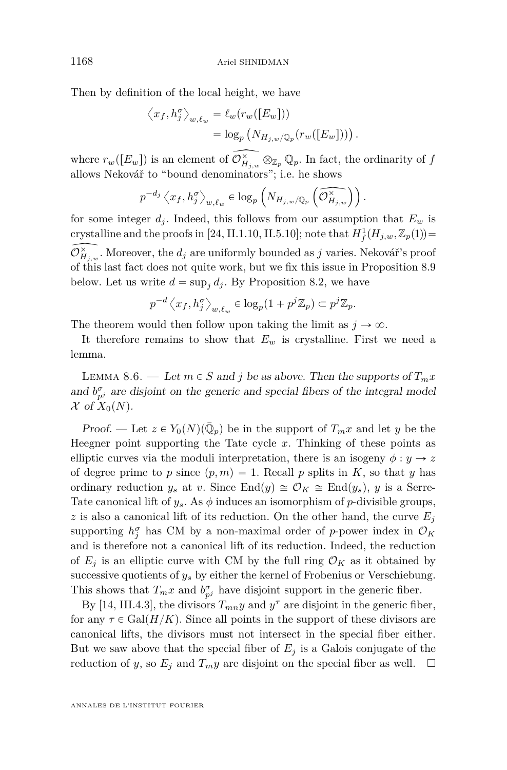Then by definition of the local height, we have

$$
\langle x_f, h_j^{\sigma} \rangle_{w, \ell_w} = \ell_w(r_w([E_w]))
$$
  
=  $\log_p (N_{H_{j,w}/\mathbb{Q}_p}(r_w([E_w])) )$ 

*.*

where  $r_w([E_w])$  is an element of  $\widehat{\mathcal{O}_{H_{j,w}}^{\times}} \otimes_{\mathbb{Z}_p} \mathbb{Q}_p$ . In fact, the ordinarity of  $f$ allows Nekovář to "bound denominators"; i.e. he shows

$$
p^{-d_j}\left\langle x_f, h^\sigma_j\right\rangle_{w,\ell_w}\in \log_p\left(N_{H_{j,w}/\mathbb{Q}_p}\left(\widetilde{\mathcal{O}_{H_{j,w}}^\times}\right)\right).
$$

for some integer  $d_i$ . Indeed, this follows from our assumption that  $E_w$  is crystalline and the proofs in [\[24,](#page-58-1) II.1.10, II.5.10]; note that  $H_f^1(H_{j,w}, \mathbb{Z}_p(1)) =$  $\widehat{\mathcal{O}_{H_{j,w}}^{\times}}$ . Moreover, the  $d_j$  are uniformly bounded as  $j$  varies. Nekovář's proof of this last fact does not quite work, but we fix this issue in Proposition [8.9](#page-55-0) below. Let us write  $d = \sup_j d_j$ . By Proposition [8.2,](#page-48-0) we have

$$
p^{-d}\left\langle x_f, h_j^{\sigma} \right\rangle_{w,\ell_w} \in \log_p(1+p^j\mathbb{Z}_p) \subset p^j\mathbb{Z}_p.
$$

The theorem would then follow upon taking the limit as  $j \to \infty$ .

It therefore remains to show that  $E_w$  is crystalline. First we need a lemma.

<span id="page-52-0"></span>LEMMA 8.6. — Let  $m \in S$  and  $j$  be as above. Then the supports of  $T_m x$ and  $b^{\sigma}_{p^j}$  are disjoint on the generic and special fibers of the integral model  $\mathcal X$  of  $X_0(N)$ .

Proof. — Let  $z \in Y_0(N)(\overline{\mathbb{Q}}_p)$  be in the support of  $T_m x$  and let *y* be the Heegner point supporting the Tate cycle *x*. Thinking of these points as elliptic curves via the moduli interpretation, there is an isogeny  $\phi : y \to z$ of degree prime to *p* since  $(p, m) = 1$ . Recall *p* splits in *K*, so that *y* has ordinary reduction  $y_s$  at *v*. Since End $(y) \cong \mathcal{O}_K \cong \text{End}(y_s)$ , *y* is a Serre-Tate canonical lift of  $y_s$ . As  $\phi$  induces an isomorphism of *p*-divisible groups, *z* is also a canonical lift of its reduction. On the other hand, the curve  $E_i$ supporting  $h_j^{\sigma}$  has CM by a non-maximal order of *p*-power index in  $\mathcal{O}_K$ and is therefore not a canonical lift of its reduction. Indeed, the reduction of  $E_i$  is an elliptic curve with CM by the full ring  $\mathcal{O}_K$  as it obtained by successive quotients of  $y_s$  by either the kernel of Frobenius or Verschiebung. This shows that  $T_m x$  and  $b^{\sigma}_{p^j}$  have disjoint support in the generic fiber.

By [\[14,](#page-57-0) III.4.3], the divisors  $T_{mn}y$  and  $y^{\tau}$  are disjoint in the generic fiber, for any  $\tau \in \text{Gal}(H/K)$ . Since all points in the support of these divisors are canonical lifts, the divisors must not intersect in the special fiber either. But we saw above that the special fiber of  $E_i$  is a Galois conjugate of the reduction of *y*, so  $E_j$  and  $T_m y$  are disjoint on the special fiber as well.  $\Box$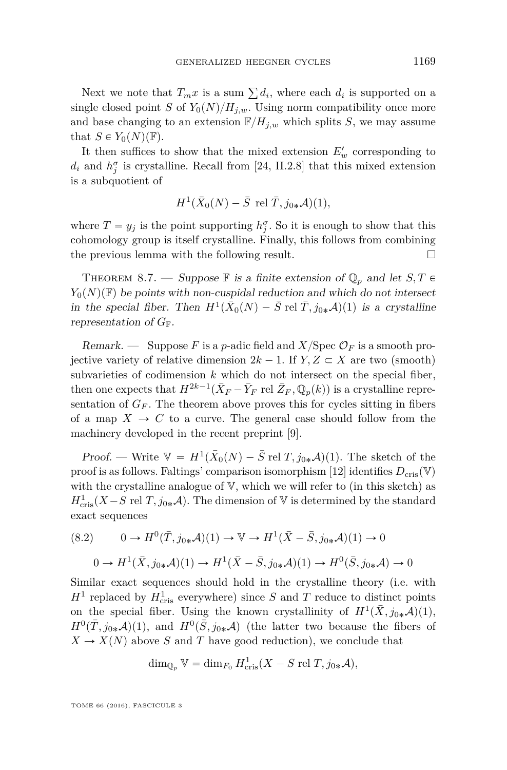Next we note that  $T_m x$  is a sum  $\sum d_i$ , where each  $d_i$  is supported on a single closed point *S* of  $Y_0(N)/H_{i,w}$ . Using norm compatibility once more and base changing to an extension  $\mathbb{F}/H_{i,w}$  which splits *S*, we may assume that  $S \in Y_0(N)(\mathbb{F})$ .

It then suffices to show that the mixed extension  $E'_{w}$  corresponding to  $d_i$  and  $h_j^{\sigma}$  is crystalline. Recall from [\[24,](#page-58-1) II.2.8] that this mixed extension is a subquotient of

$$
H^1(\bar{X}_0(N) - \bar{S} \text{ rel } \bar{T}, j_{0*}\mathcal{A})(1),
$$

where  $T = y_j$  is the point supporting  $h_j^{\sigma}$ . So it is enough to show that this cohomology group is itself crystalline. Finally, this follows from combining the previous lemma with the following result.  $\Box$ 

<span id="page-53-0"></span>THEOREM 8.7. — Suppose  $\mathbb F$  is a finite extension of  $\mathbb Q_p$  and let  $S, T \in$  $Y_0(N)(\mathbb{F})$  be points with non-cuspidal reduction and which do not intersect in the special fiber. Then  $H^1(\bar{X}_0(N) - \bar{S} \text{ rel } \bar{T}, j_{0*}A)(1)$  is a crystalline representation of  $G_{\mathbb{F}}$ .

Remark. — Suppose F is a *p*-adic field and  $X/\text{Spec } \mathcal{O}_F$  is a smooth projective variety of relative dimension  $2k - 1$ . If  $Y, Z \subset X$  are two (smooth) subvarieties of codimension *k* which do not intersect on the special fiber, then one expects that  $H^{2k-1}(\bar{X}_F - \bar{Y}_F \text{ rel } \bar{Z}_F, \mathbb{Q}_p(k))$  is a crystalline representation of  $G_F$ . The theorem above proves this for cycles sitting in fibers of a map  $X \to C$  to a curve. The general case should follow from the machinery developed in the recent preprint [\[9\]](#page-57-22).

Proof. — Write  $V = H^1(\bar{X}_0(N) - \bar{S} \text{ rel } T, j_{0*}A)(1)$ . The sketch of the proof is as follows. Faltings' comparison isomorphism [\[12\]](#page-57-17) identifies  $D_{\text{cris}}(\mathbb{V})$ with the crystalline analogue of V, which we will refer to (in this sketch) as  $H^1_{\text{cris}}(X - S \text{ rel } T, j_{0*}A)$ . The dimension of V is determined by the standard exact sequences

<span id="page-53-1"></span>
$$
(8.2) \qquad 0 \to H^0(\bar{T}, j_{0*}\mathcal{A})(1) \to \mathbb{V} \to H^1(\bar{X} - \bar{S}, j_{0*}\mathcal{A})(1) \to 0
$$

$$
0 \to H^1(\bar{X}, j_{0*}\mathcal{A})(1) \to H^1(\bar{X} - \bar{S}, j_{0*}\mathcal{A})(1) \to H^0(\bar{S}, j_{0*}\mathcal{A}) \to 0
$$

Similar exact sequences should hold in the crystalline theory (i.e. with  $H^1$  replaced by  $H_{\text{cris}}^1$  everywhere) since *S* and *T* reduce to distinct points on the special fiber. Using the known crystallinity of  $H^1(\bar{X}, j_{0*}\mathcal{A})(1)$ ,  $H^0(\bar{T}, j_{0*}\mathcal{A})(1)$ , and  $H^0(\bar{S}, j_{0*}\mathcal{A})$  (the latter two because the fibers of  $X \to X(N)$  above *S* and *T* have good reduction), we conclude that

$$
\dim_{\mathbb{Q}_p} V = \dim_{F_0} H^1_{\text{cris}}(X - S \text{ rel } T, j_{0*}A),
$$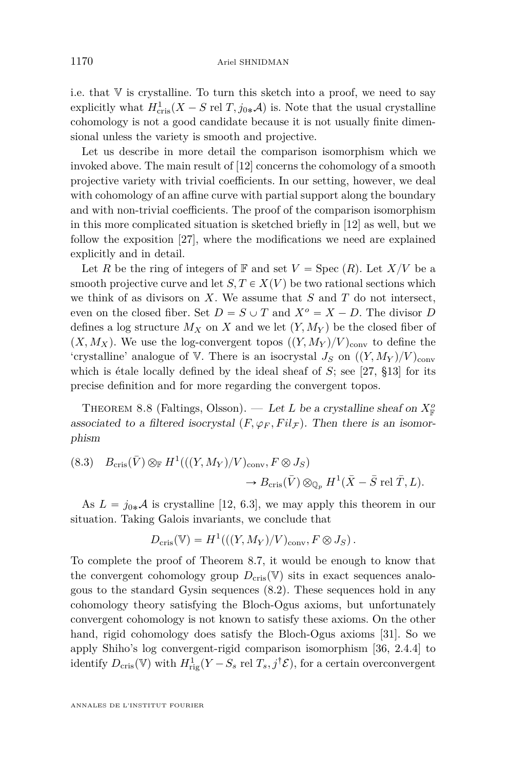i.e. that  $V$  is crystalline. To turn this sketch into a proof, we need to say explicitly what  $H_{\text{cris}}^1(X - S \text{ rel } T, j_{0*}A)$  is. Note that the usual crystalline cohomology is not a good candidate because it is not usually finite dimensional unless the variety is smooth and projective.

Let us describe in more detail the comparison isomorphism which we invoked above. The main result of [\[12\]](#page-57-17) concerns the cohomology of a smooth projective variety with trivial coefficients. In our setting, however, we deal with cohomology of an affine curve with partial support along the boundary and with non-trivial coefficients. The proof of the comparison isomorphism in this more complicated situation is sketched briefly in [\[12\]](#page-57-17) as well, but we follow the exposition [\[27\]](#page-58-13), where the modifications we need are explained explicitly and in detail.

Let *R* be the ring of integers of **F** and set  $V = \text{Spec } (R)$ . Let  $X/V$  be a smooth projective curve and let  $S, T \in X(V)$  be two rational sections which we think of as divisors on *X*. We assume that *S* and *T* do not intersect, even on the closed fiber. Set  $D = S \cup T$  and  $X^o = X - D$ . The divisor *D* defines a log structure  $M_X$  on X and we let  $(Y, M_Y)$  be the closed fiber of  $(X, M_X)$ . We use the log-convergent topos  $((Y, M_Y)/V)_{\text{conv}}$  to define the 'crystalline' analogue of V. There is an isocrystal  $J_S$  on  $((Y, M_Y)/V)_{\text{conv}}$ which is étale locally defined by the ideal sheaf of *S*; see [\[27,](#page-58-13) §13] for its precise definition and for more regarding the convergent topos.

THEOREM 8.8 (Faltings, Olsson). — Let L be a crystalline sheaf on  $X^o_{\mathbb{F}}$ associated to a filtered isocrystal  $(F, \varphi_F, Fil_F)$ . Then there is an isomorphism

(8.3) 
$$
B_{\text{cris}}(\bar{V}) \otimes_{\mathbb{F}} H^1(((Y, M_Y)/V)_{\text{conv}}, F \otimes J_S)
$$
  
 $\rightarrow B_{\text{cris}}(\bar{V}) \otimes_{\mathbb{Q}_p} H^1(\bar{X} - \bar{S} \text{ rel } \bar{T}, L).$ 

As  $L = j_{0*}A$  is crystalline [\[12,](#page-57-17) 6.3], we may apply this theorem in our situation. Taking Galois invariants, we conclude that

$$
D_{\mathrm{cris}}(\mathbb{V}) = H^1(((Y, M_Y)/V)_{\mathrm{conv}}, F \otimes J_S).
$$

To complete the proof of Theorem [8.7,](#page-53-0) it would be enough to know that the convergent cohomology group  $D_{\text{cris}}(\mathbb{V})$  sits in exact sequences analogous to the standard Gysin sequences [\(8.2\)](#page-53-1). These sequences hold in any cohomology theory satisfying the Bloch-Ogus axioms, but unfortunately convergent cohomology is not known to satisfy these axioms. On the other hand, rigid cohomology does satisfy the Bloch-Ogus axioms [\[31\]](#page-58-14). So we apply Shiho's log convergent-rigid comparison isomorphism [\[36,](#page-58-15) 2.4.4] to identify  $D_{\text{cris}}(\mathbb{V})$  with  $H_{\text{rig}}^1(Y - S_s \text{ rel } T_s, j^{\dagger} \mathcal{E})$ , for a certain overconvergent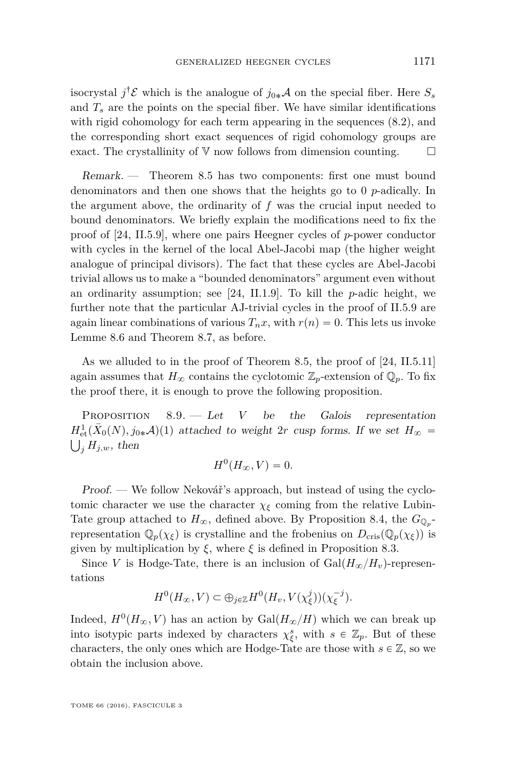isocrystal  $j^{\dagger}$ **E** which is the analogue of  $j_{0*}A$  on the special fiber. Here  $S_s$ and  $T_s$  are the points on the special fiber. We have similar identifications with rigid cohomology for each term appearing in the sequences [\(8.2\)](#page-53-1), and the corresponding short exact sequences of rigid cohomology groups are exact. The crystallinity of  $V$  now follows from dimension counting.  $\Box$ 

Remark. — Theorem [8.5](#page-51-0) has two components: first one must bound denominators and then one shows that the heights go to 0 *p*-adically. In the argument above, the ordinarity of *f* was the crucial input needed to bound denominators. We briefly explain the modifications need to fix the proof of [\[24,](#page-58-1) II.5.9], where one pairs Heegner cycles of *p*-power conductor with cycles in the kernel of the local Abel-Jacobi map (the higher weight analogue of principal divisors). The fact that these cycles are Abel-Jacobi trivial allows us to make a "bounded denominators" argument even without an ordinarity assumption; see [\[24,](#page-58-1) II.1.9]. To kill the *p*-adic height, we further note that the particular AJ-trivial cycles in the proof of II.5.9 are again linear combinations of various  $T_n x$ , with  $r(n) = 0$ . This lets us invoke Lemme [8.6](#page-52-0) and Theorem [8.7,](#page-53-0) as before.

As we alluded to in the proof of Theorem [8.5,](#page-51-0) the proof of [\[24,](#page-58-1) II.5.11] again assumes that  $H_{\infty}$  contains the cyclotomic  $\mathbb{Z}_p$ -extension of  $\mathbb{Q}_p$ . To fix the proof there, it is enough to prove the following proposition.

<span id="page-55-0"></span>PROPOSITION 8.9. — Let *V* be the Galois representation  $H^1_{\text{et}}(\bar{X}_0(N), j_{0*}A)(1)$  attached to weight 2*r* cusp forms. If we set  $H_{\infty}$  =  $\bigcup_i H_{j,w}$ , then

$$
H^0(H_\infty, V) = 0.
$$

Proof. — We follow Nekovář's approach, but instead of using the cyclotomic character we use the character  $\chi_{\xi}$  coming from the relative Lubin-Tate group attached to  $H_{\infty}$ , defined above. By Proposition [8.4,](#page-50-1) the  $G_{\mathbb{Q}_p}$ representation  $\mathbb{Q}_p(\chi_{\xi})$  is crystalline and the frobenius on  $D_{\text{cris}}(\mathbb{Q}_p(\chi_{\xi}))$  is given by multiplication by  $\xi$ , where  $\xi$  is defined in Proposition [8.3.](#page-48-1)

Since *V* is Hodge-Tate, there is an inclusion of  $Gal(H_{\infty}/H_v)$ -representations

$$
H^0(H_{\infty}, V) \subset \bigoplus_{j \in \mathbb{Z}} H^0(H_v, V(\chi_{\xi}^j))(\chi_{\xi}^{-j}).
$$

Indeed,  $H^0(H_\infty, V)$  has an action by  $Gal(H_\infty/H)$  which we can break up into isotypic parts indexed by characters  $\chi_{\xi}^s$ , with  $s \in \mathbb{Z}_p$ . But of these characters, the only ones which are Hodge-Tate are those with  $s \in \mathbb{Z}$ , so we obtain the inclusion above.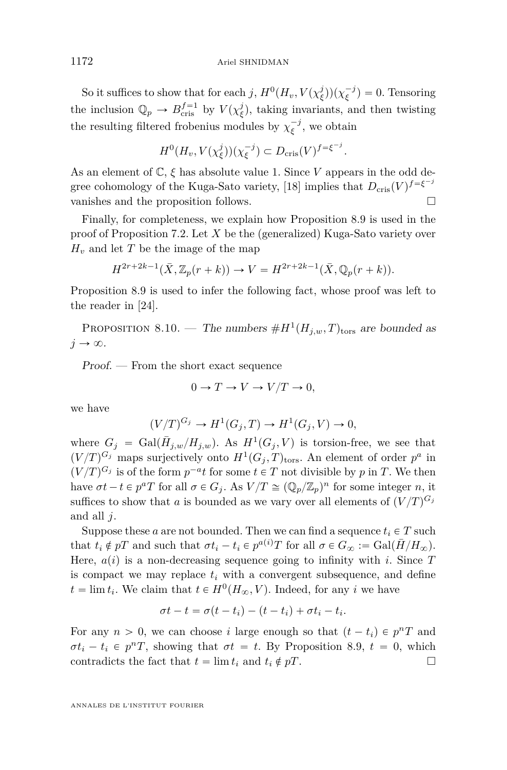So it suffices to show that for each *j*,  $H^0(H_v, V(\chi_{\xi}^j))(\chi_{\xi}^{-j}) = 0$ . Tensoring the inclusion  $\mathbb{Q}_p \to B_{\text{cris}}^{f=1}$  by  $V(\chi_{\xi}^j)$ , taking invariants, and then twisting the resulting filtered frobenius modules by  $\chi_{\xi}^{-j}$ , we obtain

$$
H^0(H_v, V(\chi_{\xi}^j))(\chi_{\xi}^{-j}) \subset D_{\mathrm{cris}}(V)^{f=\xi^{-j}}.
$$

As an element of  $\mathbb{C}, \xi$  has absolute value 1. Since *V* appears in the odd de-gree cohomology of the Kuga-Sato variety, [\[18\]](#page-57-18) implies that  $D_{\text{cris}}(V)^{f = \xi^{-j}}$ vanishes and the proposition follows.

Finally, for completeness, we explain how Proposition [8.9](#page-55-0) is used in the proof of Proposition [7.2.](#page-44-0) Let *X* be the (generalized) Kuga-Sato variety over  $H_v$  and let *T* be the image of the map

$$
H^{2r+2k-1}(\bar{X}, \mathbb{Z}_p(r+k)) \to V = H^{2r+2k-1}(\bar{X}, \mathbb{Q}_p(r+k)).
$$

Proposition [8.9](#page-55-0) is used to infer the following fact, whose proof was left to the reader in [\[24\]](#page-58-1).

PROPOSITION 8.10. — The numbers  $#H^1(H_{j,w},T)_{\text{tors}}$  are bounded as  $j \rightarrow \infty$ .

Proof. — From the short exact sequence

$$
0 \to T \to V \to V/T \to 0,
$$

we have

$$
(V/T)^{G_j} \to H^1(G_j, T) \to H^1(G_j, V) \to 0,
$$

where  $G_j = \text{Gal}(\bar{H}_{j,w}/H_{j,w})$ . As  $H^1(G_j, V)$  is torsion-free, we see that  $(V/T)^{G_j}$  maps surjectively onto  $H^1(G_j, T)_{\text{tors}}$ . An element of order  $p^a$  in  $(V/T)^{G_j}$  is of the form  $p^{-a}t$  for some  $t \in T$  not divisible by p in T. We then have  $\sigma t - t \in p^a T$  for all  $\sigma \in G_j$ . As  $V/T \cong (\mathbb{Q}_p/\mathbb{Z}_p)^n$  for some integer *n*, it suffices to show that *a* is bounded as we vary over all elements of  $(V/T)^{G_j}$ and all *j*.

Suppose these *a* are not bounded. Then we can find a sequence  $t_i \in T$  such that  $t_i \notin pT$  and such that  $\sigma t_i - t_i \in p^{a(i)}T$  for all  $\sigma \in G_\infty := \text{Gal}(\overline{H}/H_\infty)$ . Here,  $a(i)$  is a non-decreasing sequence going to infinity with *i*. Since  $T$ is compact we may replace  $t_i$  with a convergent subsequence, and define  $t = \lim t_i$ . We claim that  $t \in H^0(H_\infty, V)$ . Indeed, for any *i* we have

$$
\sigma t - t = \sigma(t - t_i) - (t - t_i) + \sigma t_i - t_i.
$$

For any  $n > 0$ , we can choose *i* large enough so that  $(t - t_i) \in p^n T$  and  $\sigma t_i - t_i \in p^n T$ , showing that  $\sigma t = t$ . By Proposition [8.9,](#page-55-0)  $t = 0$ , which contradicts the fact that  $t = \lim t_i$  and  $t_i \notin pT$ .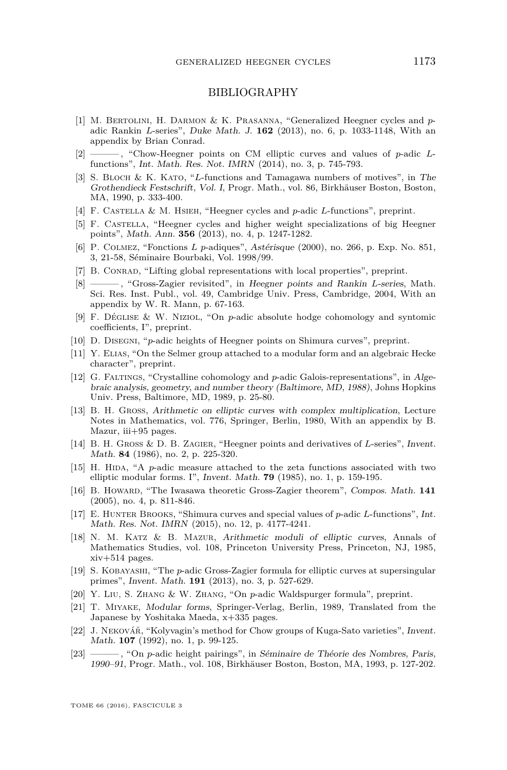#### BIBLIOGRAPHY

- <span id="page-57-3"></span>[1] M. Bertolini, H. Darmon & K. Prasanna, "Generalized Heegner cycles and *p*adic Rankin *L*-series", Duke Math. J. **162** (2013), no. 6, p. 1033-1148, With an appendix by Brian Conrad.
- <span id="page-57-5"></span>[2] ——— , "Chow-Heegner points on CM elliptic curves and values of *p*-adic *L*functions", Int. Math. Res. Not. IMRN (2014), no. 3, p. 745-793.
- <span id="page-57-16"></span>[3] S. Bloch & K. Kato, "*L*-functions and Tamagawa numbers of motives", in The Grothendieck Festschrift, Vol. I, Progr. Math., vol. 86, Birkhäuser Boston, Boston, MA, 1990, p. 333-400.
- <span id="page-57-20"></span>[4] F. Castella & M. Hsieh, "Heegner cycles and *p*-adic *L*-functions", preprint.
- <span id="page-57-8"></span>[5] F. Castella, "Heegner cycles and higher weight specializations of big Heegner points", Math. Ann. **356** (2013), no. 4, p. 1247-1282.
- <span id="page-57-2"></span>[6] P. Colmez, "Fonctions *L p*-adiques", Astérisque (2000), no. 266, p. Exp. No. 851, 3, 21-58, Séminaire Bourbaki, Vol. 1998/99.
- <span id="page-57-21"></span>[7] B. Conrad, "Lifting global representations with local properties", preprint.
- <span id="page-57-19"></span>[8] ——— , "Gross-Zagier revisited", in Heegner points and Rankin *L*-series, Math. Sci. Res. Inst. Publ., vol. 49, Cambridge Univ. Press, Cambridge, 2004, With an appendix by W. R. Mann, p. 67-163.
- <span id="page-57-22"></span>[9] F. Déglise & W. Niziol, "On *p*-adic absolute hodge cohomology and syntomic coefficients, I", preprint.
- <span id="page-57-12"></span>[10] D. Disegni, "*p*-adic heights of Heegner points on Shimura curves", preprint.
- <span id="page-57-7"></span>[11] Y. Elias, "On the Selmer group attached to a modular form and an algebraic Hecke character", preprint.
- <span id="page-57-17"></span>[12] G. Faltings, "Crystalline cohomology and *p*-adic Galois-representations", in Algebraic analysis, geometry, and number theory (Baltimore, MD, 1988), Johns Hopkins Univ. Press, Baltimore, MD, 1989, p. 25-80.
- <span id="page-57-4"></span>[13] B. H. Gross, Arithmetic on elliptic curves with complex multiplication, Lecture Notes in Mathematics, vol. 776, Springer, Berlin, 1980, With an appendix by B. Mazur, iii+95 pages.
- <span id="page-57-0"></span>[14] B. H. Gross & D. B. Zagier, "Heegner points and derivatives of *L*-series", Invent. Math. **84** (1986), no. 2, p. 225-320.
- <span id="page-57-14"></span>[15] H. Hida, "A *p*-adic measure attached to the zeta functions associated with two elliptic modular forms. I", Invent. Math. **79** (1985), no. 1, p. 159-195.
- <span id="page-57-9"></span>[16] B. Howard, "The Iwasawa theoretic Gross-Zagier theorem", Compos. Math. **141** (2005), no. 4, p. 811-846.
- <span id="page-57-10"></span>[17] E. Hunter Brooks, "Shimura curves and special values of *p*-adic *L*-functions", Int. Math. Res. Not. IMRN (2015), no. 12, p. 4177-4241.
- <span id="page-57-18"></span>[18] N. M. Katz & B. Mazur, Arithmetic moduli of elliptic curves, Annals of Mathematics Studies, vol. 108, Princeton University Press, Princeton, NJ, 1985, xiv+514 pages.
- <span id="page-57-13"></span>[19] S. Kobayashi, "The *p*-adic Gross-Zagier formula for elliptic curves at supersingular primes", Invent. Math. **191** (2013), no. 3, p. 527-629.
- <span id="page-57-11"></span>[20] Y. Liu, S. Zhang & W. Zhang, "On *p*-adic Waldspurger formula", preprint.
- <span id="page-57-15"></span>[21] T. Miyake, Modular forms, Springer-Verlag, Berlin, 1989, Translated from the Japanese by Yoshitaka Maeda, x+335 pages.
- <span id="page-57-1"></span>[22] J. Nekovář, "Kolyvagin's method for Chow groups of Kuga-Sato varieties", Invent. Math. **107** (1992), no. 1, p. 99-125.
- <span id="page-57-6"></span>[23] ——— , "On *p*-adic height pairings", in Séminaire de Théorie des Nombres, Paris, 1990–91, Progr. Math., vol. 108, Birkhäuser Boston, Boston, MA, 1993, p. 127-202.